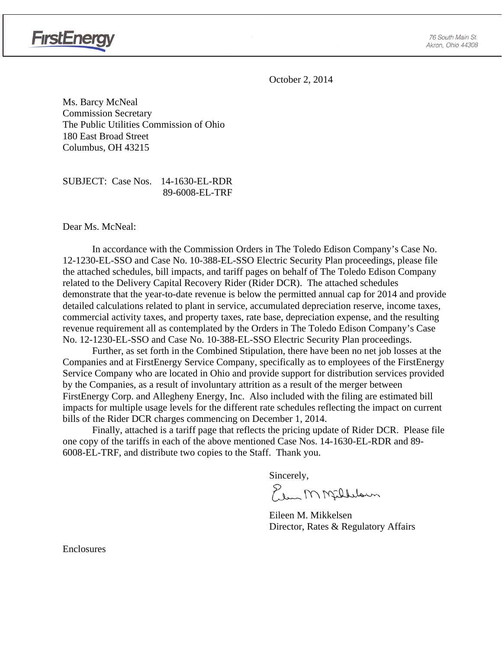

October 2, 2014

Ms. Barcy McNeal Commission Secretary The Public Utilities Commission of Ohio 180 East Broad Street Columbus, OH 43215

SUBJECT: Case Nos. 14-1630-EL-RDR 89-6008-EL-TRF

Dear Ms. McNeal:

In accordance with the Commission Orders in The Toledo Edison Company's Case No. 12-1230-EL-SSO and Case No. 10-388-EL-SSO Electric Security Plan proceedings, please file the attached schedules, bill impacts, and tariff pages on behalf of The Toledo Edison Company related to the Delivery Capital Recovery Rider (Rider DCR). The attached schedules demonstrate that the year-to-date revenue is below the permitted annual cap for 2014 and provide detailed calculations related to plant in service, accumulated depreciation reserve, income taxes, commercial activity taxes, and property taxes, rate base, depreciation expense, and the resulting revenue requirement all as contemplated by the Orders in The Toledo Edison Company's Case No. 12-1230-EL-SSO and Case No. 10-388-EL-SSO Electric Security Plan proceedings.

Further, as set forth in the Combined Stipulation, there have been no net job losses at the Companies and at FirstEnergy Service Company, specifically as to employees of the FirstEnergy Service Company who are located in Ohio and provide support for distribution services provided by the Companies, as a result of involuntary attrition as a result of the merger between FirstEnergy Corp. and Allegheny Energy, Inc. Also included with the filing are estimated bill impacts for multiple usage levels for the different rate schedules reflecting the impact on current bills of the Rider DCR charges commencing on December 1, 2014.

Finally, attached is a tariff page that reflects the pricing update of Rider DCR. Please file one copy of the tariffs in each of the above mentioned Case Nos. 14-1630-EL-RDR and 89- 6008-EL-TRF, and distribute two copies to the Staff. Thank you.

Sincerely,

Elem M Milleloun

 Eileen M. Mikkelsen Director, Rates & Regulatory Affairs

Enclosures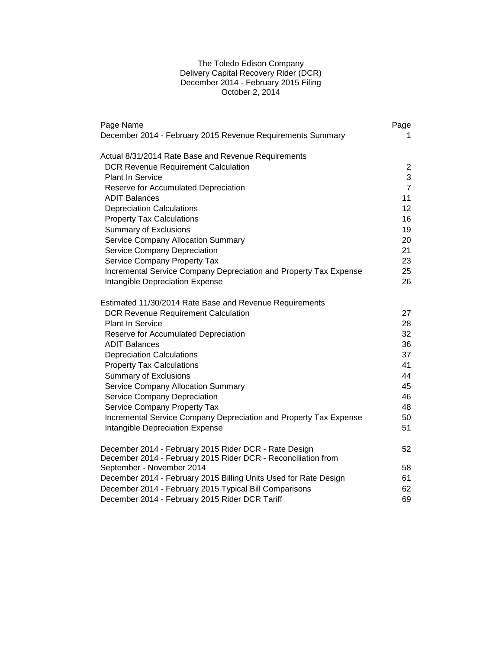# The Toledo Edison Company Delivery Capital Recovery Rider (DCR) December 2014 - February 2015 Filing October 2, 2014

| Page Name                                                         | Page            |
|-------------------------------------------------------------------|-----------------|
| December 2014 - February 2015 Revenue Requirements Summary        | 1.              |
| Actual 8/31/2014 Rate Base and Revenue Requirements               |                 |
| <b>DCR Revenue Requirement Calculation</b>                        | 2               |
| <b>Plant In Service</b>                                           | 3               |
| Reserve for Accumulated Depreciation                              | $\overline{7}$  |
| ADIT Balances                                                     | 11              |
| <b>Depreciation Calculations</b>                                  | 12 <sup>2</sup> |
| <b>Property Tax Calculations</b>                                  | 16              |
| <b>Summary of Exclusions</b>                                      | 19              |
| <b>Service Company Allocation Summary</b>                         | 20              |
| Service Company Depreciation                                      | 21              |
| Service Company Property Tax                                      | 23              |
| Incremental Service Company Depreciation and Property Tax Expense | 25              |
| Intangible Depreciation Expense                                   | 26              |
| Estimated 11/30/2014 Rate Base and Revenue Requirements           |                 |
| <b>DCR Revenue Requirement Calculation</b>                        | 27              |
| <b>Plant In Service</b>                                           | 28              |
| Reserve for Accumulated Depreciation                              | 32              |
| <b>ADIT Balances</b>                                              | 36              |
| <b>Depreciation Calculations</b>                                  | 37              |
| <b>Property Tax Calculations</b>                                  | 41              |
| <b>Summary of Exclusions</b>                                      | 44              |
| Service Company Allocation Summary                                | 45              |
| Service Company Depreciation                                      | 46              |
| Service Company Property Tax                                      | 48              |
| Incremental Service Company Depreciation and Property Tax Expense | 50              |
| Intangible Depreciation Expense                                   | 51              |
| December 2014 - February 2015 Rider DCR - Rate Design             | 52              |
| December 2014 - February 2015 Rider DCR - Reconciliation from     |                 |
| September - November 2014                                         | 58              |
| December 2014 - February 2015 Billing Units Used for Rate Design  | 61              |
| December 2014 - February 2015 Typical Bill Comparisons            | 62              |
| December 2014 - February 2015 Rider DCR Tariff                    | 69              |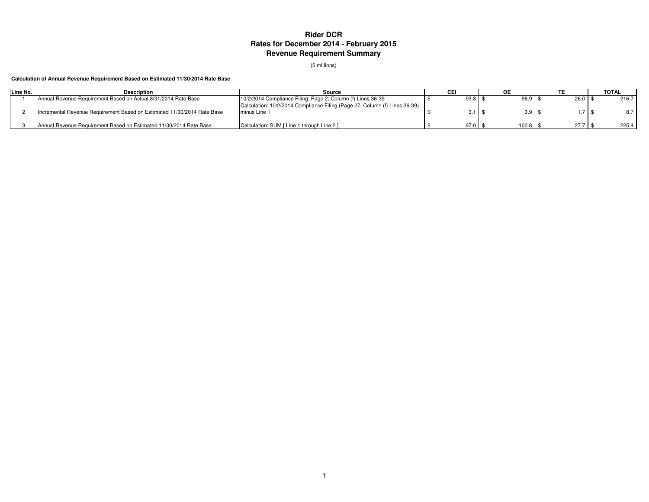# **Rider DCR Rates for December 2014 - February 2015Revenue Requirement Summary**

(\$ millions)

#### **Calculation of Annual Revenue Requirement Based on Estimated 11/30/2014 Rate Base**

| Line No. | Description                                                             | Source                                                                                     |                   |       |      |      | <b>TOTAL</b> |
|----------|-------------------------------------------------------------------------|--------------------------------------------------------------------------------------------|-------------------|-------|------|------|--------------|
|          | Annual Revenue Requirement Based on Actual 8/31/2014 Rate Base          | 10/2/2014 Compliance Filing: Page 2; Column (f) Lines 36-39                                |                   |       | 96.9 | 26.0 | 216.7        |
|          | Incremental Revenue Requirement Based on Estimated 11/30/2014 Rate Base | Calculation: 10/2/2014 Compliance Filing (Page 27, Column (f) Lines 36-39)<br>minus Line 1 | $3.1 \text{ }$ \$ |       | 3.9  |      | 8.7          |
|          | Annual Revenue Requirement Based on Estimated 11/30/2014 Rate Base      | Calculation: SUM [ Line 1 through Line 2 ]                                                 | $97.0$ \$         | 100.8 |      | 27.7 | 225.4        |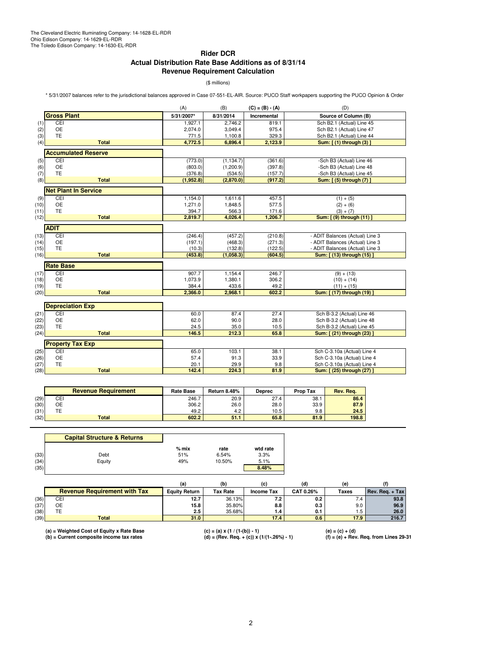# **Rider DCR Actual Distribution Rate Base Additions as of 8/31/14 Revenue Requirement Calculation**

(\$ millions)

\* 5/31/2007 balances refer to the jurisdictional balances approved in Case 07-551-EL-AIR. Source: PUCO Staff workpapers supporting the PUCO Opinion & Order

|      |                             | (A)        | (B)        | $(C) = (B) - (A)$  | (D)                             |
|------|-----------------------------|------------|------------|--------------------|---------------------------------|
|      | <b>Gross Plant</b>          | 5/31/2007* | 8/31/2014  | <b>Incremental</b> | Source of Column (B)            |
| (1)  | CEI                         | 1,927.1    | 2.746.2    | 819.1              | Sch B2.1 (Actual) Line 45       |
| (2)  | <b>OE</b>                   | 2,074.0    | 3.049.4    | 975.4              | Sch B2.1 (Actual) Line 47       |
| (3)  | <b>TE</b>                   | 771.5      | 1,100.8    | 329.3              | Sch B2.1 (Actual) Line 44       |
| (4)  | <b>Total</b>                | 4,772.5    | 6,896.4    | 2,123.9            | Sum: [(1) through (3)]          |
|      | <b>Accumulated Reserve</b>  |            |            |                    |                                 |
| (5)  | CEI                         | (773.0)    | (1, 134.7) | (361.6)            | -Sch B3 (Actual) Line 46        |
| (6)  | <b>OE</b>                   | (803.0)    | (1,200.9)  | (397.8)            | -Sch B3 (Actual) Line 48        |
| (7)  | <b>TE</b>                   | (376.8)    | (534.5)    | (157.7)            | -Sch B3 (Actual) Line 45        |
| (8)  | <b>Total</b>                | (1,952.8)  | (2,870.0)  | (917.2)            | Sum: [ (5) through (7) ]        |
|      | <b>Net Plant In Service</b> |            |            |                    |                                 |
| (9)  | CEI                         | 1,154.0    | 1,611.6    | 457.5              | $(1) + (5)$                     |
| (10) | <b>OE</b>                   | 1,271.0    | 1,848.5    | 577.5              | $(2) + (6)$                     |
| (11) | TE                          | 394.7      | 566.3      | 171.6              | $(3) + (7)$                     |
| (12) | <b>Total</b>                | 2,819.7    | 4,026.4    | 1,206.7            | Sum: [ (9) through (11) ]       |
|      | <b>ADIT</b>                 |            |            |                    |                                 |
| (13) | <b>CEI</b>                  | (246.4)    | (457.2)    | (210.8)            | - ADIT Balances (Actual) Line 3 |
| (14) | <b>OE</b>                   | (197.1)    | (468.3)    | (271.3)            | - ADIT Balances (Actual) Line 3 |
| (15) | TE                          | (10.3)     | (132.8)    | (122.5)            | - ADIT Balances (Actual) Line 3 |
| (16) | <b>Total</b>                | (453.8)    | (1,058.3)  | (604.5)            | Sum: [ (13) through (15) ]      |
|      |                             |            |            |                    |                                 |
|      | <b>Rate Base</b>            |            |            |                    |                                 |
| (17) | CEI                         | 907.7      | 1.154.4    | 246.7              | $(9) + (13)$                    |
| (18) | OE                          | 1,073.9    | 1,380.1    | 306.2              | $(10) + (14)$                   |
| (19) | <b>TE</b>                   | 384.4      | 433.6      | 49.2               | $(11) + (15)$                   |
| (20) | <b>Total</b>                | 2,366.0    | 2,968.1    | 602.2              | Sum: [ (17) through (19) ]      |
|      | <b>Depreciation Exp</b>     |            |            |                    |                                 |
| (21) | CEI                         | 60.0       | 87.4       | 27.4               | Sch B-3.2 (Actual) Line 46      |
| (22) | OE                          | 62.0       | 90.0       | 28.0               | Sch B-3.2 (Actual) Line 48      |
| (23) | <b>TE</b>                   | 24.5       | 35.0       | 10.5               | Sch B-3.2 (Actual) Line 45      |
| (24) | <b>Total</b>                | 146.5      | 212.3      | 65.8               | Sum: [ (21) through (23) ]      |
|      |                             |            |            |                    |                                 |
|      | <b>Property Tax Exp</b>     |            |            |                    |                                 |
| (25) | CEI                         | 65.0       | 103.1      | 38.1               | Sch C-3.10a (Actual) Line 4     |
| (26) | <b>OE</b>                   | 57.4       | 91.3       | 33.9               | Sch C-3.10a (Actual) Line 4     |
| (27) | TE                          | 20.1       | 29.9       | 9.8                | Sch C-3.10a (Actual) Line 4     |
| (28) | <b>Total</b>                | 142.4      | 224.3      | 81.9               | Sum: [ (25) through (27)        |
|      |                             |            |            |                    |                                 |

|      | <b>Revenue Requirement</b> | <b>Rate Base</b> | Return 8.48% | <b>Deprec</b> | <b>Prop Tax</b> | Rev. Rea. |
|------|----------------------------|------------------|--------------|---------------|-----------------|-----------|
| (29) | CEI                        | 246.7            | 20.9         | 27.4          | 38.1            | 86.4      |
| (30) | ОE                         | 306.2            | 26.0         | 28.0          | 33.9            | 87.9      |
| (31) | TE                         | 49.2             | 4.2          | 10.5          | 9.8             | 24.5      |
| (32) | <b>Total</b>               | 602.2            | 51.1         | 65.8          | 81.9            | 198.8     |

|      | <b>Capital Structure &amp; Returns</b> |         |        |          |
|------|----------------------------------------|---------|--------|----------|
|      |                                        | $%$ mix | rate   | wtd rate |
| (33) | Debt                                   | 51%     | 6.54%  | 3.3%     |
| (34) | Equity                                 | 49%     | 10.50% | 5.1%     |
| (35) |                                        |         |        | 8.48%    |

|      |                                     | (a)                  | (b)             | (c)               | (d)       | (e)   |                 |
|------|-------------------------------------|----------------------|-----------------|-------------------|-----------|-------|-----------------|
|      | <b>Revenue Requirement with Tax</b> | <b>Equity Return</b> | <b>Tax Rate</b> | <b>Income Tax</b> | CAT 0.26% | Taxes | Rev. Reg. + Tax |
| (36) | CEI                                 | 12.7                 | 36.13%          | ء. ا              | 0.2       | . . 4 | 93.8            |
| (37) | OE                                  | 15.8                 | 35.80%          | 8.8               | 0.3       | 9.0   | 96.9            |
| (38) | TE                                  | 2.5                  | 35.68%          | . . 4             | 0.1       | 1.5   | 26.0            |
| (39) | <b>Total</b>                        | 31.0                 |                 | 17.4              | 0.6       | 17.9  | 216.7           |

(a) = Weighted Cost of Equity x Rate Base (c) = (a) x (1 / (1-(b)) - 1) (e) = (c) + (d)<br>(b) = Current composite income tax rates (d) = (Rev. Req. + (c)) x (1/(1-.26%) - 1) (f) = (e)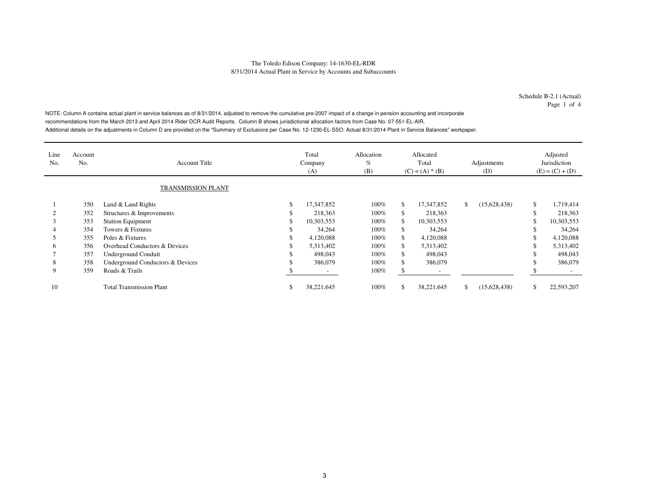Schedule B-2.1 (Actual)Page 1 of 4

NOTE: Column A contains actual plant in service balances as of 8/31/2014, adjusted to remove the cumulative pre-2007 impact of a change in pension accounting and incorporate recommendations from the March 2013 and April 2014 Rider DCR Audit Reports. Column B shows jurisdictional allocation factors from Case No. 07-551-EL-AIR. Additional details on the adjustments in Column D are provided on the "Summary of Exclusions per Case No. 12-1230-EL-SSO: Actual 8/31/2014 Plant in Service Balances" workpaper.

| Line<br>No. | Account<br>No. | <b>Account Title</b>             | Total<br>Company<br>(A)  | Allocation<br>$\%$<br>(B) |               | Allocated<br>Total<br>$(C) = (A) * (B)$ |    | Adjustments<br>(D) | Adjusted<br>Jurisdiction<br>$(E) = (C) + (D)$ |
|-------------|----------------|----------------------------------|--------------------------|---------------------------|---------------|-----------------------------------------|----|--------------------|-----------------------------------------------|
|             |                | <b>TRANSMISSION PLANT</b>        |                          |                           |               |                                         |    |                    |                                               |
|             | 350            | Land & Land Rights               | 17,347,852               | $100\%$                   | \$.           | 17,347,852                              | \$ | (15,628,438)       | \$<br>1,719,414                               |
|             | 352            | Structures & Improvements        | 218,363                  | $100\%$                   | \$            | 218,363                                 |    |                    | 218,363                                       |
|             | 353            | <b>Station Equipment</b>         | 10,303,553               | 100%                      | \$.           | 10,303,553                              |    |                    | 10,303,553                                    |
|             | 354            | Towers & Fixtures                | 34,264                   | $100\%$                   | \$            | 34,264                                  |    |                    | 34,264                                        |
|             | 355            | Poles & Fixtures                 | 4,120,088                | 100%                      |               | 4,120,088                               |    |                    | 4,120,088                                     |
| 6           | 356            | Overhead Conductors & Devices    | 5,313,402                | 100%                      | \$.           | 5,313,402                               |    |                    | 5,313,402                                     |
|             | 357            | Underground Conduit              | 498,043                  | 100%                      | <sup>\$</sup> | 498,043                                 |    |                    | 498,043                                       |
| 8           | 358            | Underground Conductors & Devices | 386,079                  | 100%                      | <sup>\$</sup> | 386,079                                 |    |                    | 386,079                                       |
| 9           | 359            | Roads & Trails                   | $\overline{\phantom{a}}$ | 100%                      | ъ             | $\overline{\phantom{a}}$                |    |                    | $\overline{\phantom{a}}$                      |
| 10          |                | <b>Total Transmission Plant</b>  | 38,221,645               | $100\%$                   | <sup>\$</sup> | 38,221,645                              | S. | (15,628,438)       | 22,593,207                                    |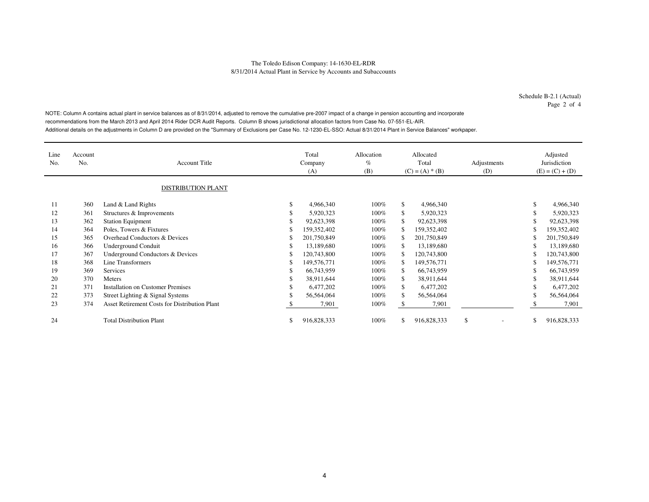Schedule B-2.1 (Actual)Page 2 of 4

NOTE: Column A contains actual plant in service balances as of 8/31/2014, adjusted to remove the cumulative pre-2007 impact of a change in pension accounting and incorporate recommendations from the March 2013 and April 2014 Rider DCR Audit Reports. Column B shows jurisdictional allocation factors from Case No. 07-551-EL-AIR. Additional details on the adjustments in Column D are provided on the "Summary of Exclusions per Case No. 12-1230-EL-SSO: Actual 8/31/2014 Plant in Service Balances" workpaper.

| Line<br>No. | Account<br>No. | <b>Account Title</b><br><b>DISTRIBUTION PLANT</b>    |    | Total<br>Company<br>(A) | Allocation<br>$\%$<br>(B) | Allocated<br>Total<br>$(C) = (A) * (B)$ |             | Adjustments<br>(D) |    | Adjusted<br>Jurisdiction<br>$(E) = (C) + (D)$ |
|-------------|----------------|------------------------------------------------------|----|-------------------------|---------------------------|-----------------------------------------|-------------|--------------------|----|-----------------------------------------------|
| 11          | 360            | Land & Land Rights                                   | \$ | 4,966,340               | $100\%$                   | \$                                      | 4,966,340   |                    | \$ | 4,966,340                                     |
| 12          | 361            | Structures & Improvements                            | ъ  | 5,920,323               | $100\%$                   | \$                                      | 5,920,323   |                    | \$ | 5,920,323                                     |
| 13          | 362            | <b>Station Equipment</b>                             |    | 92,623,398              | $100\%$                   |                                         | 92,623,398  |                    | \$ | 92,623,398                                    |
| 14          | 364            | Poles, Towers & Fixtures                             |    | 159,352,402             | $100\%$                   |                                         | 159,352,402 |                    |    | 159,352,402                                   |
| 15          | 365            | Overhead Conductors & Devices                        |    | 201,750,849             | $100\%$                   |                                         | 201,750,849 |                    |    | 201,750,849                                   |
| 16          | 366            | Underground Conduit                                  | ъ  | 13,189,680              | 100%                      | \$                                      | 13,189,680  |                    | \$ | 13,189,680                                    |
| 17          | 367            | Underground Conductors & Devices                     |    | 120,743,800             | $100\%$                   |                                         | 120,743,800 |                    |    | 120,743,800                                   |
| 18          | 368            | Line Transformers                                    | S  | 149,576,771             | 100%                      |                                         | 149,576,771 |                    | \$ | 149,576,771                                   |
| 19          | 369            | Services                                             | \$ | 66,743,959              | $100\%$                   | \$.                                     | 66,743,959  |                    | \$ | 66,743,959                                    |
| 20          | 370            | Meters                                               |    | 38,911,644              | $100\%$                   | \$                                      | 38,911,644  |                    | \$ | 38,911,644                                    |
| 21          | 371            | <b>Installation on Customer Premises</b>             |    | 6,477,202               | $100\%$                   | \$                                      | 6,477,202   |                    | S  | 6,477,202                                     |
| 22          | 373            | Street Lighting & Signal Systems                     |    | 56,564,064              | $100\%$                   |                                         | 56,564,064  |                    | S  | 56,564,064                                    |
| 23          | 374            | <b>Asset Retirement Costs for Distribution Plant</b> |    | 7,901                   | 100%                      |                                         | 7,901       |                    |    | 7,901                                         |
| 24          |                | <b>Total Distribution Plant</b>                      |    | 916,828,333             | 100%                      | \$                                      | 916,828,333 | \$                 | \$ | 916,828,333                                   |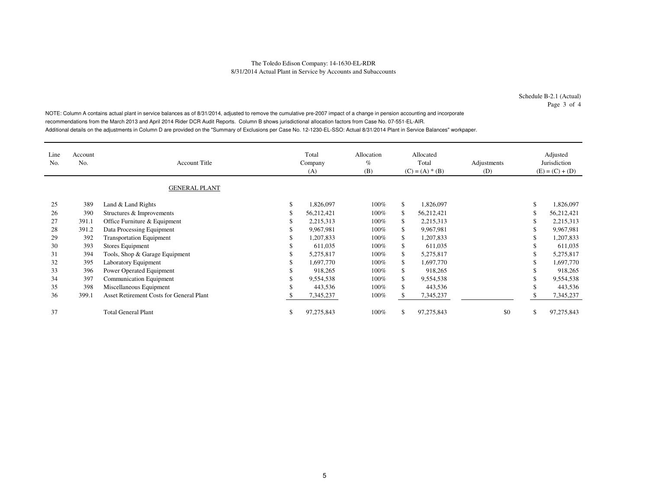Schedule B-2.1 (Actual)Page 3 of 4

NOTE: Column A contains actual plant in service balances as of 8/31/2014, adjusted to remove the cumulative pre-2007 impact of a change in pension accounting and incorporate recommendations from the March 2013 and April 2014 Rider DCR Audit Reports. Column B shows jurisdictional allocation factors from Case No. 07-551-EL-AIR. Additional details on the adjustments in Column D are provided on the "Summary of Exclusions per Case No. 12-1230-EL-SSO: Actual 8/31/2014 Plant in Service Balances" workpaper.

| Line<br>No. | Account<br>No. | <b>Account Title</b><br><b>GENERAL PLANT</b>    |    | Total<br>Company<br>(A) | Allocation<br>$\%$<br>(B) |     | Allocated<br>Total<br>$(C) = (A) * (B)$ | Adjustments<br>(D) |    | Adjusted<br>Jurisdiction<br>$(E) = (C) + (D)$ |
|-------------|----------------|-------------------------------------------------|----|-------------------------|---------------------------|-----|-----------------------------------------|--------------------|----|-----------------------------------------------|
|             |                |                                                 |    |                         |                           |     |                                         |                    |    |                                               |
| 25          | 389            | Land & Land Rights                              | \$ | 1,826,097               | $100\%$                   | \$  | 1,826,097                               |                    | \$ | 1,826,097                                     |
| 26          | 390            | Structures & Improvements                       |    | 56,212,421              | 100%                      |     | 56,212,421                              |                    | \$ | 56,212,421                                    |
| 27          | 391.1          | Office Furniture & Equipment                    |    | 2,215,313               | $100\%$                   | S.  | 2,215,313                               |                    | \$ | 2,215,313                                     |
| 28          | 391.2          | Data Processing Equipment                       |    | 9,967,981               | $100\%$                   | \$  | 9,967,981                               |                    | S  | 9,967,981                                     |
| 29          | 392            | <b>Transportation Equipment</b>                 |    | 1,207,833               | $100\%$                   | \$  | 1,207,833                               |                    | \$ | 1,207,833                                     |
| 30          | 393            | Stores Equipment                                | ъ  | 611,035                 | $100\%$                   | \$  | 611,035                                 |                    | \$ | 611,035                                       |
| 31          | 394            | Tools, Shop & Garage Equipment                  |    | 5,275,817               | $100\%$                   | \$  | 5,275,817                               |                    |    | 5,275,817                                     |
| 32          | 395            | Laboratory Equipment                            |    | 1,697,770               | 100%                      | \$. | 1,697,770                               |                    | \$ | 1,697,770                                     |
| 33          | 396            | Power Operated Equipment                        |    | 918,265                 | 100%                      | \$  | 918,265                                 |                    |    | 918,265                                       |
| 34          | 397            | <b>Communication Equipment</b>                  |    | 9,554,538               | 100%                      | \$  | 9,554,538                               |                    | \$ | 9,554,538                                     |
| 35          | 398            | Miscellaneous Equipment                         |    | 443,536                 | $100\%$                   | \$  | 443,536                                 |                    | \$ | 443,536                                       |
| 36          | 399.1          | <b>Asset Retirement Costs for General Plant</b> |    | 7,345,237               | 100%                      |     | 7,345,237                               |                    |    | 7,345,237                                     |
| 37          |                | <b>Total General Plant</b>                      | ъ  | 97,275,843              | 100%                      |     | 97,275,843                              | \$0                | \$ | 97,275,843                                    |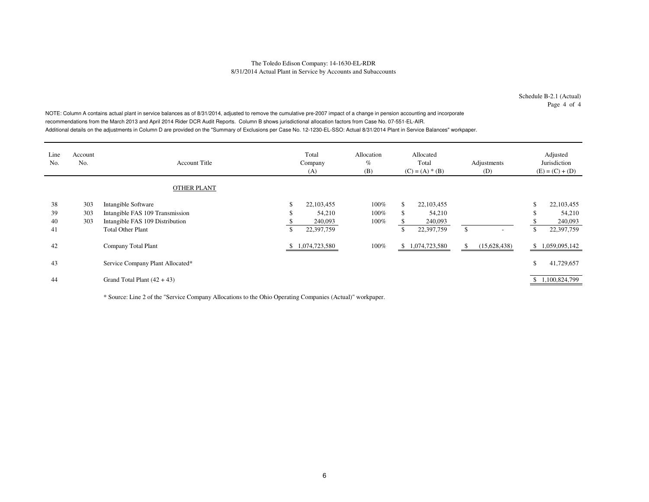Schedule B-2.1 (Actual)Page 4 of 4

NOTE: Column A contains actual plant in service balances as of 8/31/2014, adjusted to remove the cumulative pre-2007 impact of a change in pension accounting and incorporate recommendations from the March 2013 and April 2014 Rider DCR Audit Reports. Column B shows jurisdictional allocation factors from Case No. 07-551-EL-AIR. Additional details on the adjustments in Column D are provided on the "Summary of Exclusions per Case No. 12-1230-EL-SSO: Actual 8/31/2014 Plant in Service Balances" workpaper.

| Line<br>No.    | Account<br>No.    | <b>Account Title</b>                                                                      |         | Total<br>Company<br>(A)         | Allocation<br>$\%$<br>(B) | Allocated<br>Total<br>$(C) = (A) * (B)$ |                                 | Adjustments<br>(D) |              |          | Adjusted<br>Jurisdiction<br>$(E) = (C) + (D)$ |
|----------------|-------------------|-------------------------------------------------------------------------------------------|---------|---------------------------------|---------------------------|-----------------------------------------|---------------------------------|--------------------|--------------|----------|-----------------------------------------------|
|                |                   | <b>OTHER PLANT</b>                                                                        |         |                                 |                           |                                         |                                 |                    |              |          |                                               |
| 38<br>39<br>40 | 303<br>303<br>303 | Intangible Software<br>Intangible FAS 109 Transmission<br>Intangible FAS 109 Distribution | ъ<br>J. | 22,103,455<br>54,210<br>240,093 | $100\%$<br>100%<br>100%   | <sup>\$</sup><br>\$                     | 22,103,455<br>54,210<br>240,093 |                    |              | \$<br>\$ | 22,103,455<br>54,210<br>240,093               |
| 41             |                   | <b>Total Other Plant</b>                                                                  | \$      | 22,397,759                      |                           | <sup>\$</sup>                           | 22,397,759                      | \$                 |              | \$       | 22,397,759                                    |
| 42             |                   | Company Total Plant                                                                       |         | \$1,074,723,580                 | 100%                      | S.                                      | 1,074,723,580                   | \$                 | (15,628,438) |          | \$1,059,095,142                               |
| 43             |                   | Service Company Plant Allocated*                                                          |         |                                 |                           |                                         |                                 |                    |              | \$       | 41,729,657                                    |
| 44             |                   | Grand Total Plant $(42 + 43)$                                                             |         |                                 |                           |                                         |                                 |                    |              |          | \$1,100,824,799                               |

\* Source: Line 2 of the "Service Company Allocations to the Ohio Operating Companies (Actual)" workpaper.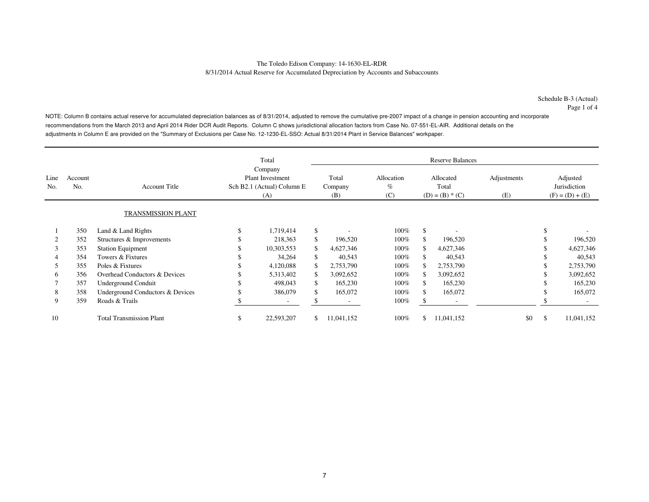Schedule B-3 (Actual)Page 1 of 4

NOTE: Column B contains actual reserve for accumulated depreciation balances as of 8/31/2014, adjusted to remove the cumulative pre-2007 impact of a change in pension accounting and incorporate recommendations from the March 2013 and April 2014 Rider DCR Audit Reports. Column C shows jurisdictional allocation factors from Case No. 07-551-EL-AIR. Additional details on the adjustments in Column E are provided on the "Summary of Exclusions per Case No. 12-1230-EL-SSO: Actual 8/31/2014 Plant in Service Balances" workpaper.

|              |                |                                  |                                                                         | Total                    |                         |                           |               | <b>Reserve Balances</b>                 |                    |                                               |            |
|--------------|----------------|----------------------------------|-------------------------------------------------------------------------|--------------------------|-------------------------|---------------------------|---------------|-----------------------------------------|--------------------|-----------------------------------------------|------------|
| Line<br>No.  | Account<br>No. | <b>Account Title</b>             | Company<br><b>Plant Investment</b><br>Sch B2.1 (Actual) Column E<br>(A) |                          | Total<br>Company<br>(B) | Allocation<br>$\%$<br>(C) |               | Allocated<br>Total<br>$(D) = (B) * (C)$ | Adjustments<br>(E) | Adjusted<br>Jurisdiction<br>$(F) = (D) + (E)$ |            |
|              |                | <b>TRANSMISSION PLANT</b>        |                                                                         |                          |                         |                           |               |                                         |                    |                                               |            |
|              | 350            | Land & Land Rights               |                                                                         | 1,719,414                | \$                      | $100\%$                   | <sup>\$</sup> |                                         |                    |                                               |            |
|              | 352            | Structures & Improvements        |                                                                         | 218,363                  | \$<br>196,520           | 100%                      |               | 196,520                                 |                    |                                               | 196,520    |
| 3            | 353            | <b>Station Equipment</b>         |                                                                         | 10,303,553               | \$<br>4,627,346         | 100%                      | \$            | 4,627,346                               |                    |                                               | 4,627,346  |
| 4            | 354            | Towers & Fixtures                |                                                                         | 34,264                   | \$<br>40,543            | $100\%$                   |               | 40,543                                  |                    |                                               | 40,543     |
| 5            | 355            | Poles & Fixtures                 |                                                                         | 4,120,088                | \$<br>2,753,790         | 100%                      | S.            | 2,753,790                               |                    |                                               | 2,753,790  |
| <sub>0</sub> | 356            | Overhead Conductors & Devices    |                                                                         | 5,313,402                | \$<br>3,092,652         | 100%                      | \$            | 3,092,652                               |                    |                                               | 3,092,652  |
|              | 357            | <b>Underground Conduit</b>       |                                                                         | 498,043                  | \$<br>165,230           | $100\%$                   | \$            | 165,230                                 |                    |                                               | 165,230    |
| 8            | 358            | Underground Conductors & Devices |                                                                         | 386,079                  | \$<br>165,072           | $100\%$                   | \$            | 165,072                                 |                    |                                               | 165,072    |
| 9            | 359            | Roads & Trails                   |                                                                         | $\overline{\phantom{a}}$ |                         | 100%                      | Эħ.           |                                         |                    |                                               |            |
| 10           |                | <b>Total Transmission Plant</b>  | S                                                                       | 22,593,207               | \$<br>11,041,152        | 100%                      | \$            | 11,041,152                              | \$0                | \$                                            | 11,041,152 |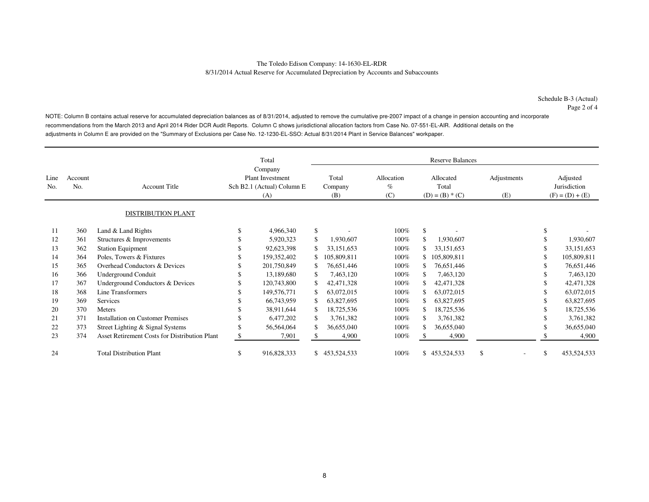NOTE: Column B contains actual reserve for accumulated depreciation balances as of 8/31/2014, adjusted to remove the cumulative pre-2007 impact of a change in pension accounting and incorporate recommendations from the March 2013 and April 2014 Rider DCR Audit Reports. Column C shows jurisdictional allocation factors from Case No. 07-551-EL-AIR. Additional details on the adjustments in Column E are provided on the "Summary of Exclusions per Case No. 12-1230-EL-SSO: Actual 8/31/2014 Plant in Service Balances" workpaper.

|             |                |                                                      | Total |                                                                         |    | <b>Reserve Balances</b> |                           |     |                                         |                    |    |                                               |  |  |  |
|-------------|----------------|------------------------------------------------------|-------|-------------------------------------------------------------------------|----|-------------------------|---------------------------|-----|-----------------------------------------|--------------------|----|-----------------------------------------------|--|--|--|
| Line<br>No. | Account<br>No. | <b>Account Title</b>                                 |       | Company<br><b>Plant Investment</b><br>Sch B2.1 (Actual) Column E<br>(A) |    | Total<br>Company<br>(B) | Allocation<br>$\%$<br>(C) |     | Allocated<br>Total<br>$(D) = (B) * (C)$ | Adjustments<br>(E) |    | Adjusted<br>Jurisdiction<br>$(F) = (D) + (E)$ |  |  |  |
|             |                | DISTRIBUTION PLANT                                   |       |                                                                         |    |                         |                           |     |                                         |                    |    |                                               |  |  |  |
| 11          | 360            | Land & Land Rights                                   | \$    | 4,966,340                                                               | \$ |                         | 100%                      | \$  |                                         |                    | \$ |                                               |  |  |  |
| 12          | 361            | Structures & Improvements                            | \$    | 5,920,323                                                               | \$ | 1,930,607               | 100%                      | \$  | 1,930,607                               |                    |    | 1,930,607                                     |  |  |  |
| 13          | 362            | <b>Station Equipment</b>                             | S     | 92,623,398                                                              |    | 33, 151, 653            | 100%                      | \$  | 33, 151, 653                            |                    |    | 33,151,653                                    |  |  |  |
| 14          | 364            | Poles, Towers & Fixtures                             | \$    | 159,352,402                                                             |    | 105,809,811             | $100\%$                   | \$  | 105,809,811                             |                    |    | 105,809,811                                   |  |  |  |
| 15          | 365            | Overhead Conductors & Devices                        | \$    | 201,750,849                                                             | \$ | 76,651,446              | 100%                      |     | 76,651,446                              |                    |    | 76,651,446                                    |  |  |  |
| 16          | 366            | Underground Conduit                                  | S     | 13,189,680                                                              | \$ | 7,463,120               | $100\%$                   | \$. | 7,463,120                               |                    |    | 7,463,120                                     |  |  |  |
| 17          | 367            | Underground Conductors & Devices                     | \$    | 120,743,800                                                             | \$ | 42,471,328              | 100%                      | \$  | 42,471,328                              |                    |    | 42,471,328                                    |  |  |  |
| 18          | 368            | Line Transformers                                    |       | 149,576,771                                                             | \$ | 63,072,015              | 100%                      | \$. | 63,072,015                              |                    |    | 63,072,015                                    |  |  |  |
| 19          | 369            | Services                                             | \$    | 66,743,959                                                              | \$ | 63,827,695              | $100\%$                   | \$  | 63,827,695                              |                    |    | 63,827,695                                    |  |  |  |
| 20          | 370            | Meters                                               | S     | 38,911,644                                                              | \$ | 18,725,536              | 100%                      | \$. | 18,725,536                              |                    |    | 18,725,536                                    |  |  |  |
| 21          | 371            | Installation on Customer Premises                    | \$    | 6,477,202                                                               | \$ | 3,761,382               | $100\%$                   | \$. | 3,761,382                               |                    |    | 3,761,382                                     |  |  |  |
| 22          | 373            | Street Lighting & Signal Systems                     | \$    | 56,564,064                                                              | \$ | 36,655,040              | 100%                      | \$. | 36,655,040                              |                    |    | 36,655,040                                    |  |  |  |
| 23          | 374            | <b>Asset Retirement Costs for Distribution Plant</b> | \$    | 7,901                                                                   |    | 4,900                   | 100%                      |     | 4,900                                   |                    |    | 4,900                                         |  |  |  |
| 24          |                | <b>Total Distribution Plant</b>                      | \$    | 916,828,333                                                             |    | \$453,524,533           | 100%                      |     | \$453,524,533                           | \$.                | \$ | 453,524,533                                   |  |  |  |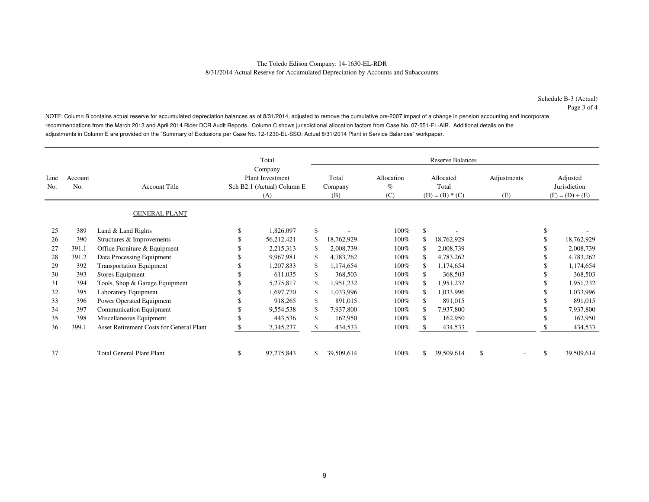NOTE: Column B contains actual reserve for accumulated depreciation balances as of 8/31/2014, adjusted to remove the cumulative pre-2007 impact of a change in pension accounting and incorporate recommendations from the March 2013 and April 2014 Rider DCR Audit Reports. Column C shows jurisdictional allocation factors from Case No. 07-551-EL-AIR. Additional details on the adjustments in Column E are provided on the "Summary of Exclusions per Case No. 12-1230-EL-SSO: Actual 8/31/2014 Plant in Service Balances" workpaper.

|             |                |                                          |                                                              | Total<br>Company |              |                         |                           |                                         | <b>Reserve Balances</b> |                    |              |                                               |
|-------------|----------------|------------------------------------------|--------------------------------------------------------------|------------------|--------------|-------------------------|---------------------------|-----------------------------------------|-------------------------|--------------------|--------------|-----------------------------------------------|
| Line<br>No. | Account<br>No. | <b>Account Title</b>                     | <b>Plant Investment</b><br>Sch B2.1 (Actual) Column E<br>(A) |                  |              | Total<br>Company<br>(B) | Allocation<br>$\%$<br>(C) | Allocated<br>Total<br>$(D) = (B) * (C)$ |                         | Adjustments<br>(E) |              | Adjusted<br>Jurisdiction<br>$(F) = (D) + (E)$ |
|             |                | <b>GENERAL PLANT</b>                     |                                                              |                  |              |                         |                           |                                         |                         |                    |              |                                               |
| 25          | 389            | Land & Land Rights                       | \$                                                           | 1,826,097        | \$           |                         | 100%                      | $\mathbf{\hat{S}}$                      |                         |                    | \$           |                                               |
| 26          | 390            | Structures & Improvements                | \$                                                           | 56,212,421       | \$           | 18,762,929              | 100%                      | \$.                                     | 18,762,929              |                    |              | 18,762,929                                    |
| 27          | 391.1          | Office Furniture & Equipment             | S.                                                           | 2,215,313        | \$           | 2,008,739               | 100%                      | \$.                                     | 2,008,739               |                    |              | 2,008,739                                     |
| 28          | 391.2          | Data Processing Equipment                | \$                                                           | 9,967,981        | \$           | 4,783,262               | 100%                      | £.                                      | 4,783,262               |                    |              | 4,783,262                                     |
| 29          | 392            | <b>Transportation Equipment</b>          | \$.                                                          | 1,207,833        | \$           | 1,174,654               | 100%                      | \$.                                     | 1,174,654               |                    |              | 1,174,654                                     |
| 30          | 393            | Stores Equipment                         | \$                                                           | 611,035          | \$           | 368,503                 | 100%                      |                                         | 368,503                 |                    |              | 368,503                                       |
| 31          | 394            | Tools, Shop & Garage Equipment           |                                                              | 5,275,817        | \$           | 1,951,232               | 100%                      | £.                                      | 1,951,232               |                    |              | 1,951,232                                     |
| 32          | 395            | Laboratory Equipment                     |                                                              | 1,697,770        | \$           | 1,033,996               | 100%                      | \$.                                     | 1,033,996               |                    |              | 1,033,996                                     |
| 33          | 396            | Power Operated Equipment                 | \$                                                           | 918,265          | \$           | 891,015                 | 100%                      | £.                                      | 891,015                 |                    |              | 891,015                                       |
| 34          | 397            | <b>Communication Equipment</b>           | \$                                                           | 9,554,538        | $\mathbb{S}$ | 7,937,800               | 100%                      | S                                       | 7,937,800               |                    |              | 7,937,800                                     |
| 35          | 398            | Miscellaneous Equipment                  | <sup>\$</sup>                                                | 443,536          | \$           | 162,950                 | 100%                      | \$.                                     | 162,950                 |                    |              | 162,950                                       |
| 36          | 399.1          | Asset Retirement Costs for General Plant | \$                                                           | 7,345,237        | \$           | 434,533                 | 100%                      |                                         | 434,533                 |                    |              | 434,533                                       |
| 37          |                | <b>Total General Plant Plant</b>         | \$                                                           | 97,275,843       | \$           | 39,509,614              | 100%                      | \$.                                     | 39,509,614              | \$                 | \$<br>$\sim$ | 39,509,614                                    |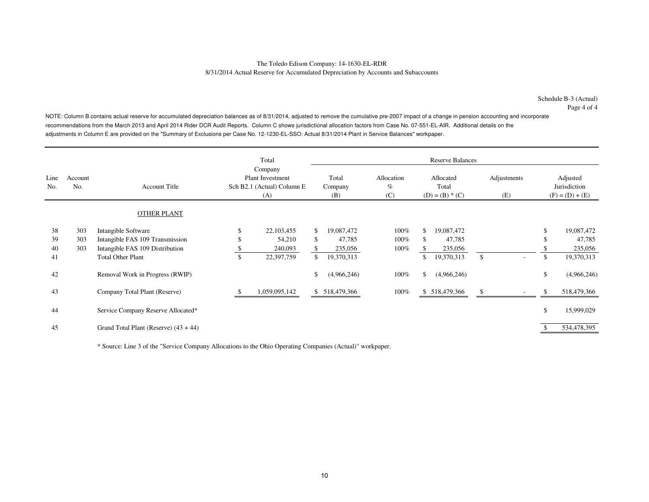Schedule B-3 (Actual)Page 4 of 4

NOTE: Column B contains actual reserve for accumulated depreciation balances as of 8/31/2014, adjusted to remove the cumulative pre-2007 impact of a change in pension accounting and incorporate recommendations from the March 2013 and April 2014 Rider DCR Audit Reports. Column C shows jurisdictional allocation factors from Case No. 07-551-EL-AIR. Additional details on the adjustments in Column E are provided on the "Summary of Exclusions per Case No. 12-1230-EL-SSO: Actual 8/31/2014 Plant in Service Balances" workpaper.

|                |                   |                                                                                           |          | Total                                                                   |          |                                 |                               |           | <b>Reserve Balances</b>                 |                    |    |                                               |
|----------------|-------------------|-------------------------------------------------------------------------------------------|----------|-------------------------------------------------------------------------|----------|---------------------------------|-------------------------------|-----------|-----------------------------------------|--------------------|----|-----------------------------------------------|
| Line<br>No.    | Account<br>No.    | <b>Account Title</b>                                                                      |          | Company<br><b>Plant Investment</b><br>Sch B2.1 (Actual) Column E<br>(A) |          | Total<br>Company<br>(B)         | Allocation<br>$\%$<br>(C)     |           | Allocated<br>Total<br>$(D) = (B) * (C)$ | Adjustments<br>(E) |    | Adjusted<br>Jurisdiction<br>$(F) = (D) + (E)$ |
|                |                   | <b>OTHER PLANT</b>                                                                        |          |                                                                         |          |                                 |                               |           |                                         |                    |    |                                               |
| 38<br>39<br>40 | 303<br>303<br>303 | Intangible Software<br>Intangible FAS 109 Transmission<br>Intangible FAS 109 Distribution | S<br>\$. | 22,103,455<br>54,210<br>240,093                                         | \$<br>\$ | 19,087,472<br>47,785<br>235,056 | $100\%$<br>$100\%$<br>$100\%$ | \$<br>\$. | 19,087,472<br>47,785<br>235,056         |                    |    | 19,087,472<br>47,785<br>235,056               |
| 41             |                   | <b>Total Other Plant</b>                                                                  | \$       | 22,397,759                                                              | \$       | 19,370,313                      |                               | \$        | 19,370,313                              | \$                 | \$ | 19,370,313                                    |
| 42             |                   | Removal Work in Progress (RWIP)                                                           |          |                                                                         | \$       | (4,966,246)                     | $100\%$                       | \$        | (4,966,246)                             |                    | \$ | (4,966,246)                                   |
| 43             |                   | Company Total Plant (Reserve)                                                             |          | 1,059,095,142                                                           |          | \$ 518,479,366                  | $100\%$                       |           | \$ 518,479,366                          |                    | S  | 518,479,366                                   |
| 44             |                   | Service Company Reserve Allocated*                                                        |          |                                                                         |          |                                 |                               |           |                                         |                    | \$ | 15,999,029                                    |
| 45             |                   | Grand Total Plant (Reserve) $(43 + 44)$                                                   |          |                                                                         |          |                                 |                               |           |                                         |                    |    | 534,478,395                                   |

\* Source: Line 3 of the "Service Company Allocations to the Ohio Operating Companies (Actual)" workpaper.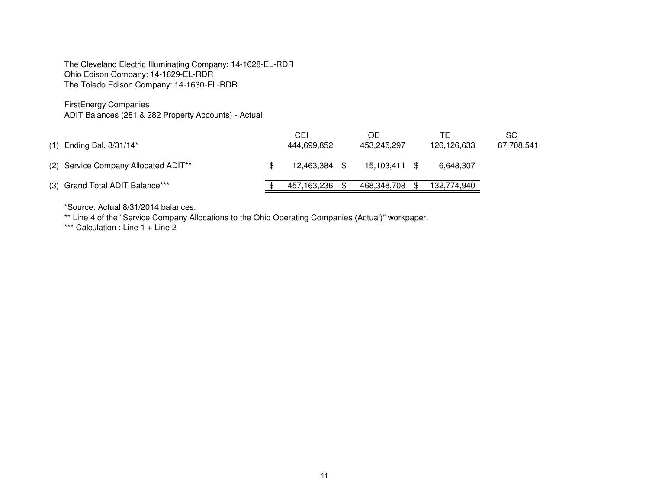The Cleveland Electric Illuminating Company: 14-1628-EL-RDROhio Edison Company: 14-1629-EL-RDRThe Toledo Edison Company: 14-1630-EL-RDR

FirstEnergy Companies

ADIT Balances (281 & 282 Property Accounts) - Actual

| $(1)$ Ending Bal. 8/31/14*           | <b>CEI</b><br>444,699,852 | ОE<br>453,245,297 |      | 126,126,633 | <u>SC</u><br>87,708,541 |
|--------------------------------------|---------------------------|-------------------|------|-------------|-------------------------|
| (2) Service Company Allocated ADIT** | 12.463.384                | 15.103.411 \$     |      | 6.648.307   |                         |
| (3) Grand Total ADIT Balance***      | 457,163,236               | 468,348,708       | - \$ | 132,774,940 |                         |

\*Source: Actual 8/31/2014 balances.

\*\* Line 4 of the "Service Company Allocations to the Ohio Operating Companies (Actual)" workpaper.

\*\*\* Calculation : Line 1 + Line 2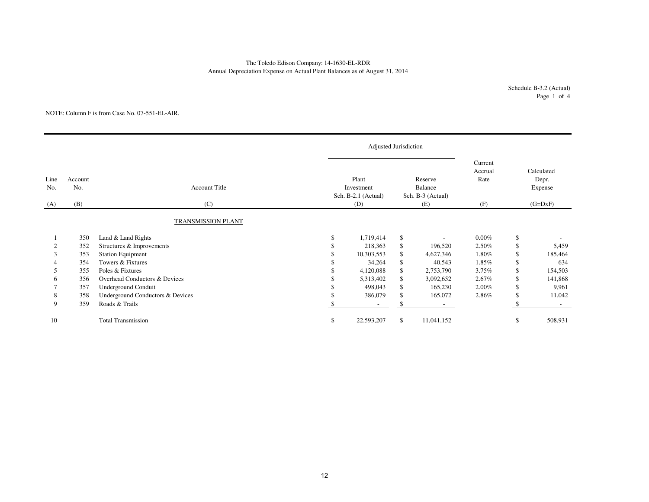# The Toledo Edison Company: 14-1630-EL-RDRAnnual Depreciation Expense on Actual Plant Balances as of August 31, 2014

Schedule B-3.2 (Actual)Page 1 of 4

#### NOTE: Column F is from Case No. 07-551-EL-AIR.

|             |                |                                  |          | <b>Adjusted Jurisdiction</b>               |                                         |                            |               |                                |  |
|-------------|----------------|----------------------------------|----------|--------------------------------------------|-----------------------------------------|----------------------------|---------------|--------------------------------|--|
| Line<br>No. | Account<br>No. | <b>Account Title</b>             |          | Plant<br>Investment<br>Sch. B-2.1 (Actual) | Reserve<br>Balance<br>Sch. B-3 (Actual) | Current<br>Accrual<br>Rate |               | Calculated<br>Depr.<br>Expense |  |
| (A)         | (B)            | (C)                              |          | (D)                                        | (E)                                     | (F)                        |               | $(G=DxF)$                      |  |
|             |                | <b>TRANSMISSION PLANT</b>        |          |                                            |                                         |                            |               |                                |  |
|             | 350            | Land & Land Rights               | <b>S</b> | 1,719,414                                  | \$<br>$\overline{\phantom{a}}$          | $0.00\%$                   | \$            |                                |  |
|             | 352            | Structures & Improvements        |          | 218,363                                    | \$<br>196,520                           | 2.50%                      | \$            | 5,459                          |  |
| 3           | 353            | <b>Station Equipment</b>         |          | 10,303,553                                 | \$<br>4,627,346                         | 1.80%                      | \$            | 185,464                        |  |
|             | 354            | Towers & Fixtures                |          | 34,264                                     | \$<br>40,543                            | 1.85%                      | \$            | 634                            |  |
|             | 355            | Poles & Fixtures                 |          | 4,120,088                                  | \$<br>2,753,790                         | 3.75%                      | $\mathbb{S}$  | 154,503                        |  |
| 6           | 356            | Overhead Conductors & Devices    |          | 5,313,402                                  | \$<br>3,092,652                         | 2.67%                      | \$            | 141,868                        |  |
|             | 357            | Underground Conduit              |          | 498,043                                    | \$<br>165,230                           | 2.00%                      | \$            | 9,961                          |  |
| 8           | 358            | Underground Conductors & Devices |          | 386,079                                    | \$<br>165,072                           | 2.86%                      | <sup>\$</sup> | 11,042                         |  |
| 9           | 359            | Roads & Trails                   |          |                                            |                                         |                            |               |                                |  |
| 10          |                | <b>Total Transmission</b>        | \$       | 22,593,207                                 | \$<br>11,041,152                        |                            | \$.           | 508,931                        |  |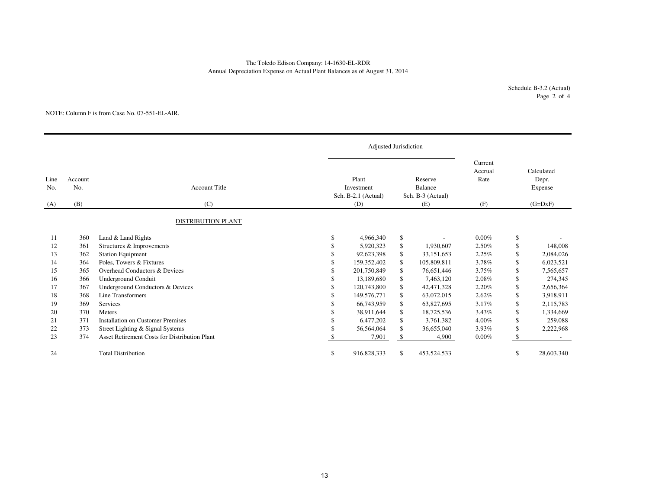# Annual Depreciation Expense on Actual Plant Balances as of August 31, 2014 The Toledo Edison Company: 14-1630-EL-RDR

Schedule B-3.2 (Actual)Page 2 of 4

#### NOTE: Column F is from Case No. 07-551-EL-AIR.

|             |                |                                               |          | Adjusted Jurisdiction                      |    |                                                |                            |     |                                |
|-------------|----------------|-----------------------------------------------|----------|--------------------------------------------|----|------------------------------------------------|----------------------------|-----|--------------------------------|
| Line<br>No. | Account<br>No. | <b>Account Title</b>                          |          | Plant<br>Investment<br>Sch. B-2.1 (Actual) |    | Reserve<br><b>Balance</b><br>Sch. B-3 (Actual) | Current<br>Accrual<br>Rate |     | Calculated<br>Depr.<br>Expense |
| (A)         | (B)            | (C)                                           |          | (D)                                        |    | (E)                                            | (F)                        |     | $(G=DxF)$                      |
|             |                | <b>DISTRIBUTION PLANT</b>                     |          |                                            |    |                                                |                            |     |                                |
| 11          | 360            | Land & Land Rights                            | <b>S</b> | 4,966,340                                  | \$ |                                                | $0.00\%$                   | \$  |                                |
| 12          | 361            | Structures & Improvements                     | £.       | 5,920,323                                  | \$ | 1,930,607                                      | 2.50%                      | \$  | 148,008                        |
| 13          | 362            | <b>Station Equipment</b>                      | \$       | 92,623,398                                 | \$ | 33,151,653                                     | 2.25%                      | \$  | 2,084,026                      |
| 14          | 364            | Poles, Towers & Fixtures                      |          | 159,352,402                                | \$ | 105,809,811                                    | 3.78%                      | \$  | 6,023,521                      |
| 15          | 365            | Overhead Conductors & Devices                 |          | 201,750,849                                | \$ | 76,651,446                                     | 3.75%                      | \$  | 7,565,657                      |
| 16          | 366            | <b>Underground Conduit</b>                    |          | 13.189.680                                 | \$ | 7,463,120                                      | 2.08%                      | \$  | 274,345                        |
| 17          | 367            | Underground Conductors & Devices              |          | 120,743,800                                | \$ | 42,471,328                                     | 2.20%                      | \$  | 2,656,364                      |
| 18          | 368            | Line Transformers                             |          | 149,576,771                                | \$ | 63,072,015                                     | 2.62%                      | \$  | 3,918,911                      |
| 19          | 369            | <b>Services</b>                               |          | 66,743,959                                 | \$ | 63,827,695                                     | 3.17%                      | \$  | 2,115,783                      |
| 20          | 370            | Meters                                        |          | 38,911,644                                 | \$ | 18,725,536                                     | 3.43%                      | \$  | 1,334,669                      |
| 21          | 371            | <b>Installation on Customer Premises</b>      |          | 6,477,202                                  | \$ | 3,761,382                                      | 4.00%                      | \$  | 259,088                        |
| 22          | 373            | Street Lighting & Signal Systems              |          | 56,564,064                                 | \$ | 36,655,040                                     | 3.93%                      | \$  | 2,222,968                      |
| 23          | 374            | Asset Retirement Costs for Distribution Plant |          | 7,901                                      | \$ | 4,900                                          | $0.00\%$                   | \$. |                                |
| 24          |                | <b>Total Distribution</b>                     | \$       | 916,828,333                                | \$ | 453,524,533                                    |                            | \$  | 28,603,340                     |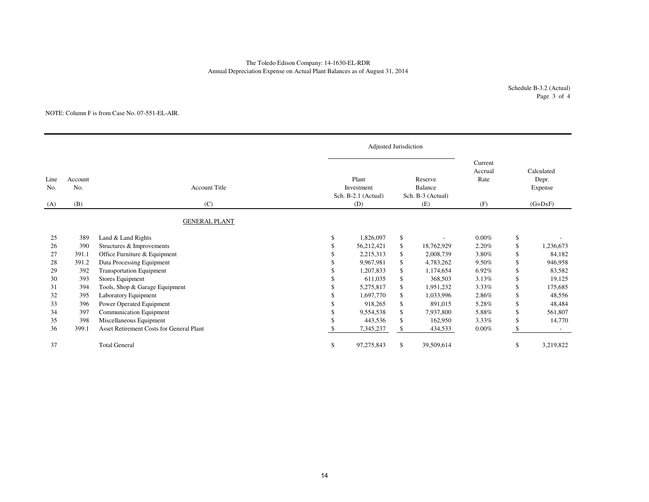# The Toledo Edison Company: 14-1630-EL-RDRAnnual Depreciation Expense on Actual Plant Balances as of August 31, 2014

Schedule B-3.2 (Actual)Page 3 of 4

#### NOTE: Column F is from Case No. 07-551-EL-AIR.

|                    |                       |                                          | Adjusted Jurisdiction                             |                                                       |                                   |    |                                             |
|--------------------|-----------------------|------------------------------------------|---------------------------------------------------|-------------------------------------------------------|-----------------------------------|----|---------------------------------------------|
| Line<br>No.<br>(A) | Account<br>No.<br>(B) | <b>Account Title</b><br>(C)              | Plant<br>Investment<br>Sch. B-2.1 (Actual)<br>(D) | Reserve<br><b>Balance</b><br>Sch. B-3 (Actual)<br>(E) | Current<br>Accrual<br>Rate<br>(F) |    | Calculated<br>Depr.<br>Expense<br>$(G=DxF)$ |
|                    |                       |                                          |                                                   |                                                       |                                   |    |                                             |
|                    |                       | <b>GENERAL PLANT</b>                     |                                                   |                                                       |                                   |    |                                             |
| 25                 | 389                   | Land & Land Rights                       | \$<br>1,826,097                                   | \$                                                    | $0.00\%$                          | \$ |                                             |
| 26                 | 390                   | Structures & Improvements                | 56,212,421                                        | \$<br>18,762,929                                      | 2.20%                             | \$ | 1,236,673                                   |
| 27                 | 391.1                 | Office Furniture & Equipment             | 2,215,313                                         | \$<br>2,008,739                                       | 3.80%                             | \$ | 84,182                                      |
| 28                 | 391.2                 | Data Processing Equipment                | 9.967.981                                         | \$<br>4,783,262                                       | 9.50%                             | \$ | 946,958                                     |
| 29                 | 392                   | <b>Transportation Equipment</b>          | 1,207,833                                         | \$<br>1,174,654                                       | 6.92%                             | \$ | 83,582                                      |
| 30                 | 393                   | Stores Equipment                         | 611,035                                           | \$<br>368,503                                         | 3.13%                             | \$ | 19,125                                      |
| 31                 | 394                   | Tools, Shop & Garage Equipment           | 5,275,817                                         | \$<br>1,951,232                                       | 3.33%                             | \$ | 175,685                                     |
| 32                 | 395                   | Laboratory Equipment                     | 1,697,770                                         | \$<br>1,033,996                                       | 2.86%                             | \$ | 48,556                                      |
| 33                 | 396                   | Power Operated Equipment                 | 918,265                                           | \$<br>891,015                                         | 5.28%                             | \$ | 48,484                                      |
| 34                 | 397                   | Communication Equipment                  | 9,554,538                                         | \$<br>7,937,800                                       | 5.88%                             | \$ | 561,807                                     |
| 35                 | 398                   | Miscellaneous Equipment                  | 443,536                                           | \$<br>162,950                                         | $3.33\%$                          | \$ | 14,770                                      |
| 36                 | 399.1                 | Asset Retirement Costs for General Plant | 7,345,237                                         | \$<br>434,533                                         | $0.00\%$                          | -S |                                             |
| 37                 |                       | <b>Total General</b>                     | \$<br>97,275,843                                  | \$<br>39,509,614                                      |                                   | \$ | 3,219,822                                   |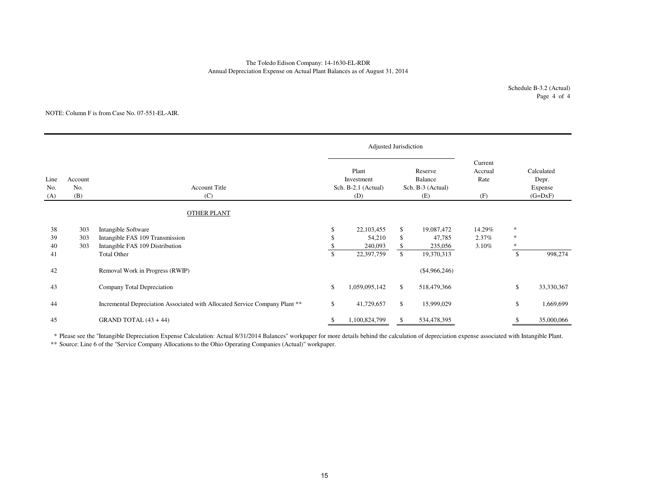# Annual Depreciation Expense on Actual Plant Balances as of August 31, 2014 The Toledo Edison Company: 14-1630-EL-RDR

#### NOTE: Column F is from Case No. 07-551-EL-AIR.

|                    |                       |                                                                                           |    | Adjusted Jurisdiction                             |          |                                                |                                   |                       |                                             |
|--------------------|-----------------------|-------------------------------------------------------------------------------------------|----|---------------------------------------------------|----------|------------------------------------------------|-----------------------------------|-----------------------|---------------------------------------------|
| Line<br>No.<br>(A) | Account<br>No.<br>(B) | <b>Account Title</b><br>(C)                                                               |    | Plant<br>Investment<br>Sch. B-2.1 (Actual)<br>(D) |          | Reserve<br>Balance<br>Sch. B-3 (Actual)<br>(E) | Current<br>Accrual<br>Rate<br>(F) |                       | Calculated<br>Depr.<br>Expense<br>$(G=DxF)$ |
|                    |                       | <b>OTHER PLANT</b>                                                                        |    |                                                   |          |                                                |                                   |                       |                                             |
| 38<br>39<br>40     | 303<br>303<br>303     | Intangible Software<br>Intangible FAS 109 Transmission<br>Intangible FAS 109 Distribution | \$ | 22,103,455<br>54,210<br>240,093                   | \$<br>\$ | 19,087,472<br>47,785<br>235,056                | 14.29%<br>2.37%<br>3.10%          | $\ast$<br>$\ast$<br>* |                                             |
| 41                 |                       | <b>Total Other</b>                                                                        | \$ | 22,397,759                                        | \$       | 19,370,313                                     |                                   | \$                    | 998,274                                     |
| 42                 |                       | Removal Work in Progress (RWIP)                                                           |    |                                                   |          | $(\$4,966,246)$                                |                                   |                       |                                             |
| 43                 |                       | Company Total Depreciation                                                                | \$ | 1,059,095,142                                     | \$       | 518,479,366                                    |                                   | \$                    | 33,330,367                                  |
| 44                 |                       | Incremental Depreciation Associated with Allocated Service Company Plant **               | \$ | 41,729,657                                        | \$       | 15,999,029                                     |                                   | \$                    | 1,669,699                                   |
| 45                 |                       | GRAND TOTAL $(43 + 44)$                                                                   |    | 1,100,824,799                                     | \$       | 534,478,395                                    |                                   |                       | 35,000,066                                  |

\* Please see the "Intangible Depreciation Expense Calculation: Actual 8/31/2014 Balances" workpaper for more details behind the calculation of depreciation expense associated with Intangible Plant.

\*\* Source: Line 6 of the "Service Company Allocations to the Ohio Operating Companies (Actual)" workpaper.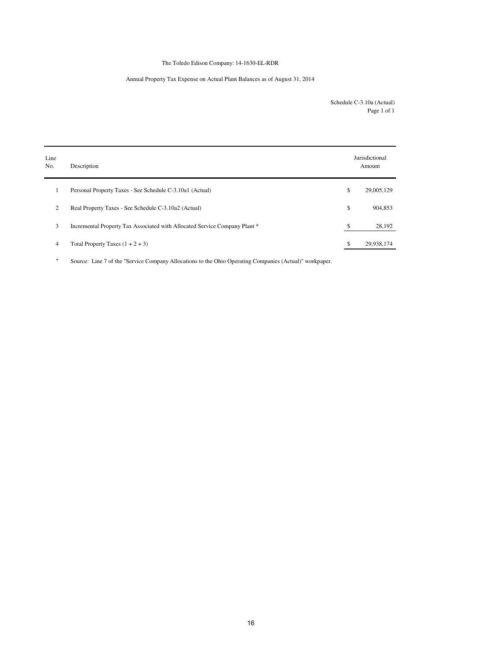# The Toledo Edison Company: 14-1630-EL-RDR

# Annual Property Tax Expense on Actual Plant Balances as of August 31, 2014

Schedule C-3.10a (Actual) Page 1 of 1

| Line<br>No. | Description                                                                | Jurisdictional<br>Amount |
|-------------|----------------------------------------------------------------------------|--------------------------|
|             | Personal Property Taxes - See Schedule C-3.10a1 (Actual)                   | \$<br>29,005,129         |
| 2           | Real Property Taxes - See Schedule C-3.10a2 (Actual)                       | \$<br>904,853            |
| 3           | Incremental Property Tax Associated with Allocated Service Company Plant * | \$<br>28,192             |
| 4           | Total Property Taxes $(1 + 2 + 3)$                                         | \$<br>29,938,174         |

\* Source: Line 7 of the "Service Company Allocations to the Ohio Operating Companies (Actual)" workpaper.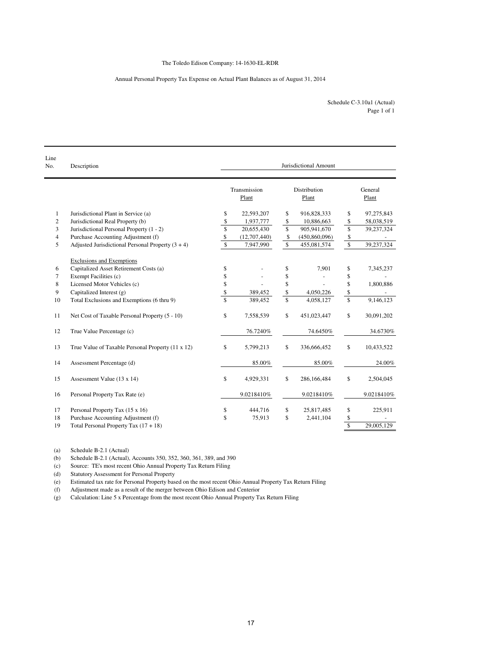# Annual Personal Property Tax Expense on Actual Plant Balances as of August 31, 2014

Page 1 of 1 Schedule C-3.10a1 (Actual)

| Line<br>No.    | Description                                         | Jurisdictional Amount   |                       |    |                       |                      |                  |  |  |  |  |
|----------------|-----------------------------------------------------|-------------------------|-----------------------|----|-----------------------|----------------------|------------------|--|--|--|--|
|                |                                                     |                         | Transmission<br>Plant |    | Distribution<br>Plant |                      | General<br>Plant |  |  |  |  |
| $\mathbf{1}$   | Jurisdictional Plant in Service (a)                 | \$                      | 22,593,207            | \$ | 916,828,333           | \$                   | 97,275,843       |  |  |  |  |
| $\overline{c}$ | Jurisdictional Real Property (b)                    | \$                      | 1,937,777             | \$ | 10,886,663            | \$                   | 58,038,519       |  |  |  |  |
| 3              | Jurisdictional Personal Property (1 - 2)            | \$                      | 20,655,430            | \$ | 905,941,670           | \$                   | 39,237,324       |  |  |  |  |
| $\overline{4}$ | Purchase Accounting Adjustment (f)                  | \$                      | (12,707,440)          | \$ | (450,860,096)         | \$                   |                  |  |  |  |  |
| 5              | Adjusted Jurisdictional Personal Property $(3 + 4)$ | \$                      | 7,947,990             | \$ | 455,081,574           | $\sqrt{\frac{2}{3}}$ | 39,237,324       |  |  |  |  |
|                | <b>Exclusions and Exemptions</b>                    |                         |                       |    |                       |                      |                  |  |  |  |  |
| 6              | Capitalized Asset Retirement Costs (a)              | \$                      |                       | \$ | 7,901                 | \$                   | 7,345,237        |  |  |  |  |
| $\overline{7}$ | Exempt Facilities (c)                               | \$                      |                       | \$ |                       | \$                   |                  |  |  |  |  |
| 8              | Licensed Motor Vehicles (c)                         | \$                      |                       | \$ |                       | \$                   | 1,800,886        |  |  |  |  |
| 9              | Capitalized Interest (g)                            | \$                      | 389,452               | \$ | 4,050,226             | \$                   |                  |  |  |  |  |
| 10             | Total Exclusions and Exemptions (6 thru 9)          | $\overline{\mathsf{s}}$ | 389,452               | \$ | 4,058,127             | \$                   | 9,146,123        |  |  |  |  |
| 11             | Net Cost of Taxable Personal Property (5 - 10)      | \$                      | 7,558,539             | \$ | 451,023,447           | \$                   | 30,091,202       |  |  |  |  |
| 12             | True Value Percentage (c)                           |                         | 76.7240%              |    | 74.6450%              |                      | 34.6730%         |  |  |  |  |
| 13             | True Value of Taxable Personal Property (11 x 12)   | \$                      | 5,799,213             | \$ | 336,666,452           | $\mathbb{S}$         | 10,433,522       |  |  |  |  |
| 14             | Assessment Percentage (d)                           |                         | 85.00%                |    | 85.00%                |                      | 24.00%           |  |  |  |  |
| 15             | Assessment Value (13 x 14)                          | \$                      | 4,929,331             | \$ | 286,166,484           | \$                   | 2,504,045        |  |  |  |  |
| 16             | Personal Property Tax Rate (e)                      |                         | 9.0218410%            |    | 9.0218410%            |                      | 9.0218410%       |  |  |  |  |
| 17             | Personal Property Tax (15 x 16)                     | \$                      | 444,716               | \$ | 25,817,485            | \$                   | 225,911          |  |  |  |  |
| 18             | Purchase Accounting Adjustment (f)                  | \$                      | 75,913                | \$ | 2,441,104             | \$                   |                  |  |  |  |  |
| 19             | Total Personal Property Tax $(17 + 18)$             |                         |                       |    |                       | $\mathbb{S}$         | 29,005,129       |  |  |  |  |

(a) Schedule B-2.1 (Actual)

(b) Schedule B-2.1 (Actual), Accounts 350, 352, 360, 361, 389, and 390

(c) Source: TE's most recent Ohio Annual Property Tax Return Filing

(d) Statutory Assessment for Personal Property

(e) Estimated tax rate for Personal Property based on the most recent Ohio Annual Property Tax Return Filing

(f) Adjustment made as a result of the merger between Ohio Edison and Centerior

(g) Calculation: Line 5 x Percentage from the most recent Ohio Annual Property Tax Return Filing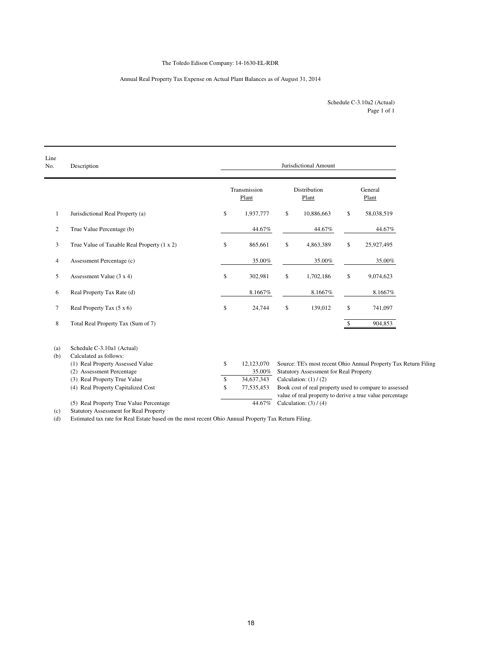# The Toledo Edison Company: 14-1630-EL-RDR

# Annual Real Property Tax Expense on Actual Plant Balances as of August 31, 2014

| Schedule C-3.10a2 (Actual) |
|----------------------------|
| Page 1 of 1                |

| Line<br>No. | Description                                                   | Jurisdictional Amount      |    |                                               |    |                                                                 |  |  |  |  |  |
|-------------|---------------------------------------------------------------|----------------------------|----|-----------------------------------------------|----|-----------------------------------------------------------------|--|--|--|--|--|
|             |                                                               | Transmission<br>Plant      |    | Distribution<br>Plant                         |    | General<br>Plant                                                |  |  |  |  |  |
| 1           | Jurisdictional Real Property (a)                              | \$<br>1,937,777            | \$ | 10,886,663                                    | \$ | 58,038,519                                                      |  |  |  |  |  |
| 2           | True Value Percentage (b)                                     | 44.67%                     |    | 44.67%                                        |    | 44.67%                                                          |  |  |  |  |  |
| 3           | True Value of Taxable Real Property (1 x 2)                   | \$<br>865,661              | \$ | 4,863,389                                     | \$ | 25,927,495                                                      |  |  |  |  |  |
| 4           | Assessment Percentage (c)                                     | 35.00%                     |    | 35.00%                                        |    | 35.00%                                                          |  |  |  |  |  |
| 5           | Assessment Value (3 x 4)                                      | \$<br>302,981              | \$ | 1,702,186                                     | \$ | 9,074,623                                                       |  |  |  |  |  |
| 6           | Real Property Tax Rate (d)                                    | 8.1667%                    |    | 8.1667%                                       |    | 8.1667%                                                         |  |  |  |  |  |
| 7           | Real Property Tax (5 x 6)                                     | \$<br>24,744               | \$ | 139,012                                       | \$ | 741,097                                                         |  |  |  |  |  |
| 8           | Total Real Property Tax (Sum of 7)                            |                            |    |                                               | \$ | 904,853                                                         |  |  |  |  |  |
| (a)         | Schedule C-3.10a1 (Actual)                                    |                            |    |                                               |    |                                                                 |  |  |  |  |  |
| (b)         | Calculated as follows:                                        |                            |    |                                               |    |                                                                 |  |  |  |  |  |
|             | (1) Real Property Assessed Value<br>(2) Assessment Percentage | \$<br>12,123,070<br>35.00% |    | <b>Statutory Assessment for Real Property</b> |    | Source: TE's most recent Ohio Annual Property Tax Return Filing |  |  |  |  |  |
|             | (3) Real Property True Value                                  | \$<br>34,637,343           |    | Calculation: $(1) / (2)$                      |    |                                                                 |  |  |  |  |  |
|             | (4) Real Property Capitalized Cost                            | \$<br>77,535,453           |    |                                               |    | Book cost of real property used to compare to assessed          |  |  |  |  |  |
|             |                                                               |                            |    |                                               |    | value of real property to derive a true value percentage        |  |  |  |  |  |
|             | (5) Real Property True Value Percentage                       | 44.67%                     |    | Calculation: $(3) / (4)$                      |    |                                                                 |  |  |  |  |  |
| (a)         | Cropstory Association for Dool Droporty                       |                            |    |                                               |    |                                                                 |  |  |  |  |  |

(c) Statutory Assessment for Real Property

(d) Estimated tax rate for Real Estate based on the most recent Ohio Annual Property Tax Return Filing.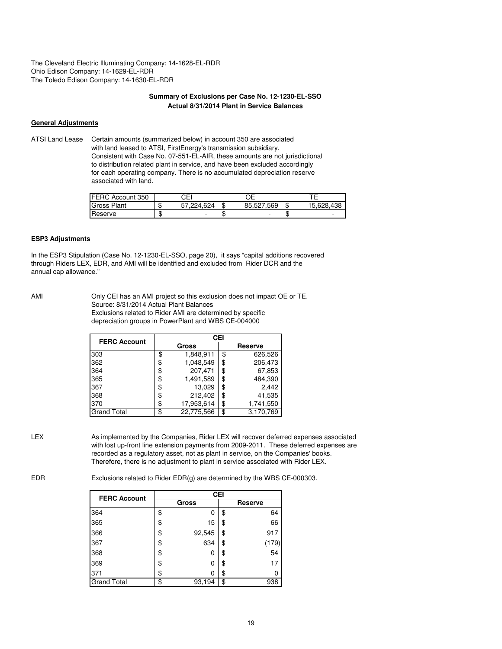The Cleveland Electric Illuminating Company: 14-1628-EL-RDR Ohio Edison Company: 14-1629-EL-RDR The Toledo Edison Company: 14-1630-EL-RDR

### **Summary of Exclusions per Case No. 12-1230-EL-SSO Actual 8/31/2014 Plant in Service Balances**

#### **General Adjustments**

ATSI Land Lease Certain amounts (summarized below) in account 350 are associated with land leased to ATSI, FirstEnergy's transmission subsidiary. Consistent with Case No. 07-551-EL-AIR, these amounts are not jurisdictional to distribution related plant in service, and have been excluded accordingly for each operating company. There is no accumulated depreciation reserve associated with land.

| <b>FERC Account 350</b> |    | CЕI        |                          |   |            |
|-------------------------|----|------------|--------------------------|---|------------|
| <b>Gross Plant</b>      | κĐ | 57.224.624 | 85.527.569               | æ | 15.628.438 |
| Reserve                 | w  |            | $\overline{\phantom{a}}$ |   |            |

### **ESP3 Adjustments**

In the ESP3 Stipulation (Case No. 12-1230-EL-SSO, page 20), it says "capital additions recovered through Riders LEX, EDR, and AMI will be identified and excluded from Rider DCR and the annual cap allowance."

AMI Only CEI has an AMI project so this exclusion does not impact OE or TE. Source: 8/31/2014 Actual Plant Balances Exclusions related to Rider AMI are determined by specific depreciation groups in PowerPlant and WBS CE-004000

| <b>FERC Account</b> | <b>CEI</b> |            |         |           |  |  |  |  |  |  |  |
|---------------------|------------|------------|---------|-----------|--|--|--|--|--|--|--|
|                     |            | Gross      | Reserve |           |  |  |  |  |  |  |  |
| 303                 | \$         | 1,848,911  | \$      | 626,526   |  |  |  |  |  |  |  |
| 362                 | \$         | 1,048,549  | \$      | 206,473   |  |  |  |  |  |  |  |
| 364                 | \$         | 207,471    | \$      | 67,853    |  |  |  |  |  |  |  |
| 365                 | \$         | 1,491,589  | \$      | 484,390   |  |  |  |  |  |  |  |
| 367                 | \$         | 13,029     | \$      | 2,442     |  |  |  |  |  |  |  |
| 368                 | \$         | 212,402    | \$      | 41,535    |  |  |  |  |  |  |  |
| 370                 | \$         | 17,953,614 | \$      | 1,741,550 |  |  |  |  |  |  |  |
| <b>Grand Total</b>  | \$         | 22,775,566 | \$      | 3,170,769 |  |  |  |  |  |  |  |

LEX As implemented by the Companies, Rider LEX will recover deferred expenses associated with lost up-front line extension payments from 2009-2011. These deferred expenses are recorded as a regulatory asset, not as plant in service, on the Companies' books. Therefore, there is no adjustment to plant in service associated with Rider LEX.

EDR Exclusions related to Rider EDR(g) are determined by the WBS CE-000303.

| <b>FERC Account</b> | <b>CEI</b>   |         |       |  |  |  |  |  |  |  |
|---------------------|--------------|---------|-------|--|--|--|--|--|--|--|
|                     | Gross        | Reserve |       |  |  |  |  |  |  |  |
| 364                 | \$<br>0      | \$      | 64    |  |  |  |  |  |  |  |
| 365                 | \$<br>15     | \$      | 66    |  |  |  |  |  |  |  |
| 366                 | \$<br>92,545 | \$      | 917   |  |  |  |  |  |  |  |
| 367                 | \$<br>634    | \$      | (179) |  |  |  |  |  |  |  |
| 368                 | \$<br>0      | \$      | 54    |  |  |  |  |  |  |  |
| 369                 | \$<br>0      | \$      | 17    |  |  |  |  |  |  |  |
| 371                 | \$<br>0      | \$      | 0     |  |  |  |  |  |  |  |
| <b>Grand Total</b>  | \$<br>93,194 | \$      | 938   |  |  |  |  |  |  |  |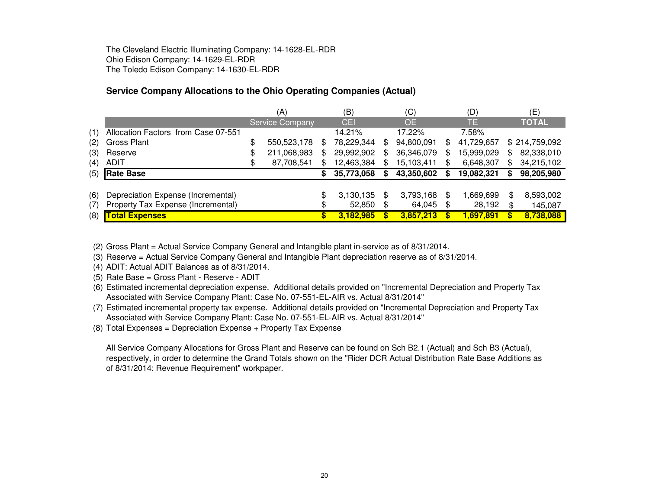The Cleveland Electric Illuminating Company: 14-1628-EL-RDROhio Edison Company: 14-1629-EL-RDRThe Toledo Edison Company: 14-1630-EL-RDR

# **Service Company Allocations to the Ohio Operating Companies (Actual)**

|     |                                     |     | (A)                    | (B) |            | (C) |            |    | (D)        |     | (E)           |
|-----|-------------------------------------|-----|------------------------|-----|------------|-----|------------|----|------------|-----|---------------|
|     |                                     |     | <b>Service Company</b> |     | CEI        |     | <b>OE</b>  |    | TE.        |     | <b>TOTAL</b>  |
| (1) | Allocation Factors from Case 07-551 |     |                        |     | 14.21%     |     | 17.22%     |    | 7.58%      |     |               |
| (2) | Gross Plant                         | \$  | 550,523,178            | \$. | 78,229,344 | \$  | 94,800,091 | S  | 41,729,657 |     | \$214,759,092 |
| (3) | Reserve                             | \$  | 211,068,983            | \$. | 29,992,902 | \$  | 36,346,079 | \$ | 15,999,029 | \$. | 82,338,010    |
| (4) | ADIT                                | \$. | 87,708,541             | \$. | 12,463,384 |     | 15,103,411 | S  | 6,648,307  | \$. | 34,215,102    |
| (5) | <b>Rate Base</b>                    |     |                        |     | 35,773,058 |     | 43,350,602 | S  | 19,082,321 |     | 98,205,980    |
|     |                                     |     |                        |     |            |     |            |    |            |     |               |
| (6) | Depreciation Expense (Incremental)  |     |                        | \$  | 3,130,135  | \$  | 3,793,168  | \$ | 1,669,699  | \$  | 8,593,002     |
| (7) | Property Tax Expense (Incremental)  |     |                        | \$  | 52,850     | \$  | 64,045     | \$ | 28,192     | \$  | 145,087       |
| (8) | <b>Total Expenses</b>               |     |                        |     | 3,182,985  |     | 3,857,213  | \$ | 1,697,891  | S.  | 8,738,088     |

(2) Gross Plant = Actual Service Company General and Intangible plant in-service as of 8/31/2014.

(3) Reserve = Actual Service Company General and Intangible Plant depreciation reserve as of 8/31/2014.

(4) ADIT: Actual ADIT Balances as of 8/31/2014.

(5) Rate Base = Gross Plant - Reserve - ADIT

 (6) Estimated incremental depreciation expense. Additional details provided on "Incremental Depreciation and Property Tax Associated with Service Company Plant: Case No. 07-551-EL-AIR vs. Actual 8/31/2014"

 (7) Estimated incremental property tax expense. Additional details provided on "Incremental Depreciation and Property Tax Associated with Service Company Plant: Case No. 07-551-EL-AIR vs. Actual 8/31/2014"

(8) Total Expenses = Depreciation Expense + Property Tax Expense

All Service Company Allocations for Gross Plant and Reserve can be found on Sch B2.1 (Actual) and Sch B3 (Actual), respectively, in order to determine the Grand Totals shown on the "Rider DCR Actual Distribution Rate Base Additions as of 8/31/2014: Revenue Requirement" workpaper.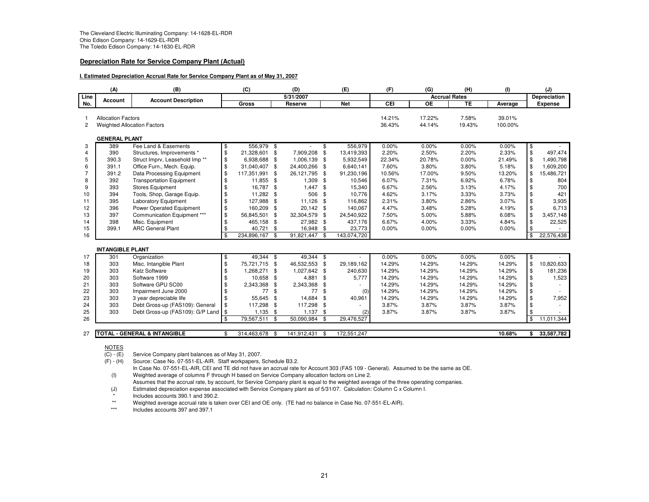#### **Depreciation Rate for Service Company Plant (Actual)**

#### **I. Estimated Depreciation Accrual Rate for Service Company Plant as of May 31, 2007**

|                                                                                   | (A)<br>(B)<br>(C)<br>(D) |                                           | (E) | (F)          | (G)            | (H)         | (1)          |             | (J)              |                  |                      |                   |               |                     |
|-----------------------------------------------------------------------------------|--------------------------|-------------------------------------------|-----|--------------|----------------|-------------|--------------|-------------|------------------|------------------|----------------------|-------------------|---------------|---------------------|
| Line                                                                              | Account                  | <b>Account Description</b>                |     |              |                | 5/31/2007   |              |             |                  |                  | <b>Accrual Rates</b> |                   |               | <b>Depreciation</b> |
| No.                                                                               |                          |                                           |     | <b>Gross</b> |                | Reserve     |              | <b>Net</b>  | CEI              | <b>OE</b>        | TE                   | Average           |               | <b>Expense</b>      |
| <b>Allocation Factors</b><br>$\overline{2}$<br><b>Weighted Allocation Factors</b> |                          |                                           |     |              |                |             |              |             | 14.21%<br>36.43% | 17.22%<br>44.14% | 7.58%<br>19.43%      | 39.01%<br>100.00% |               |                     |
| <b>GENERAL PLANT</b>                                                              |                          |                                           |     |              |                |             |              |             |                  |                  |                      |                   |               |                     |
| 3                                                                                 | 389                      | Fee Land & Easements                      | \$  | 556,979      | - \$           |             | \$           | 556,979     | 0.00%            | 0.00%            | 0.00%                | 0.00%             | $\frac{6}{9}$ |                     |
| $\overline{4}$                                                                    | 390                      | Structures, Improvements *                | \$  | 21,328,601   | \$             | 7,909,208   | \$           | 13,419,393  | 2.20%            | 2.50%            | 2.20%                | 2.33%             |               | 497.474             |
| 5                                                                                 | 390.3                    | Struct Imprv, Leasehold Imp <sup>**</sup> | \$  | 6,938,688    | \$             | 1,006,139   | \$           | 5,932,549   | 22.34%           | 20.78%           | 0.00%                | 21.49%            | \$            | 1,490,798           |
| 6                                                                                 | 391.1                    | Office Furn., Mech. Equip.                | \$  | 31,040,407   | \$             | 24,400,266  | \$           | 6,640,141   | 7.60%            | 3.80%            | 3.80%                | 5.18%             | \$            | 1,609,200           |
| 7                                                                                 | 391.2                    | Data Processing Equipment                 | \$  | 117,351,991  | \$             | 26,121,795  | \$           | 91,230,196  | 10.56%           | 17.00%           | 9.50%                | 13.20%            | \$            | 15,486,721          |
| 8                                                                                 | 392                      | <b>Transportation Equipment</b>           | \$  | 11,855       | \$             | 1,309       | \$           | 10,546      | 6.07%            | 7.31%            | 6.92%                | 6.78%             | \$            | 804                 |
| 9                                                                                 | 393                      | <b>Stores Equipment</b>                   | \$  | 16,787       | \$             | 1,447       | \$           | 15,340      | 6.67%            | 2.56%            | 3.13%                | 4.17%             | \$            | 700                 |
| 10                                                                                | 394                      | Tools, Shop, Garage Equip.                | \$  | 11,282       | -\$            | 506         | \$           | 10,776      | 4.62%            | 3.17%            | 3.33%                | 3.73%             | \$            | 421                 |
| 11                                                                                | 395                      | <b>Laboratory Equipment</b>               | \$  | 127,988      | \$             | 11,126      | $\mathbf{f}$ | 116,862     | 2.31%            | 3.80%            | 2.86%                | 3.07%             | \$            | 3,935               |
| 12                                                                                | 396                      | Power Operated Equipment                  | \$  | 160,209      | \$             | 20,142      | \$           | 140,067     | 4.47%            | 3.48%            | 5.28%                | 4.19%             | \$            | 6,713               |
| 13                                                                                | 397                      | Communication Equipment ***               | \$  | 56,845,501   | $\mathbf{f}$   | 32,304,579  | \$           | 24,540,922  | 7.50%            | 5.00%            | 5.88%                | 6.08%             | \$            | 3,457,148           |
| 14                                                                                | 398                      | Misc. Equipment                           | \$  | 465,158      | -\$            | 27,982      | \$           | 437,176     | 6.67%            | 4.00%            | 3.33%                | 4.84%             | \$            | 22,525              |
| 15                                                                                | 399.1                    | <b>ARC General Plant</b>                  | \$  | 40,721       | \$             | 16,948      | \$           | 23,773      | 0.00%            | 0.00%            | 0.00%                | 0.00%             | $\sqrt{3}$    |                     |
| 16                                                                                |                          |                                           | \$  | 234,896,167  | -\$            | 91,821,447  | \$           | 143,074,720 |                  |                  |                      |                   | \$            | 22,576,438          |
|                                                                                   | <b>INTANGIBLE PLANT</b>  |                                           |     |              |                |             |              |             |                  |                  |                      |                   |               |                     |
| 17                                                                                | 301                      | Organization                              | \$  | $49,344$ \$  |                | 49,344 \$   |              |             | 0.00%            | 0.00%            | 0.00%                | 0.00%             | $\frac{1}{2}$ |                     |
| 18                                                                                | 303                      | Misc. Intangible Plant                    | \$  | 75,721,715   | - \$           | 46,532,553  | \$           | 29,189,162  | 14.29%           | 14.29%           | 14.29%               | 14.29%            | $\frac{1}{2}$ | 10,820,633          |
| 19                                                                                | 303                      | <b>Katz Software</b>                      | \$  | 1,268,271    | \$             | 1,027,642   | \$           | 240,630     | 14.29%           | 14.29%           | 14.29%               | 14.29%            | $\sqrt{3}$    | 181,236             |
| 20                                                                                | 303                      | Software 1999                             | \$  | 10,658       | \$             | 4,881       | \$           | 5,777       | 14.29%           | 14.29%           | 14.29%               | 14.29%            | \$            | 1,523               |
| 21                                                                                | 303                      | Software GPU SC00                         | \$  | 2,343,368    | \$             | 2,343,368   | \$           |             | 14.29%           | 14.29%           | 14.29%               | 14.29%            | \$            |                     |
| 22                                                                                | 303                      | Impairment June 2000                      | \$  | 77           | \$             | 77          | $\mathbf{f}$ | (0)         | 14.29%           | 14.29%           | 14.29%               | 14.29%            | \$            |                     |
| 23                                                                                | 303                      | 3 year depreciable life                   | \$  | 55,645       | $\mathfrak{g}$ | 14,684      | \$           | 40,961      | 14.29%           | 14.29%           | 14.29%               | 14.29%            | \$            | 7,952               |
| 24                                                                                | 303                      | Debt Gross-up (FAS109): General           | \$  | 117,298      | \$             | 117,298     | £.           |             | 3.87%            | 3.87%            | 3.87%                | 3.87%             | \$            |                     |
| 25                                                                                | 303                      | Debt Gross-up (FAS109): G/P Land \$       |     | $1,135$ \$   |                | 1,137       | \$           | (2)         | 3.87%            | 3.87%            | 3.87%                | 3.87%             | $\sqrt{3}$    |                     |
| 26                                                                                |                          |                                           | \$  | 79,567,511   | $\sqrt{3}$     | 50,090,984  | \$           | 29,476,527  |                  |                  |                      |                   | \$            | 11,011,344          |
| 27                                                                                |                          | <b>TOTAL - GENERAL &amp; INTANGIBLE</b>   | \$  | 314,463,678  | - \$           | 141,912,431 | \$           | 172,551,247 |                  |                  |                      | 10.68%            | \$            | 33,587,782          |

#### NOTES

(C) - (E) Service Company plant balances as of May 31, 2007.

(F) - (H) Source: Case No. 07-551-EL-AIR. Staff workpapers, Schedule B3.2.

In Case No. 07-551-EL-AIR, CEI and TE did not have an accrual rate for Account 303 (FAS 109 - General). Assumed to be the same as OE.(I) Weighted average of columns F through H based on Service Company allocation factors on Line 2.

Assumes that the accrual rate, by account, for Service Company plant is equal to the weighted average of the three operating companies.

(J) Estimated depreciation expense associated with Service Company plant as of 5/31/07. Calculation: Column C x Column I.

Includes accounts 390.1 and 390.2.

\*\*Weighted average accrual rate is taken over CEI and OE only. (TE had no balance in Case No. 07-551-EL-AIR).

\*\*\*Includes accounts 397 and 397.1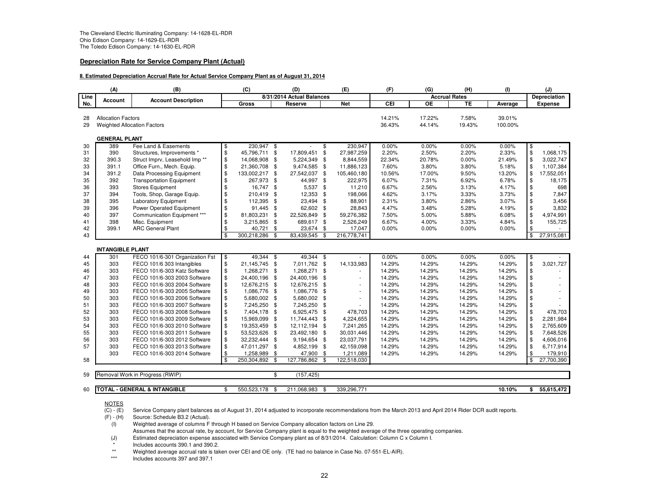#### **Depreciation Rate for Service Company Plant (Actual)**

#### **II. Estimated Depreciation Accrual Rate for Actual Service Company Plant as of August 31, 2014**

|          | (C)<br>(A)<br>(B)<br>(D)           |                                         | (E)                     | (F)            | (G)            | (H)                       | (1)            |                          | (J)        |                      |                 |          |                           |                |
|----------|------------------------------------|-----------------------------------------|-------------------------|----------------|----------------|---------------------------|----------------|--------------------------|------------|----------------------|-----------------|----------|---------------------------|----------------|
| Line     | Account                            | <b>Account Description</b>              |                         |                |                | 8/31/2014 Actual Balances |                |                          |            | <b>Accrual Rates</b> |                 |          | Depreciation              |                |
| No.      |                                    |                                         |                         | Gross          |                | Reserve                   |                | <b>Net</b>               | <b>CEI</b> | OE                   | TE              | Average  |                           | <b>Expense</b> |
|          |                                    |                                         |                         |                |                |                           |                |                          |            |                      |                 |          |                           |                |
| 28       | <b>Allocation Factors</b>          |                                         |                         |                |                |                           |                |                          | 14.21%     | 17.22%<br>44.14%     | 7.58%<br>19.43% | 39.01%   |                           |                |
| 29       | <b>Weighted Allocation Factors</b> |                                         |                         |                |                |                           |                |                          | 36.43%     |                      |                 | 100.00%  |                           |                |
|          | <b>GENERAL PLANT</b>               |                                         |                         |                |                |                           |                |                          |            |                      |                 |          |                           |                |
| 30       | 389                                | Fee Land & Easements                    | \$                      | $230.947$ \$   |                |                           | \$             | 230.947                  | 0.00%      | 0.00%                | 0.00%           | 0.00%    | \$                        |                |
| 31       | 390                                | Structures, Improvements *              | \$                      | 45,796,711     | \$             | 17,809,451                | \$             | 27,987,259               | 2.20%      | 2.50%                | 2.20%           | 2.33%    | $\frac{1}{2}$             | 1,068,175      |
| 32       | 390.3                              | Struct Imprv, Leasehold Imp**           | \$                      | 14,068,908     | - \$           | 5,224,349                 | \$             | 8,844,559                | 22.34%     | 20.78%               | 0.00%           | 21.49%   | $\frac{1}{2}$             | 3,022,747      |
| 33       | 391.1                              | Office Furn., Mech. Equip.              | \$                      | 21,360,708     | - \$           | 9,474,585                 | \$             | 11,886,123               | 7.60%      | 3.80%                | 3.80%           | 5.18%    | \$                        | 1,107,384      |
| 34       | 391.2                              | Data Processing Equipment               | \$                      | 133,002,217    | - \$           | 27,542,037                | \$             | 105,460,180              | 10.56%     | 17.00%               | 9.50%           | 13.20%   | \$                        | 17,552,051     |
| 35       | 392                                | <b>Transportation Equipment</b>         | \$                      | 267,973 \$     |                | 44,997                    | \$             | 222,975                  | 6.07%      | 7.31%                | 6.92%           | 6.78%    | \$                        | 18,175         |
| 36       | 393                                | <b>Stores Equipment</b>                 | \$                      | 16,747 \$      |                | 5,537                     | \$             | 11,210                   | 6.67%      | 2.56%                | 3.13%           | 4.17%    | \$                        | 698            |
| 37       | 394                                | Tools, Shop, Garage Equip.              | \$                      | 210,419        | - \$           | 12,353                    | \$             | 198,066                  | 4.62%      | 3.17%                | 3.33%           | 3.73%    | \$                        | 7,847          |
| 38       | 395                                | <b>Laboratory Equipment</b>             | \$                      | 112,395        | - \$           | 23,494                    | \$             | 88,901                   | 2.31%      | 3.80%                | 2.86%           | 3.07%    | \$                        | 3,456          |
| 39       | 396                                | <b>Power Operated Equipment</b>         | \$                      | 91,445         | - \$           | 62,602                    | $\mathfrak{s}$ | 28,843                   | 4.47%      | 3.48%                | 5.28%           | 4.19%    | \$                        | 3,832          |
| 40       | 397                                | Communication Equipment ***             | \$                      | 81,803,231     | \$             | 22,526,849                | \$             | 59,276,382               | 7.50%      | 5.00%                | 5.88%           | 6.08%    | \$                        | 4,974,991      |
| 41       | 398                                | Misc. Equipment                         | \$                      | 3,215,865      | \$             | 689,617                   | \$             | 2,526,249                | 6.67%      | 4.00%                | 3.33%           | 4.84%    | \$                        | 155,725        |
| 42       | 399.1                              | <b>ARC General Plant</b>                | \$                      | 40,721         | $\mathfrak{s}$ | 23,674                    | \$             | 17,047                   | 0.00%      | $0.00\%$             | 0.00%           | $0.00\%$ | \$                        |                |
| 43       |                                    |                                         | \$                      | 300,218,286    | \$             | 83,439,545                | \$             | 216,778,741              |            |                      |                 |          | \$                        | 27,915,081     |
|          | <b>INTANGIBLE PLANT</b>            |                                         |                         |                |                |                           |                |                          |            |                      |                 |          |                           |                |
|          | 301                                | FECO 101/6-301 Organization Fst         | $\overline{\mathbf{e}}$ | $49.344$ \$    |                | 49.344                    | \$             |                          | 0.00%      | 0.00%                | 0.00%           | 0.00%    |                           |                |
| 44<br>45 | 303                                | FECO 101/6 303 Intangibles              | \$                      | 21,145,745     | - \$           | 7,011,762                 | - \$           | 14,133,983               | 14.29%     | 14.29%               | 14.29%          | 14.29%   | $\overline{\theta}$<br>\$ | 3,021,727      |
| 46       | 303                                | FECO 101/6-303 Katz Software            | \$                      | 1,268,271      | \$             | 1,268,271                 | \$             |                          | 14.29%     | 14.29%               | 14.29%          | 14.29%   | $\sqrt[6]{\frac{1}{2}}$   |                |
| 47       | 303                                | FECO 101/6-303 2003 Software            | \$                      | 24,400,196     | - \$           | 24,400,196                | \$             | ٠                        | 14.29%     | 14.29%               | 14.29%          | 14.29%   | \$                        |                |
| 48       | 303                                | FECO 101/6-303 2004 Software            | \$                      | 12,676,215     | - \$           | 12,676,215                | \$             | ٠                        | 14.29%     | 14.29%               | 14.29%          | 14.29%   | \$                        |                |
| 49       | 303                                | FECO 101/6-303 2005 Software            | \$                      | 1,086,776      | -\$            | 1,086,776                 | \$             | $\overline{\phantom{a}}$ | 14.29%     | 14.29%               | 14.29%          | 14.29%   | \$                        |                |
| 50       | 303                                | FECO 101/6-303 2006 Software            | \$                      | 5,680,002 \$   |                | 5,680,002                 | \$             | $\overline{\phantom{a}}$ | 14.29%     | 14.29%               | 14.29%          | 14.29%   | \$                        |                |
| 51       | 303                                | FECO 101/6-303 2007 Software            | \$                      | 7,245,250 \$   |                | 7,245,250                 | \$             |                          | 14.29%     | 14.29%               | 14.29%          | 14.29%   | \$                        |                |
| 52       | 303                                | FECO 101/6-303 2008 Software            | \$                      | 7,404,178      | - \$           | 6,925,475                 | \$             | 478,703                  | 14.29%     | 14.29%               | 14.29%          | 14.29%   | \$                        | 478,703        |
| 53       | 303                                | FECO 101/6-303 2009 Software            | \$                      | 15,969,099     | \$             | 11,744,443                | \$             | 4,224,655                | 14.29%     | 14.29%               | 14.29%          | 14.29%   | \$                        | 2,281,984      |
| 54       | 303                                | FECO 101/6-303 2010 Software            | \$                      | 19,353,459     | - \$           | 12,112,194                | \$             | 7,241,265                | 14.29%     | 14.29%               | 14.29%          | 14.29%   | \$                        | 2,765,609      |
| 55       | 303                                | FECO 101/6-303 2011 Software            | \$                      | 53,523,626     | \$             | 23,492,180                | \$             | 30,031,446               | 14.29%     | 14.29%               | 14.29%          | 14.29%   | \$                        | 7,648,526      |
| 56       | 303                                | FECO 101/6-303 2012 Software            | \$                      | 32,232,444     | - \$           | 9,194,654                 | -\$            | 23,037,791               | 14.29%     | 14.29%               | 14.29%          | 14.29%   | \$                        | 4,606,016      |
| 57       | 303                                | FECO 101/6-303 2013 Software            | \$                      | 47,011,297 \$  |                | 4,852,199                 | \$             | 42,159,098               | 14.29%     | 14.29%               | 14.29%          | 14.29%   | \$                        | 6,717,914      |
|          | 303                                | FECO 101/6-303 2014 Software            | \$                      | 1,258,989      | \$             | 47,900                    | \$             | 1,211,089                | 14.29%     | 14.29%               | 14.29%          | 14.29%   | \$                        | 179,910        |
| 58       |                                    |                                         | \$                      | 250,304,892 \$ |                | 127,786,862               | - \$           | 122,518,030              |            |                      |                 |          | \$                        | 27,700,390     |
|          |                                    |                                         |                         |                |                |                           |                |                          |            |                      |                 |          |                           |                |
| 59       |                                    | Removal Work in Progress (RWIP)         |                         |                | \$             | (157, 425)                |                |                          |            |                      |                 |          |                           |                |
|          |                                    |                                         |                         |                |                |                           |                |                          |            |                      |                 |          |                           |                |
| 60       |                                    | <b>TOTAL - GENERAL &amp; INTANGIBLE</b> | \$                      | 550,523,178    | \$             | 211,068,983               | \$             | 339,296,771              |            |                      |                 | 10.10%   | \$                        | 55,615,472     |

NOTES

 $(C) - (E)$  $\overline{(C)}$  - (E) Service Company plant balances as of August 31, 2014 adjusted to incorporate recommendations from the March 2013 and April 2014 Rider DCR audit reports.<br>(F) - (H) Source: Schedule B3.2 (Actual).

 $(F) - (H)$  Source: Schedule B3.2 (Actual).<br>(I) Weighted average of columns F

Weighted average of columns F through H based on Service Company allocation factors on Line 29.

Assumes that the accrual rate, by account, for Service Company plant is equal to the weighted average of the three operating companies.

(J) Estimated depreciation expense associated with Service Company plant as of 8/31/2014. Calculation: Column C x Column I.

\*Includes accounts 390.1 and 390.2.

\*\*Weighted average accrual rate is taken over CEI and OE only. (TE had no balance in Case No. 07-551-EL-AIR).

\*\*\*Includes accounts 397 and 397.1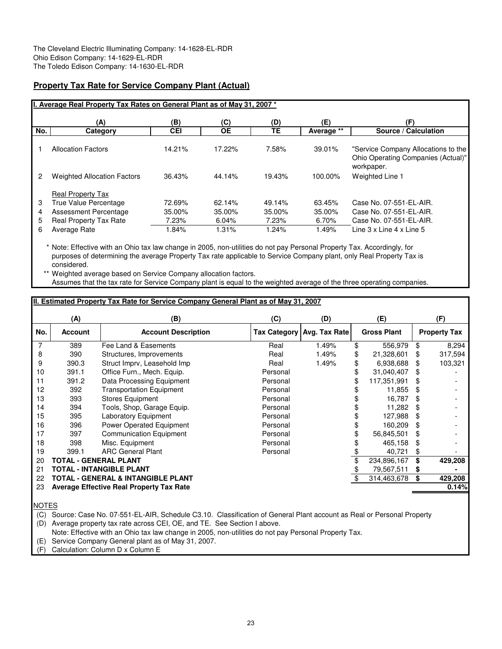# **Property Tax Rate for Service Company Plant (Actual)**

| I. Average Real Property Tax Rates on General Plant as of May 31, 2007 *                             |                           |                           |                           |                           |                                                                                                           |  |  |  |  |  |  |  |  |
|------------------------------------------------------------------------------------------------------|---------------------------|---------------------------|---------------------------|---------------------------|-----------------------------------------------------------------------------------------------------------|--|--|--|--|--|--|--|--|
| (A)                                                                                                  | (B)                       | (C)                       | (D)                       | (E)                       | (F)                                                                                                       |  |  |  |  |  |  |  |  |
| No.<br>Category                                                                                      | <b>CEI</b>                | <b>OE</b>                 | TE.                       | Average **                | Source / Calculation                                                                                      |  |  |  |  |  |  |  |  |
| <b>Allocation Factors</b>                                                                            | 14.21%                    | 17.22%                    | 7.58%                     | 39.01%                    | "Service Company Allocations to the<br>Ohio Operating Companies (Actual)"<br>workpaper.                   |  |  |  |  |  |  |  |  |
| <b>Weighted Allocation Factors</b>                                                                   | 36.43%                    | 44.14%                    | 19.43%                    | 100.00%                   | Weighted Line 1                                                                                           |  |  |  |  |  |  |  |  |
| <b>Real Property Tax</b><br>True Value Percentage<br>Assessment Percentage<br>Real Property Tax Rate | 72.69%<br>35.00%<br>7.23% | 62.14%<br>35.00%<br>6.04% | 49.14%<br>35.00%<br>7.23% | 63.45%<br>35.00%<br>6.70% | Case No. 07-551-EL-AIR.<br>Case No. 07-551-EL-AIR.<br>Case No. 07-551-EL-AIR.<br>Line 3 x Line 4 x Line 5 |  |  |  |  |  |  |  |  |
|                                                                                                      | Average Rate              | 1.84%                     | 1.31%                     | 1.24%                     | 1.49%                                                                                                     |  |  |  |  |  |  |  |  |

\* Note: Effective with an Ohio tax law change in 2005, non-utilities do not pay Personal Property Tax. Accordingly, for purposes of determining the average Property Tax rate applicable to Service Company plant, only Real Property Tax is considered.

\*\* Weighted average based on Service Company allocation factors. Assumes that the tax rate for Service Company plant is equal to the weighted average of the three operating companies.

# **II. Estimated Property Tax Rate for Service Company General Plant as of May 31, 2007**

|                | (A)            | (B)                                             | (C)      | (D)                          | (E)                |     | (F)                 |
|----------------|----------------|-------------------------------------------------|----------|------------------------------|--------------------|-----|---------------------|
| No.            | <b>Account</b> | <b>Account Description</b>                      |          | Tax Category   Avg. Tax Rate | <b>Gross Plant</b> |     | <b>Property Tax</b> |
| $\overline{7}$ | 389            | Fee Land & Easements                            | Real     | 1.49%                        | \$<br>556,979      | \$  | 8,294               |
| 8              | 390            | Structures, Improvements                        | Real     | 1.49%                        | \$<br>21,328,601   | S   | 317,594             |
| 9              | 390.3          | Struct Imprv, Leasehold Imp                     | Real     | 1.49%                        | \$<br>6,938,688    | \$  | 103,321             |
| 10             | 391.1          | Office Furn., Mech. Equip.                      | Personal |                              | 31,040,407         | \$  |                     |
| 11             | 391.2          | Data Processing Equipment                       | Personal |                              | 117,351,991        | \$. |                     |
| 12             | 392            | <b>Transportation Equipment</b>                 | Personal |                              | 11,855             | \$  |                     |
| 13             | 393            | <b>Stores Equipment</b>                         | Personal |                              | 16,787             | \$  |                     |
| 14             | 394            | Tools, Shop, Garage Equip.                      | Personal |                              | 11,282             | \$. |                     |
| 15             | 395            | Laboratory Equipment                            | Personal |                              | 127,988            | S   |                     |
| 16             | 396            | <b>Power Operated Equipment</b>                 | Personal |                              | 160.209            | \$  |                     |
| 17             | 397            | <b>Communication Equipment</b>                  | Personal |                              | 56,845,501         | S   |                     |
| 18             | 398            | Misc. Equipment                                 | Personal |                              | 465,158            | \$  |                     |
| 19             | 399.1          | <b>ARC General Plant</b>                        | Personal |                              | 40,721             | \$  |                     |
| 20             |                | TOTAL - GENERAL PLANT                           |          |                              | 234,896,167        | \$  | 429,208             |
| 21             |                | TOTAL - INTANGIBLE PLANT                        |          |                              | 79,567,511         | \$  |                     |
| 22             |                | TOTAL - GENERAL & INTANGIBLE PLANT              |          |                              | 314,463,678        | \$  | 429,208             |
| 23             |                | <b>Average Effective Real Property Tax Rate</b> |          |                              |                    |     | 0.14%               |
|                |                |                                                 |          |                              |                    |     |                     |

NOTES

(C) Source: Case No. 07-551-EL-AIR, Schedule C3.10. Classification of General Plant account as Real or Personal Property

(D) Average property tax rate across CEI, OE, and TE. See Section I above.

Note: Effective with an Ohio tax law change in 2005, non-utilities do not pay Personal Property Tax.

(E) Service Company General plant as of May 31, 2007.

(F) Calculation: Column D x Column E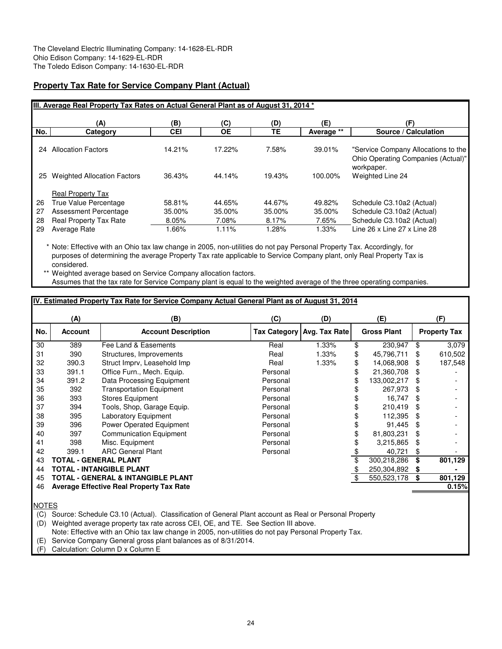# **Property Tax Rate for Service Company Plant (Actual)**

|     | III. Average Real Property Tax Rates on Actual General Plant as of August 31, 2014 * |            |           |        |            |                                                                                         |  |  |  |  |  |  |  |
|-----|--------------------------------------------------------------------------------------|------------|-----------|--------|------------|-----------------------------------------------------------------------------------------|--|--|--|--|--|--|--|
|     | (A)                                                                                  | (B)        | (C)       | (D)    | (E)        | (F)                                                                                     |  |  |  |  |  |  |  |
| No. | Category                                                                             | <b>CEI</b> | <b>OE</b> | TΕ     | Average ** | Source / Calculation                                                                    |  |  |  |  |  |  |  |
| 24  | <b>Allocation Factors</b>                                                            | 14.21%     | 17.22%    | 7.58%  | 39.01%     | "Service Company Allocations to the<br>Ohio Operating Companies (Actual)"<br>workpaper. |  |  |  |  |  |  |  |
| 25  | <b>Weighted Allocation Factors</b>                                                   | 36.43%     | 44.14%    | 19.43% | 100.00%    | Weighted Line 24                                                                        |  |  |  |  |  |  |  |
|     | <b>Real Property Tax</b>                                                             |            |           |        |            |                                                                                         |  |  |  |  |  |  |  |
| 26  | True Value Percentage                                                                | 58.81%     | 44.65%    | 44.67% | 49.82%     | Schedule C3.10a2 (Actual)                                                               |  |  |  |  |  |  |  |
| 27  | <b>Assessment Percentage</b>                                                         | 35.00%     | 35.00%    | 35.00% | 35.00%     | Schedule C3.10a2 (Actual)                                                               |  |  |  |  |  |  |  |
| 28  | <b>Real Property Tax Rate</b>                                                        | 8.05%      | 7.08%     | 8.17%  | 7.65%      | Schedule C3.10a2 (Actual)                                                               |  |  |  |  |  |  |  |
| 29  | Average Rate                                                                         | .66%       | 1.11%     | 1.28%  | 1.33%      | Line 26 x Line 27 x Line 28                                                             |  |  |  |  |  |  |  |

\* Note: Effective with an Ohio tax law change in 2005, non-utilities do not pay Personal Property Tax. Accordingly, for purposes of determining the average Property Tax rate applicable to Service Company plant, only Real Property Tax is considered.

\*\* Weighted average based on Service Company allocation factors. Assumes that the tax rate for Service Company plant is equal to the weighted average of the three operating companies.

# **IV. Estimated Property Tax Rate for Service Company Actual General Plant as of August 31, 2014**

|     | (A)            | (B)                                             | (C)      | (D)                        | (E) |                    |     | (F)                 |
|-----|----------------|-------------------------------------------------|----------|----------------------------|-----|--------------------|-----|---------------------|
| No. | <b>Account</b> | <b>Account Description</b>                      |          | Tax Category Avg. Tax Rate |     | <b>Gross Plant</b> |     | <b>Property Tax</b> |
| 30  | 389            | Fee Land & Easements                            | Real     | 1.33%                      | \$  | 230,947            | \$  | 3,079               |
| 31  | 390            | Structures, Improvements                        | Real     | 1.33%                      | \$  | 45,796,711         |     | 610,502             |
| 32  | 390.3          | Struct Imprv, Leasehold Imp                     | Real     | 1.33%                      | \$  | 14,068,908         | S   | 187,548             |
| 33  | 391.1          | Office Furn., Mech. Equip.                      | Personal |                            | \$  | 21,360,708         | \$  |                     |
| 34  | 391.2          | Data Processing Equipment                       | Personal |                            | \$  | 133,002,217        | S   |                     |
| 35  | 392            | <b>Transportation Equipment</b>                 | Personal |                            |     | 267,973            | \$  |                     |
| 36  | 393            | Stores Equipment                                | Personal |                            |     | 16,747             | \$. |                     |
| 37  | 394            | Tools, Shop, Garage Equip.                      | Personal |                            |     | 210,419            | \$  |                     |
| 38  | 395            | Laboratory Equipment                            | Personal |                            |     | 112.395            | \$. |                     |
| 39  | 396            | Power Operated Equipment                        | Personal |                            |     | 91,445             | \$  |                     |
| 40  | 397            | Communication Equipment                         | Personal |                            |     | 81,803,231         | \$  |                     |
| 41  | 398            | Misc. Equipment                                 | Personal |                            |     | 3,215,865          | \$  |                     |
| 42  | 399.1          | <b>ARC General Plant</b>                        | Personal |                            |     | 40,721             | \$  |                     |
| 43  |                | <b>TOTAL - GENERAL PLANT</b>                    |          |                            |     | 300,218,286        | \$  | 801,129             |
| 44  |                | <b>TOTAL - INTANGIBLE PLANT</b>                 |          |                            |     | 250,304,892        | S   |                     |
| 45  |                | <b>TOTAL - GENERAL &amp; INTANGIBLE PLANT</b>   |          |                            |     | 550,523,178        |     | 801,129             |
| 46  |                | <b>Average Effective Real Property Tax Rate</b> |          |                            |     |                    |     | 0.15%               |
|     |                |                                                 |          |                            |     |                    |     |                     |

**NOTES** 

(C) Source: Schedule C3.10 (Actual). Classification of General Plant account as Real or Personal Property

(D) Weighted average property tax rate across CEI, OE, and TE. See Section III above.

Note: Effective with an Ohio tax law change in 2005, non-utilities do not pay Personal Property Tax.

(E) Service Company General gross plant balances as of 8/31/2014.

(F) Calculation: Column D x Column E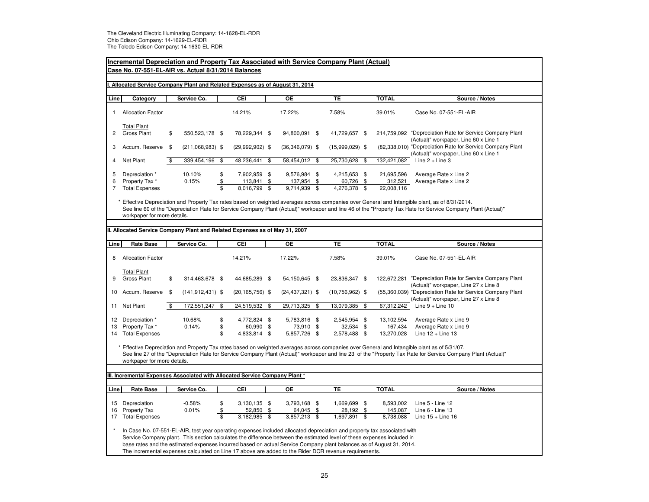|                                                                         | <b>Incremental Depreciation and Property Tax Associated with Service Company Plant (Actual)</b><br>Case No. 07-551-EL-AIR vs. Actual 8/31/2014 Balances                                                                                                                                                                                                                     |     |                      |                                     |                                      |          |                                        |          |                                                                                                       |  |                                     |                                                                                                                                                                                                                                                                                                                |
|-------------------------------------------------------------------------|-----------------------------------------------------------------------------------------------------------------------------------------------------------------------------------------------------------------------------------------------------------------------------------------------------------------------------------------------------------------------------|-----|----------------------|-------------------------------------|--------------------------------------|----------|----------------------------------------|----------|-------------------------------------------------------------------------------------------------------|--|-------------------------------------|----------------------------------------------------------------------------------------------------------------------------------------------------------------------------------------------------------------------------------------------------------------------------------------------------------------|
|                                                                         | Allocated Service Company Plant and Related Expenses as of August 31, 2014                                                                                                                                                                                                                                                                                                  |     |                      |                                     |                                      |          |                                        |          |                                                                                                       |  |                                     |                                                                                                                                                                                                                                                                                                                |
| Line                                                                    | Category                                                                                                                                                                                                                                                                                                                                                                    |     | Service Co.          |                                     | CEI                                  |          | $\overline{OE}$                        |          | TE                                                                                                    |  | <b>TOTAL</b>                        | Source / Notes                                                                                                                                                                                                                                                                                                 |
| 1                                                                       | <b>Allocation Factor</b>                                                                                                                                                                                                                                                                                                                                                    |     |                      |                                     | 14.21%                               |          | 17.22%                                 |          | 7.58%                                                                                                 |  | 39.01%                              | Case No. 07-551-EL-AIR                                                                                                                                                                                                                                                                                         |
| $\overline{c}$                                                          | <b>Total Plant</b><br><b>Gross Plant</b>                                                                                                                                                                                                                                                                                                                                    | \$  | 550,523,178 \$       |                                     | 78,229,344 \$                        |          | 94,800,091 \$                          |          | 41,729,657 \$                                                                                         |  |                                     | 214,759,092 "Depreciation Rate for Service Company Plant<br>(Actual)" workpaper, Line 60 x Line 1                                                                                                                                                                                                              |
| 3                                                                       | Accum. Reserve                                                                                                                                                                                                                                                                                                                                                              | -\$ | $(211,068,983)$ \$   |                                     | $(29,992,902)$ \$                    |          | $(36,346,079)$ \$                      |          | $(15,999,029)$ \$                                                                                     |  |                                     | (82,338,010) "Depreciation Rate for Service Company Plant<br>(Actual)" workpaper, Line 60 x Line 1                                                                                                                                                                                                             |
| $\overline{4}$                                                          | Net Plant                                                                                                                                                                                                                                                                                                                                                                   | \$  | 339,454,196          | \$                                  | 48,236,441                           | \$       | 58,454,012 \$                          |          | 25,730,628 \$                                                                                         |  | 132,421,082                         | Line $2 +$ Line 3                                                                                                                                                                                                                                                                                              |
| 5<br>6<br>$\overline{7}$                                                | Depreciation *<br>Property Tax*<br><b>Total Expenses</b>                                                                                                                                                                                                                                                                                                                    |     | 10.10%<br>0.15%      | \$<br>\$<br>$\overline{\mathbf{s}}$ | 7,902,959 \$<br>113,841<br>8,016,799 | \$<br>\$ | 9,576,984 \$<br>137,954<br>9,714,939   | \$<br>\$ | 4,215,653 \$<br>60,726 \$<br>4,276,378 \$                                                             |  | 21,695,596<br>312,521<br>22,008,116 | Average Rate x Line 2<br>Average Rate x Line 2                                                                                                                                                                                                                                                                 |
|                                                                         | workpaper for more details.                                                                                                                                                                                                                                                                                                                                                 |     |                      |                                     |                                      |          |                                        |          |                                                                                                       |  |                                     | Effective Depreciation and Property Tax rates based on weighted averages across companies over General and Intangible plant, as of 8/31/2014.<br>See line 60 of the "Depreciation Rate for Service Company Plant (Actual)" workpaper and line 46 of the "Property Tax Rate for Service Company Plant (Actual)" |
| Allocated Service Company Plant and Related Expenses as of May 31, 2007 |                                                                                                                                                                                                                                                                                                                                                                             |     |                      |                                     |                                      |          |                                        |          |                                                                                                       |  |                                     |                                                                                                                                                                                                                                                                                                                |
| Line                                                                    | <b>Rate Base</b>                                                                                                                                                                                                                                                                                                                                                            |     | Service Co.          |                                     | CEI                                  |          | OЕ                                     |          | TE.                                                                                                   |  | <b>TOTAL</b>                        | Source / Notes                                                                                                                                                                                                                                                                                                 |
| 8                                                                       | <b>Allocation Factor</b>                                                                                                                                                                                                                                                                                                                                                    |     |                      |                                     | 14.21%                               |          | 17.22%                                 |          | 7.58%                                                                                                 |  | 39.01%                              | Case No. 07-551-EL-AIR                                                                                                                                                                                                                                                                                         |
| 9                                                                       | <b>Total Plant</b><br><b>Gross Plant</b>                                                                                                                                                                                                                                                                                                                                    | \$  | 314,463,678 \$       |                                     | 44,685,289 \$                        |          | 54,150,645 \$                          |          | 23,836,347 \$                                                                                         |  | 122,672,281                         | "Depreciation Rate for Service Company Plant<br>(Actual)" workpaper, Line 27 x Line 8                                                                                                                                                                                                                          |
| 10                                                                      | Accum. Reserve                                                                                                                                                                                                                                                                                                                                                              | \$  | $(141, 912, 431)$ \$ |                                     | $(20, 165, 756)$ \$                  |          | $(24, 437, 321)$ \$                    |          | $(10,756,962)$ \$                                                                                     |  |                                     | (55,360,039) "Depreciation Rate for Service Company Plant<br>(Actual)" workpaper, Line 27 x Line 8                                                                                                                                                                                                             |
| 11                                                                      | Net Plant                                                                                                                                                                                                                                                                                                                                                                   | \$  | 172,551,247          | \$                                  | 24,519,532                           | \$       | 29,713,325 \$                          |          | 13,079,385 \$                                                                                         |  | 67,312,242                          | Line $9 +$ Line 10                                                                                                                                                                                                                                                                                             |
| 12<br>13                                                                | Depreciation *<br>Property Tax *<br>14 Total Expenses                                                                                                                                                                                                                                                                                                                       |     | 10.68%<br>0.14%      | \$<br>\$<br>$\overline{\mathbf{s}}$ | 4,772,824 \$<br>60,990<br>4,833,814  | \$<br>\$ | 5,783,816 \$<br>73,910<br>5,857,726    | \$<br>\$ | 2,545,954 \$<br>32,534 \$<br>2,578,488 \$                                                             |  | 13,102,594<br>167,434<br>13,270,028 | Average Rate x Line 9<br>Average Rate x Line 9<br>Line $12 +$ Line 13                                                                                                                                                                                                                                          |
|                                                                         | workpaper for more details.                                                                                                                                                                                                                                                                                                                                                 |     |                      |                                     |                                      |          |                                        |          |                                                                                                       |  |                                     | Effective Depreciation and Property Tax rates based on weighted averages across companies over General and Intangible plant as of 5/31/07.<br>See line 27 of the "Depreciation Rate for Service Company Plant (Actual)" workpaper and line 23 of the "Property Tax Rate for Service Company Plant (Actual)"    |
|                                                                         |                                                                                                                                                                                                                                                                                                                                                                             |     |                      |                                     |                                      |          |                                        |          |                                                                                                       |  |                                     |                                                                                                                                                                                                                                                                                                                |
|                                                                         | III. Incremental Expenses Associated with Allocated Service Company Plant *                                                                                                                                                                                                                                                                                                 |     |                      |                                     |                                      |          |                                        |          |                                                                                                       |  |                                     |                                                                                                                                                                                                                                                                                                                |
| Line                                                                    | <b>Rate Base</b>                                                                                                                                                                                                                                                                                                                                                            |     | Service Co.          |                                     | CEI                                  |          | <b>OE</b>                              |          | TE                                                                                                    |  | <b>TOTAL</b>                        | Source / Notes                                                                                                                                                                                                                                                                                                 |
| 15<br>16<br>17                                                          | Depreciation<br>Property Tax<br><b>Total Expenses</b>                                                                                                                                                                                                                                                                                                                       |     | $-0.58%$<br>0.01%    | \$<br>\$<br>$\overline{\mathbb{S}}$ | 3,130,135 \$<br>52,850<br>3,182,985  | \$<br>\$ | 3,793,168 \$<br>64,045<br>3,857,213 \$ | \$       | 1,669,699 \$<br>28,192 \$<br>1,697,891 \$                                                             |  | 8,593,002<br>145,087<br>8,738,088   | Line 5 - Line 12<br>Line 6 - Line 13<br>Line $15 +$ Line 16                                                                                                                                                                                                                                                    |
|                                                                         | In Case No. 07-551-EL-AIR, test year operating expenses included allocated depreciation and property tax associated with<br>Service Company plant. This section calculates the difference between the estimated level of these expenses included in<br>base rates and the estimated expenses incurred based on actual Service Company plant balances as of August 31, 2014. |     |                      |                                     |                                      |          |                                        |          | The incremental expenses calculated on Line 17 above are added to the Rider DCR revenue requirements. |  |                                     |                                                                                                                                                                                                                                                                                                                |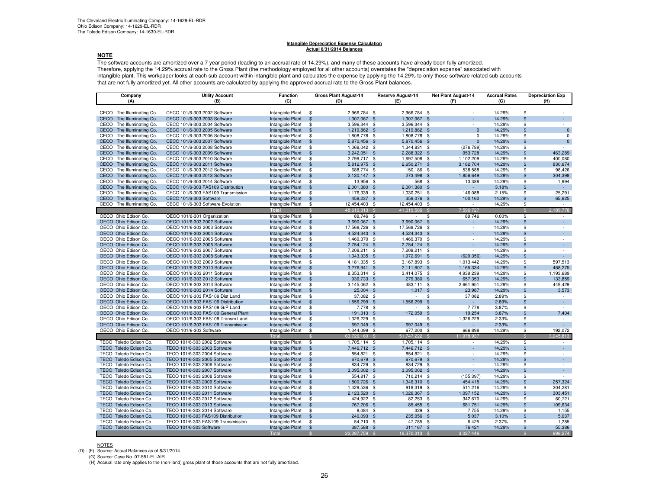#### **Intangible Depreciation Expense CalculationActual 8/31/2014 Balances**

#### **NOTE**

 The software accounts are amortized over a 7 year period (leading to an accrual rate of 14.29%), and many of these accounts have already been fully amortized. Therefore, applying the 14.29% accrual rate to the Gross Plant (the methodology employed for all other accounts) overstates the "depreciation expense" associated with intangible plant. This workpaper looks at each sub account within intangible plant and calculates the expense by applying the 14.29% to only those software related sub-accounts that are not fully amortized yet. All other accounts are calculated by applying the approved accrual rate to the Gross Plant balances.

| Company                                         | <b>Utility Account</b>                                                  | <b>Function</b>                      |                                          | <b>Gross Plant August-14</b> |      | <b>Reserve August-14</b> | <b>Net Plant August-14</b> | <b>Accrual Rates</b> |                          | <b>Depreciation Exp</b> |
|-------------------------------------------------|-------------------------------------------------------------------------|--------------------------------------|------------------------------------------|------------------------------|------|--------------------------|----------------------------|----------------------|--------------------------|-------------------------|
| (A)                                             | (B)                                                                     | (C)                                  |                                          | (D)                          |      | (E)                      | (F)                        | (G)                  |                          | (H)                     |
|                                                 |                                                                         |                                      |                                          |                              |      |                          |                            |                      |                          |                         |
| CECO The Illuminating Co.                       | CECO 101/6-303 2002 Software                                            | Intangible Plant                     | $\mathsf{\$}$                            | 2,966,784 \$                 |      | 2,966,784 \$             |                            | 14.29%               | \$                       |                         |
| CECO<br>The Illuminating Co.                    | CECO 101/6-303 2003 Software                                            | Intangible Plant                     | $\sqrt[6]{3}$                            | 1,307,067 \$                 |      | 1,307,067 \$             |                            | 14.29%               | $\mathfrak{L}$           |                         |
| CECO The Illuminating Co.                       | CECO 101/6-303 2004 Software                                            | Intangible Plant                     | \$                                       | 3,596,344 \$                 |      | 3,596,344 \$             | $\sim$                     | 14.29%               | \$                       | $\sim$                  |
| CECO The Illuminating Co.                       | CECO 101/6-303 2005 Software                                            | Intangible Plant                     | $\mathbf{\$}$                            | 1,219,862 \$                 |      | 1,219,862 \$             | $\mathbf{0}$               | 14.29%               | $\mathfrak{L}$           | $\mathbf 0$             |
| CECO The Illuminating Co.                       | CECO 101/6-303 2006 Software                                            | Intangible Plant                     | \$                                       | 1,808,778 \$                 |      | 1,808,778 \$             | $\Omega$                   | 14.29%               | \$                       | $\mathbf 0$             |
| CECO The Illuminating Co.                       | CECO 101/6-303 2007 Software                                            | Intangible Plant                     | $\sqrt[6]{3}$                            | 5,870,456 \$                 |      | 5,870,456 \$             | $\mathbf{0}$               | 14.29%               | \$                       | $\mathbf{0}$            |
| CECO The Illuminating Co.                       | CECO 101/6-303 2008 Software                                            | Intangible Plant                     | \$                                       | 1,068,042 \$                 |      | 1,344,831 \$             | (276, 789)                 | 14.29%               | \$                       |                         |
| CECO The Illuminating Co.                       | CECO 101/6-303 2009 Software                                            | Intangible Plant                     | $\sqrt[6]{3}$                            | 3,242,051 \$                 |      | 2,288,322 \$             | 953,728                    | 14.29%               | $\mathfrak{L}$           | 463,289                 |
| CECO The Illuminating Co.                       | CECO 101/6-303 2010 Software                                            | Intangible Plant                     | \$                                       | 2,799,717 \$                 |      | 1,697,508 \$             | 1,102,209                  | 14.29%               | \$                       | 400,080                 |
| CECO<br>The Illuminating Co.                    | CECO 101/6-303 2011 Software                                            | Intangible Plant                     | $\sqrt[6]{3}$                            | 5,812,975 \$                 |      | 2,650,271 \$             | 3,162,704                  | 14.29%               | \$                       | 830,674                 |
| CECO The Illuminating Co.                       | CECO 101/6-303 2012 Software                                            | Intangible Plant                     | \$                                       | 688,774 \$                   |      | 150,186 \$               | 538,588                    | 14.29%               | \$                       | 98,426                  |
| CECO The Illuminating Co.                       | CECO 101/6-303 2013 Software                                            | Intangible Plant                     | $\mathbf{\$}$                            | 2,130,147 \$                 |      | 273,498 \$               | 1,856,649                  | 14.29%               | $\mathfrak{L}$           | 304,398                 |
| CECO The Illuminating Co.                       | CECO 101/6-303 2014 Software                                            | Intangible Plant                     | \$                                       | 13,956 \$                    |      | 568 \$                   | 13,388                     | 14.29%               | \$                       | 1,994                   |
| CECO<br>The Illuminating Co.                    | CECO 101/6-303 FAS109 Distribution                                      | Intangible Plant                     | $\frac{1}{2}$                            | 2,001,380 \$                 |      | 2,001,380 \$             | $\sim$                     | 3.18%                | \$                       | $\sim$                  |
| CECO The Illuminating Co.                       | CECO 101/6-303 FAS109 Transmission                                      | Intangible Plant                     | \$                                       | 1,176,339 \$                 |      | 1,030,251 \$             | 146.088                    | 2.15%                | \$                       | 25.291                  |
| CECO The Illuminating Co.                       | CECO 101/6-303 Software                                                 | Intangible Plant                     | \$                                       | 459,237 \$                   |      | 359,076 \$               | 100.162                    | 14.29%               | \$                       | 65,625                  |
| CECO The Illuminating Co.                       | CECO 101/6-303 Software Evolution                                       | Intangible Plant                     | \$                                       | 12,454,403 \$                |      | 12,454,403 \$            |                            | 14.29%               | \$                       |                         |
|                                                 |                                                                         | <b>Total</b>                         | -S                                       | 48,616,313                   | - \$ | 41.019.586               | 7,596,727<br>$\mathcal{S}$ |                      | $\mathfrak{L}$           | 2,189,778               |
| OECO Ohio Edison Co.                            | OECO 101/6-301 Organization                                             | Intangible Plant                     | \$                                       | $89,746$ \$                  |      |                          | \$<br>89,746               | 0.00%                | \$                       |                         |
| OECO Ohio Edison Co.                            | OECO 101/6-303 2002 Software                                            | Intangible Plant                     | \$                                       | 3,690,067 \$                 |      | 3,690,067 \$             |                            | 14.29%               | $\mathbf{\hat{F}}$       | ÷.                      |
| OECO Ohio Edison Co.                            | OECO 101/6-303 2003 Software                                            | Intangible Plant                     | \$                                       | 17,568,726 \$                |      | 17,568,726 \$            | $\overline{\phantom{a}}$   | 14.29%               | \$                       | $\sim$                  |
| OECO Ohio Edison Co.                            | OECO 101/6-303 2004 Software                                            | Intangible Plant                     | $\sqrt[6]{3}$                            | 4,524,343 \$                 |      | 4,524,343 \$             |                            | 14.29%               | \$                       | ÷.                      |
| OECO Ohio Edison Co.                            | OECO 101/6-303 2005 Software                                            | Intangible Plant                     | \$                                       | 1,469,370 \$                 |      | 1,469,370 \$             |                            | 14.29%               | \$                       | $\sim$                  |
| OECO Ohio Edison Co.                            | OECO 101/6-303 2006 Software                                            | Intangible Plant                     | \$                                       | 2,754,124 \$                 |      | 2.754.124 \$             |                            | 14.29%               | $\mathfrak{L}$           | ÷.                      |
| OECO Ohio Edison Co.                            | OECO 101/6-303 2007 Software                                            | Intangible Plant                     | \$                                       | 7,208,211 \$                 |      | 7,208,211 \$             |                            | 14.29%               | \$                       | $\sim$                  |
| OECO Ohio Edison Co.                            | OECO 101/6-303 2008 Software                                            | Intangible Plant                     | $\sqrt[6]{3}$                            | 1,343,335 \$                 |      | 1,972,691 \$             | (629, 356)                 | 14.29%               | \$                       | $\sim$                  |
| OECO Ohio Edison Co.                            | OECO 101/6-303 2009 Software                                            | Intangible Plant                     | \$                                       | 4, 181, 335 \$               |      | 3,167,893 \$             | 1,013,442                  | 14.29%               | \$                       | 597,513                 |
| OECO Ohio Edison Co.                            | OECO 101/6-303 2010 Software                                            | Intangible Plant                     | $\sqrt[6]{3}$                            | 3,276,941 \$                 |      | 2,111,607 \$             | 1,165,334                  | 14.29%               | $\mathfrak{s}$           | 468,275                 |
| OECO Ohio Edison Co.                            | OECO 101/6-303 2011 Software                                            | Intangible Plant                     | \$                                       | 8,353,314 \$                 |      | 3,414,075 \$             | 4,939,239                  | 14.29%               | \$                       | 1,193,689               |
| OECO Ohio Edison Co.                            | OECO 101/6-303 2012 Software                                            | Intangible Plant                     | $\sqrt[6]{3}$                            | 936,733 \$                   |      | 279,380 \$               | 657,353                    | 14.29%               | \$                       | 133,859                 |
| OECO Ohio Edison Co.                            | OECO 101/6-303 2013 Software                                            | Intangible Plant                     | \$                                       | 3,145,062 \$                 |      | 483,111 \$               | 2,661,951                  | 14.29%               | \$                       | 449,429                 |
| OECO Ohio Edison Co.                            | OECO 101/6-303 2014 Software                                            | Intangible Plant                     | $\frac{1}{2}$                            | 25,004 \$                    |      | $1,017$ \$               | 23,987                     | 14.29%               | $\mathfrak{s}$           | 3,573                   |
| OECO Ohio Edison Co.                            | OECO 101/6-303 FAS109 Dist Land                                         | Intangible Plant                     | \$                                       | 37,082 \$                    |      | $\sim$                   | \$<br>37,082               | 2.89%                | \$                       | $\sim$                  |
| OECO Ohio Edison Co.                            | OECO 101/6-303 FAS109 Distribution                                      | Intangible Plant                     | $\sqrt[6]{3}$                            | 1,556,299 \$                 |      | 1,556,299 \$<br>×.       | ×.                         | 2.89%                | \$                       | $\sim$<br>$\sim$        |
| OECO Ohio Edison Co.                            | OECO 101/6-303 FAS109 G/P Land                                          | Intangible Plant                     | \$                                       | 7,778 \$                     |      |                          | 7,778<br>\$                | 3.87%                | \$                       |                         |
| OECO Ohio Edison Co.                            | OECO 101/6-303 FAS109 General Plant                                     | Intangible Plant                     | $\sqrt[6]{3}$<br>\$                      | 191,313 \$                   |      | 172,059 \$               | 19,254                     | 3.87%                | $\mathfrak{s}$           | 7,404<br>$\sim$         |
| OECO Ohio Edison Co.                            | OECO 101/6-303 FAS109 Transm Land<br>OECO 101/6-303 FAS109 Transmission | Intangible Plant                     | $\mathfrak{L}$                           | 1,326,229 \$                 |      | $\sim$                   | 1,326,229<br>\$<br>\$      | 2.33%                | \$<br>$\mathfrak{L}$     | $\Delta \phi$           |
| OECO Ohio Edison Co.<br>OECO Ohio Edison Co.    | OECO 101/6-303 Software                                                 | Intangible Plant<br>Intangible Plant |                                          | 697,049 \$                   |      | 697,049                  | 666,898<br>- \$            | 2.33%<br>14.29%      | \$                       | 192,072                 |
|                                                 |                                                                         |                                      | \$                                       | 1,344,099 \$                 |      | 677,200                  |                            |                      |                          |                         |
|                                                 |                                                                         | <b>Total</b>                         |                                          | 63,726,160                   |      | 51,747,222               | 1.978.937                  |                      |                          | 3,045,813               |
| TECO Toledo Edison Co                           | TECO 101/6-303 2002 Software                                            | Intangible Plant                     | \$                                       | 1,705,114 \$                 |      | 1,705,114 \$             |                            | 14.29%               | \$                       | a.                      |
| <b>TECO Toledo Edison Co</b>                    | TECO 101/6-303 2003 Software                                            | Intangible Plant                     | $\mathbf{s}$                             | 7,446,712 \$                 |      | 7,446,712 \$             |                            | 14.29%               | \$                       | $\sim$                  |
| TECO Toledo Edison Co<br>TECO Toledo Edison Co. | TECO 101/6-303 2004 Software                                            | Intangible Plant                     | \$                                       | 854,821 \$                   |      | 854,821 \$               | \$s                        | 14.29%               | \$<br>$\mathfrak{F}$     | ×.                      |
| TECO Toledo Edison Co                           | TECO 101/6-303 2005 Software<br>TECO 101/6-303 2006 Software            | Intangible Plant<br>Intangible Plant | $\mathbf{\$}$<br>$\overline{\mathbf{s}}$ | 670,679 \$<br>834,729 \$     |      | 670,679<br>834,729 \$    |                            | 14.29%<br>14.29%     | $\overline{\mathcal{F}}$ | $\sim$                  |
| <b>TECO Toledo Edison Co</b>                    | TECO 101/6-303 2007 Software                                            | Intangible Plant                     | £.                                       | 3.095.002 \$                 |      | 3.095.002 \$             | ÷.                         | 14.29%               |                          | a.                      |
| TECO Toledo Edison Co                           | TECO 101/6-303 2008 Software                                            | Intangible Plant                     | \$                                       | 554,817 \$                   |      | 710,214 \$               | (155, 397)                 | 14.29%               | \$                       | $\sim$                  |
| <b>TECO Toledo Edison Co</b>                    | TECO 101/6-303 2009 Software                                            | Intangible Plant                     | \$                                       | 1,800,726 \$                 |      | 1,346,310 \$             | 454,415                    | 14.29%               | $\mathfrak{L}$           | 257,324                 |
| TECO Toledo Edison Co                           |                                                                         | Intangible Plant                     | \$                                       | 1,429,536 \$                 |      | 918,319 \$               | 511,216                    | 14.29%               | \$                       | 204,281                 |
| TECO Toledo Edison Co                           | TECO 101/6-303 2010 Software<br>TECO 101/6-303 2011 Software            | Intangible Plant                     | \$                                       | 2,123,520 \$                 |      | 1,026,367 \$             | 1,097,152                  | 14.29%               | \$                       | 303,451                 |
| TECO Toledo Edison Co                           | TECO 101/6-303 2012 Software                                            | Intangible Plant                     | $\mathsf{\$}$                            | 424,922 \$                   |      | 82,253 \$                | 342,670                    | 14.29%               | \$                       | 60,721                  |
| <b>TECO Toledo Edison Co</b>                    | TECO 101/6-303 2013 Software                                            | Intangible Plant                     | \$                                       | 767,206 \$                   |      | 85,455 \$                | 681,751                    | 14.29%               | \$                       | 109,634                 |
| TECO Toledo Edison Co                           | TECO 101/6-303 2014 Software                                            | Intangible Plant                     | \$                                       | 8,084 \$                     |      | 329 \$                   | 7,755                      | 14.29%               | \$                       | 1,155                   |
| TECO Toledo Edison Co                           | TECO 101/6-303 FAS109 Distribution                                      | Intangible Plant                     | $\frac{1}{2}$                            | 240,093 \$                   |      | 235,056 \$               | 5,037                      | 3.10%                | $\mathfrak{L}$           | 5,037                   |
| TECO Toledo Edison Co                           | TECO 101/6-303 FAS109 Transmission                                      | Intangible Plant                     | \$                                       | 54,210 \$                    |      | 47,785 \$                | 6,425                      | 2.37%                | \$                       | 1,285                   |
| TECO Toledo Edison Co.                          | TECO 101/6-303 Software                                                 | Intangible Plant                     | $\sqrt[6]{3}$                            | 387,588 \$                   |      |                          | 76,421                     | 14.29%               | \$                       | 55,386                  |
|                                                 |                                                                         |                                      |                                          |                              |      | $311,167$ \$             |                            |                      |                          |                         |
|                                                 |                                                                         | Total                                |                                          | 22,397,759 \$                |      | 19,370,313               | 3,027,446                  |                      |                          | 998,274                 |

NOTES (D) - (F) Source: Actual Balances as of 8/31/2014.

(G) Source: Case No. 07-551-EL-AIR

(H) Accrual rate only applies to the (non-land) gross plant of those accounts that are not fully amortized.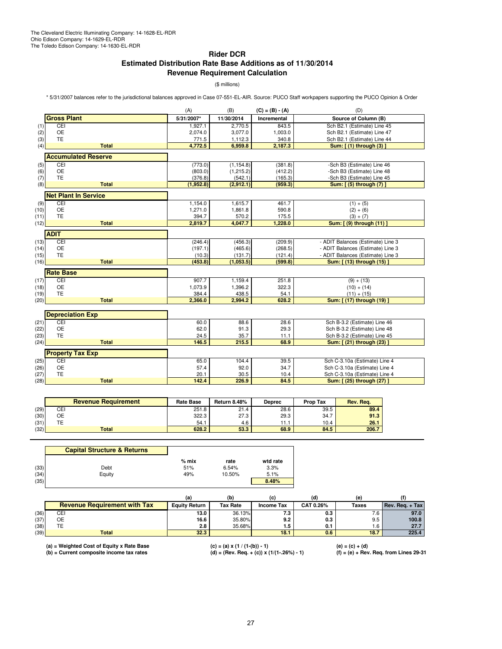# **Rider DCR Estimated Distribution Rate Base Additions as of 11/30/2014 Revenue Requirement Calculation**

(\$ millions)

\* 5/31/2007 balances refer to the jurisdictional balances approved in Case 07-551-EL-AIR. Source: PUCO Staff workpapers supporting the PUCO Opinion & Order

|      |                             | (A)        | (B)        | $(C) = (B) - (A)$ | (D)                               |
|------|-----------------------------|------------|------------|-------------------|-----------------------------------|
|      | <b>Gross Plant</b>          | 5/31/2007* | 11/30/2014 | Incremental       | Source of Column (B)              |
| (1)  | CEI                         | 1,927.1    | 2,770.5    | 843.5             | Sch B2.1 (Estimate) Line 45       |
| (2)  | <b>OE</b>                   | 2,074.0    | 3,077.0    | 1,003.0           | Sch B2.1 (Estimate) Line 47       |
| (3)  | <b>TE</b>                   | 771.5      | 1,112.3    | 340.8             | Sch B2.1 (Estimate) Line 44       |
| (4)  | <b>Total</b>                | 4,772.5    | 6,959.8    | 2,187.3           | Sum: [ (1) through (3) ]          |
|      | <b>Accumulated Reserve</b>  |            |            |                   |                                   |
| (5)  | CEI                         | (773.0)    | (1, 154.8) | (381.8)           | -Sch B3 (Estimate) Line 46        |
| (6)  | <b>OE</b>                   | (803.0)    | (1, 215.2) | (412.2)           | -Sch B3 (Estimate) Line 48        |
| (7)  | <b>TE</b>                   | (376.8)    | (542.1)    | (165.3)           | -Sch B3 (Estimate) Line 45        |
| (8)  | <b>Total</b>                | (1,952.8)  | (2,912.1)  | (959.3)           | Sum: [ (5) through (7) ]          |
|      | <b>Net Plant In Service</b> |            |            |                   |                                   |
| (9)  | CEI                         | 1,154.0    | 1,615.7    | 461.7             | $(1) + (5)$                       |
| (10) | <b>OE</b>                   | 1,271.0    | 1,861.8    | 590.8             | $(2) + (6)$                       |
| (11) | <b>TE</b>                   | 394.7      | 570.2      | 175.5             | $(3) + (7)$                       |
| (12) | <b>Total</b>                | 2,819.7    | 4,047.7    | 1,228.0           | Sum: [ (9) through (11) ]         |
|      | <b>ADIT</b>                 |            |            |                   |                                   |
| (13) | CEI                         | (246.4)    | (456.3)    | (209.9)           | - ADIT Balances (Estimate) Line 3 |
| (14) | <b>OE</b>                   | (197.1)    | (465.6)    | (268.5)           | - ADIT Balances (Estimate) Line 3 |
| (15) | <b>TE</b>                   | (10.3)     | (131.7)    | (121.4)           | - ADIT Balances (Estimate) Line 3 |
| (16) | <b>Total</b>                | (453.8)    | (1,053.5)  | (599.8)           | Sum: [ (13) through (15) ]        |
|      | <b>Rate Base</b>            |            |            |                   |                                   |
| (17) | CEI                         | 907.7      | 1,159.4    | 251.8             | $(9) + (13)$                      |
| (18) | <b>OE</b>                   | 1,073.9    | 1,396.2    | 322.3             | $(10) + (14)$                     |
| (19) | <b>TE</b>                   | 384.4      | 438.5      | 54.1              | $(11) + (15)$                     |
| (20) | <b>Total</b>                | 2,366.0    | 2,994.2    | 628.2             | Sum: [ (17) through (19) ]        |
|      |                             |            |            |                   |                                   |
|      | <b>Depreciation Exp</b>     |            |            |                   |                                   |
| (21) | CEI                         | 60.0       | 88.6       | 28.6              | Sch B-3.2 (Estimate) Line 46      |
| (22) | <b>OE</b>                   | 62.0       | 91.3       | 29.3              | Sch B-3.2 (Estimate) Line 48      |
| (23) | <b>TE</b>                   | 24.5       | 35.7       | 11.1              | Sch B-3.2 (Estimate) Line 45      |
| (24) | <b>Total</b>                | 146.5      | 215.5      | 68.9              | Sum: [ (21) through (23) ]        |
|      | <b>Property Tax Exp</b>     |            |            |                   |                                   |
| (25) | CEI                         | 65.0       | 104.4      | 39.5              | Sch C-3.10a (Estimate) Line 4     |
| (26) | <b>OE</b>                   | 57.4       | 92.0       | 34.7              | Sch C-3.10a (Estimate) Line 4     |
| (27) | <b>TE</b>                   | 20.1       | 30.5       | 10.4              | Sch C-3.10a (Estimate) Line 4     |
| (28) | <b>Total</b>                | 142.4      | 226.9      | 84.5              | Sum: [ (25) through (27) ]        |

|      | <b>Revenue Requirement</b> | <b>Rate Base</b> | <b>Return 8.48%</b> | <b>Deprec</b> | <b>Prop Tax</b> | Rev. Req. |
|------|----------------------------|------------------|---------------------|---------------|-----------------|-----------|
| (29) | CEI                        | 251.8            | 21.4                | 28.6          | 39.5            | 89.4      |
| (30) | ОE                         | 322.3            | 27.3                | 29.3          | 34.7            | 91.3      |
| (31) | TЕ                         | 54.1             | 4.6                 |               | 10.4            | 26.1      |
| (32) | <b>Total</b>               | 628.2            | 53.3                | 68.9          | 84.5            | 206.7     |

|      | <b>Capital Structure &amp; Returns</b> |         |        |          |
|------|----------------------------------------|---------|--------|----------|
|      |                                        | $%$ mix | rate   | wtd rate |
| (33) | Debt                                   | 51%     | 6.54%  | 3.3%     |
| (34) | Equity                                 | 49%     | 10.50% | 5.1%     |
| (35) |                                        |         |        | 8.48%    |

|      |                                     | (a                   | (b              |                   |           | (e)   |                                                        |
|------|-------------------------------------|----------------------|-----------------|-------------------|-----------|-------|--------------------------------------------------------|
|      | <b>Revenue Requirement with Tax</b> | <b>Equity Return</b> | <b>Tax Rate</b> | <b>Income Tax</b> | CAT 0.26% | Taxes | $\left  \text{Rev.} \text{ Req.} + \text{Tax} \right $ |
| (36) | CEI                                 | 13.0                 | 36.13%          | 7.3               | 0.3       | 7.6   | 97.0                                                   |
| (37) | ОE                                  | 16.6                 | 35.80%          | 9.2               | 0.3       | 9.5   | 100.8                                                  |
| (38) | ╺╺                                  | 2.8                  | 35.68%          | 1.5               | 0.1       | 1.6   | 27.7                                                   |
| (39) | <b>Total</b>                        | 32.3                 |                 | 18.1              | 0.6       | 18.7  | 225.4                                                  |

**(a) = Weighted Cost of Equity x Rate Base (c) = (a) x (1 / (1-(b)) - 1) (e) = (c) + (d)**

**(b) = Current composite income tax rates (d) = (Rev. Req. + (c)) x (1/(1-.26%) - 1) (f) = (e) + Rev. Req. from Lines 29-31**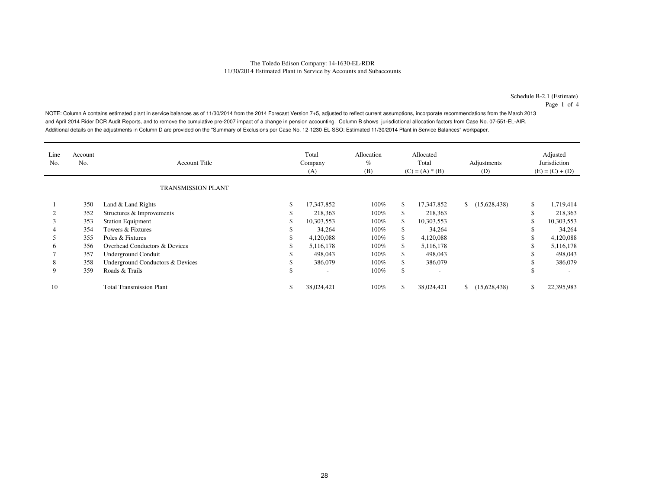Schedule B-2.1 (Estimate)

Page 1 of 4

NOTE: Column A contains estimated plant in service balances as of 11/30/2014 from the 2014 Forecast Version 7+5, adjusted to reflect current assumptions, incorporate recommendations from the March 2013 and April 2014 Rider DCR Audit Reports, and to remove the cumulative pre-2007 impact of a change in pension accounting. Column B shows jurisdictional allocation factors from Case No. 07-551-EL-AIR. Additional details on the adjustments in Column D are provided on the "Summary of Exclusions per Case No. 12-1230-EL-SSO: Estimated 11/30/2014 Plant in Service Balances" workpaper.

| Line<br>No. | Account<br>No.            | <b>Account Title</b>             |    | Total<br>Company<br>(A) | Allocation<br>$\%$<br>(B) |              | Allocated<br>Total<br>$(C) = (A) * (B)$ | Adjustments<br>(D)           | Adjusted<br>Jurisdiction<br>$(E) = (C) + (D)$ |            |  |
|-------------|---------------------------|----------------------------------|----|-------------------------|---------------------------|--------------|-----------------------------------------|------------------------------|-----------------------------------------------|------------|--|
|             | <b>TRANSMISSION PLANT</b> |                                  |    |                         |                           |              |                                         |                              |                                               |            |  |
|             | 350                       | Land & Land Rights               | \$ | 17,347,852              | $100\%$                   | \$           | 17,347,852                              | (15,628,438)                 | \$                                            | 1,719,414  |  |
|             | 352                       | Structures & Improvements        |    | 218,363                 | $100\%$                   | \$.          | 218,363                                 |                              | J.                                            | 218,363    |  |
|             | 353                       | <b>Station Equipment</b>         |    | 10,303,553              | 100%                      | \$.          | 10,303,553                              |                              | J.                                            | 10,303,553 |  |
|             | 354                       | Towers & Fixtures                |    | 34,264                  | 100%                      | \$.          | 34,264                                  |                              |                                               | 34,264     |  |
|             | 355                       | Poles & Fixtures                 |    | 4,120,088               | 100%                      | \$           | 4,120,088                               |                              |                                               | 4,120,088  |  |
| 6           | 356                       | Overhead Conductors & Devices    |    | 5,116,178               | 100%                      | \$           | 5,116,178                               |                              |                                               | 5,116,178  |  |
|             | 357                       | Underground Conduit              |    | 498,043                 | 100%                      | \$           | 498,043                                 |                              |                                               | 498,043    |  |
| 8           | 358                       | Underground Conductors & Devices |    | 386,079                 | 100%                      | \$           | 386,079                                 |                              |                                               | 386,079    |  |
| 9           | 359                       | Roads & Trails                   |    |                         | 100%                      | <sup>S</sup> |                                         |                              |                                               |            |  |
| 10          |                           | <b>Total Transmission Plant</b>  | D. | 38,024,421              | 100%                      | \$.          | 38,024,421                              | (15,628,438)<br>$\mathbb{S}$ | S                                             | 22,395,983 |  |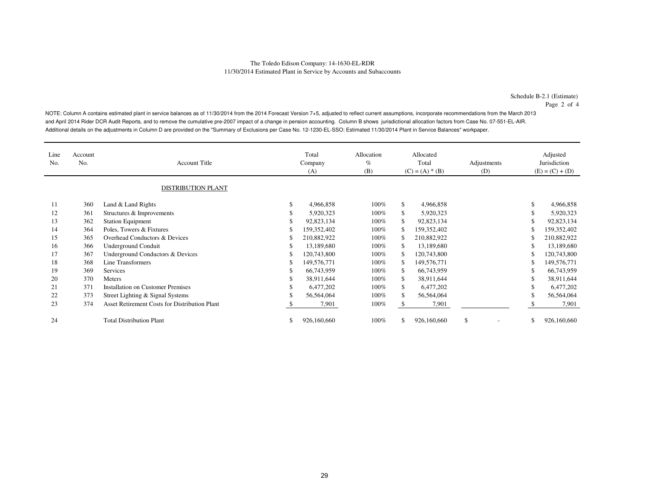Schedule B-2.1 (Estimate)

Page 2 of 4

NOTE: Column A contains estimated plant in service balances as of 11/30/2014 from the 2014 Forecast Version 7+5, adjusted to reflect current assumptions, incorporate recommendations from the March 2013 and April 2014 Rider DCR Audit Reports, and to remove the cumulative pre-2007 impact of a change in pension accounting. Column B shows jurisdictional allocation factors from Case No. 07-551-EL-AIR. Additional details on the adjustments in Column D are provided on the "Summary of Exclusions per Case No. 12-1230-EL-SSO: Estimated 11/30/2014 Plant in Service Balances" workpaper.

| Line<br>No. | Account<br>No. | <b>Account Title</b><br><b>DISTRIBUTION PLANT</b>    |    | Total<br>Company<br>(A) | Allocation<br>$\%$<br>(B) |     | Allocated<br>Total<br>$(C) = (A) * (B)$ | Adjustments<br>(D) |     | Adjusted<br>Jurisdiction<br>$(E) = (C) + (D)$ |
|-------------|----------------|------------------------------------------------------|----|-------------------------|---------------------------|-----|-----------------------------------------|--------------------|-----|-----------------------------------------------|
| 11          | 360            | Land & Land Rights                                   | \$ | 4,966,858               | 100%                      | \$  | 4,966,858                               |                    | \$. | 4,966,858                                     |
| 12          | 361            | Structures & Improvements                            | S  | 5,920,323               | 100%                      | \$  | 5,920,323                               |                    | \$. | 5,920,323                                     |
| 13          | 362            | <b>Station Equipment</b>                             | \$ | 92,823,134              | 100%                      | \$  | 92,823,134                              |                    | S.  | 92,823,134                                    |
| 14          | 364            | Poles, Towers & Fixtures                             | S  | 159,352,402             | 100%                      | \$. | 159,352,402                             |                    |     | 159,352,402                                   |
| 15          | 365            | Overhead Conductors & Devices                        |    | 210,882,922             | 100%                      | £.  | 210,882,922                             |                    |     | 210,882,922                                   |
| 16          | 366            | <b>Underground Conduit</b>                           | \$ | 13,189,680              | 100%                      | S   | 13.189.680                              |                    | S   | 13,189,680                                    |
| 17          | 367            | Underground Conductors & Devices                     | S  | 120,743,800             | 100%                      | S   | 120,743,800                             |                    | \$  | 120,743,800                                   |
| 18          | 368            | Line Transformers                                    | \$ | 149,576,771             | 100%                      | S   | 149,576,771                             |                    | S   | 149,576,771                                   |
| 19          | 369            | Services                                             | S  | 66,743,959              | 100%                      | S.  | 66,743,959                              |                    | S   | 66,743,959                                    |
| 20          | 370            | Meters                                               |    | 38,911,644              | 100%                      | \$  | 38,911,644                              |                    |     | 38,911,644                                    |
| 21          | 371            | <b>Installation on Customer Premises</b>             | S  | 6,477,202               | 100%                      | \$  | 6,477,202                               |                    |     | 6,477,202                                     |
| 22          | 373            | Street Lighting & Signal Systems                     |    | 56,564,064              | 100%                      | \$  | 56,564,064                              |                    | \$. | 56,564,064                                    |
| 23          | 374            | <b>Asset Retirement Costs for Distribution Plant</b> |    | 7,901                   | 100%                      |     | 7,901                                   |                    |     | 7,901                                         |
| 24          |                | <b>Total Distribution Plant</b>                      | \$ | 926,160,660             | 100%                      | \$. | 926,160,660                             | \$                 | \$. | 926,160,660                                   |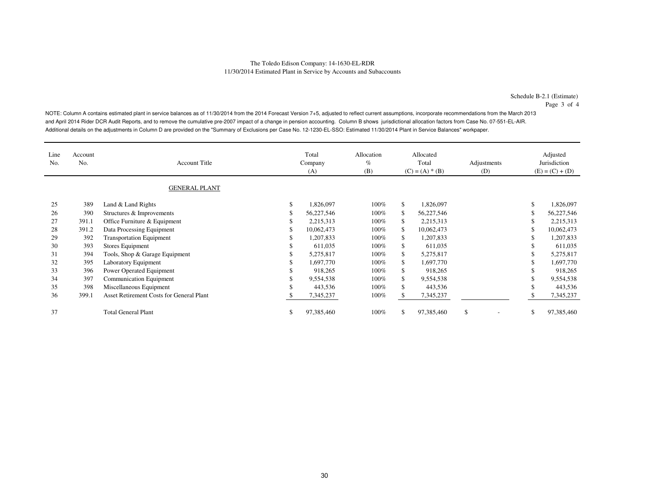Schedule B-2.1 (Estimate)

Page 3 of 4

NOTE: Column A contains estimated plant in service balances as of 11/30/2014 from the 2014 Forecast Version 7+5, adjusted to reflect current assumptions, incorporate recommendations from the March 2013 and April 2014 Rider DCR Audit Reports, and to remove the cumulative pre-2007 impact of a change in pension accounting. Column B shows jurisdictional allocation factors from Case No. 07-551-EL-AIR. Additional details on the adjustments in Column D are provided on the "Summary of Exclusions per Case No. 12-1230-EL-SSO: Estimated 11/30/2014 Plant in Service Balances" workpaper.

| Line<br>No. | Account<br>No. | <b>Account Title</b>                     |    | Total<br>Company<br>(A) | Allocation<br>$\%$<br>(B) | Allocated<br>Total<br>$(C) = (A) * (B)$ |            | Adjustments<br>(D) |    | Adjusted<br>Jurisdiction<br>$(E) = (C) + (D)$ |
|-------------|----------------|------------------------------------------|----|-------------------------|---------------------------|-----------------------------------------|------------|--------------------|----|-----------------------------------------------|
|             |                | <b>GENERAL PLANT</b>                     |    |                         |                           |                                         |            |                    |    |                                               |
| 25          | 389            | Land & Land Rights                       | \$ | 1,826,097               | $100\%$                   | \$                                      | 1,826,097  |                    | S  | 1,826,097                                     |
| 26          | 390            | Structures & Improvements                |    | 56,227,546              | 100%                      | \$                                      | 56,227,546 |                    |    | 56,227,546                                    |
| 27          | 391.1          | Office Furniture & Equipment             |    | 2,215,313               | 100%                      | \$                                      | 2,215,313  |                    | J. | 2,215,313                                     |
| 28          | 391.2          | Data Processing Equipment                |    | 10,062,473              | 100%                      | \$                                      | 10,062,473 |                    |    | 10,062,473                                    |
| 29          | 392            | <b>Transportation Equipment</b>          |    | 1,207,833               | 100%                      | \$                                      | 1,207,833  |                    |    | 1,207,833                                     |
| 30          | 393            | Stores Equipment                         |    | 611,035                 | 100%                      | \$                                      | 611,035    |                    |    | 611,035                                       |
| 31          | 394            | Tools, Shop & Garage Equipment           |    | 5,275,817               | $100\%$                   | \$                                      | 5,275,817  |                    |    | 5,275,817                                     |
| 32          | 395            | Laboratory Equipment                     |    | 1,697,770               | $100\%$                   | \$.                                     | 1,697,770  |                    |    | 1,697,770                                     |
| 33          | 396            | Power Operated Equipment                 |    | 918,265                 | $100\%$                   | \$                                      | 918,265    |                    |    | 918,265                                       |
| 34          | 397            | Communication Equipment                  |    | 9,554,538               | $100\%$                   | \$                                      | 9,554,538  |                    |    | 9,554,538                                     |
| 35          | 398            | Miscellaneous Equipment                  |    | 443,536                 | $100\%$                   | \$                                      | 443,536    |                    |    | 443,536                                       |
| 36          | 399.1          | Asset Retirement Costs for General Plant |    | 7,345,237               | 100%                      | S.                                      | 7,345,237  |                    |    | 7,345,237                                     |
| 37          |                | <b>Total General Plant</b>               | \$ | 97,385,460              | 100%                      | \$                                      | 97,385,460 | S                  | S  | 97,385,460                                    |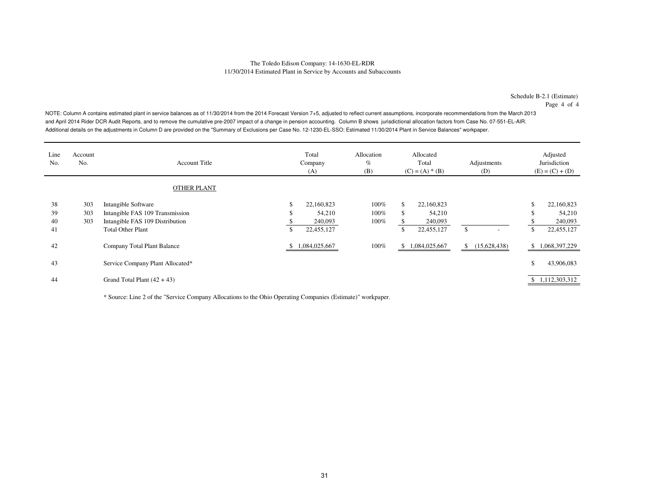Schedule B-2.1 (Estimate)Page 4 of 4

NOTE: Column A contains estimated plant in service balances as of 11/30/2014 from the 2014 Forecast Version 7+5, adjusted to reflect current assumptions, incorporate recommendations from the March 2013 and April 2014 Rider DCR Audit Reports, and to remove the cumulative pre-2007 impact of a change in pension accounting. Column B shows jurisdictional allocation factors from Case No. 07-551-EL-AIR. Additional details on the adjustments in Column D are provided on the "Summary of Exclusions per Case No. 12-1230-EL-SSO: Estimated 11/30/2014 Plant in Service Balances" workpaper.

| Line<br>No. | Account<br>No. | <b>Account Title</b>             | Total<br>Company<br>(A) | Allocation<br>$\%$<br>(B) | Allocated<br>Total<br>$(C) = (A) * (B)$ |               |     | Adjustments<br>(D)       |              | Adjusted<br>Jurisdiction<br>$(E) = (C) + (D)$ |
|-------------|----------------|----------------------------------|-------------------------|---------------------------|-----------------------------------------|---------------|-----|--------------------------|--------------|-----------------------------------------------|
|             |                | <b>OTHER PLANT</b>               |                         |                           |                                         |               |     |                          |              |                                               |
| 38          | 303            | Intangible Software              | \$<br>22,160,823        | 100%                      | \$.                                     | 22,160,823    |     |                          | \$           | 22,160,823                                    |
| 39          | 303            | Intangible FAS 109 Transmission  | \$<br>54,210            | 100%                      | S                                       | 54,210        |     |                          | \$           | 54,210                                        |
| 40          | 303            | Intangible FAS 109 Distribution  | 240,093                 | 100%                      |                                         | 240,093       |     |                          |              | 240,093                                       |
| 41          |                | <b>Total Other Plant</b>         | \$<br>22,455,127        |                           | ъ                                       | 22,455,127    | \$. | $\overline{\phantom{a}}$ | $\mathbb{S}$ | 22,455,127                                    |
| 42          |                | Company Total Plant Balance      | 1,084,025,667           | 100%                      | \$.                                     | 1,084,025,667 | \$  | (15,628,438)             | \$           | 1,068,397,229                                 |
| 43          |                | Service Company Plant Allocated* |                         |                           |                                         |               |     |                          | \$           | 43,906,083                                    |
| 44          |                | Grand Total Plant $(42 + 43)$    |                         |                           |                                         |               |     |                          |              | \$1,112,303,312                               |

\* Source: Line 2 of the "Service Company Allocations to the Ohio Operating Companies (Estimate)" workpaper.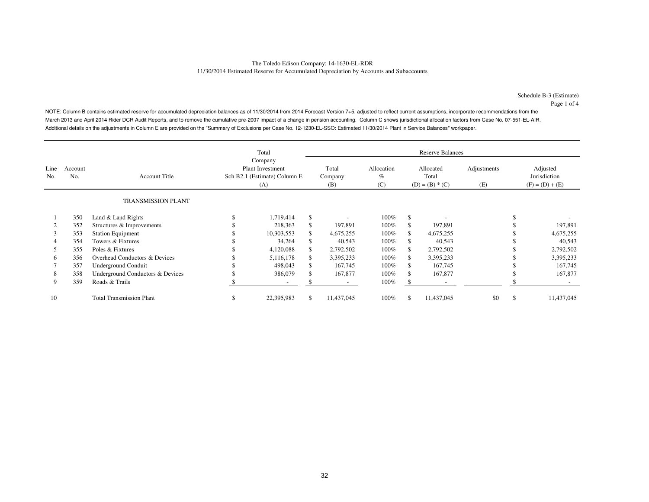Schedule B-3 (Estimate)Page 1 of 4

NOTE: Column B contains estimated reserve for accumulated depreciation balances as of 11/30/2014 from 2014 Forecast Version 7+5, adjusted to reflect current assumptions, incorporate recommendations from the March 2013 and April 2014 Rider DCR Audit Reports, and to remove the cumulative pre-2007 impact of a change in pension accounting. Column C shows jurisdictional allocation factors from Case No. 07-551-EL-AIR. Additional details on the adjustments in Column E are provided on the "Summary of Exclusions per Case No. 12-1230-EL-SSO: Estimated 11/30/2014 Plant in Service Balances" workpaper.

|             |                |                                  |                                                                           | Total      |    |                          |                           |                                         | <b>Reserve Balances</b>  |                    |                                               |            |
|-------------|----------------|----------------------------------|---------------------------------------------------------------------------|------------|----|--------------------------|---------------------------|-----------------------------------------|--------------------------|--------------------|-----------------------------------------------|------------|
| Line<br>No. | Account<br>No. | <b>Account Title</b>             | Company<br><b>Plant Investment</b><br>Sch B2.1 (Estimate) Column E<br>(A) |            |    | Total<br>Company<br>(B)  | Allocation<br>$\%$<br>(C) | Allocated<br>Total<br>$(D) = (B) * (C)$ |                          | Adjustments<br>(E) | Adjusted<br>Jurisdiction<br>$(F) = (D) + (E)$ |            |
|             |                | <b>TRANSMISSION PLANT</b>        |                                                                           |            |    |                          |                           |                                         |                          |                    |                                               |            |
|             | 350            | Land & Land Rights               |                                                                           | 1,719,414  | \$ |                          | $100\%$                   | -S                                      |                          |                    |                                               |            |
|             | 352            | Structures & Improvements        |                                                                           | 218,363    |    | 197,891                  | 100%                      |                                         | 197,891                  |                    |                                               | 197,891    |
| 3           | 353            | <b>Station Equipment</b>         |                                                                           | 10,303,553 | S. | 4,675,255                | $100\%$                   |                                         | 4,675,255                |                    |                                               | 4,675,255  |
| 4           | 354            | Towers & Fixtures                |                                                                           | 34,264     |    | 40,543                   | $100\%$                   |                                         | 40,543                   |                    |                                               | 40,543     |
| 5           | 355            | Poles & Fixtures                 |                                                                           | 4,120,088  |    | 2,792,502                | $100\%$                   |                                         | 2,792,502                |                    |                                               | 2,792,502  |
| 6           | 356            | Overhead Conductors & Devices    |                                                                           | 5,116,178  |    | 3,395,233                | 100%                      |                                         | 3,395,233                |                    |                                               | 3,395,233  |
|             | 357            | Underground Conduit              |                                                                           | 498,043    |    | 167,745                  | 100%                      |                                         | 167,745                  |                    |                                               | 167,745    |
| 8           | 358            | Underground Conductors & Devices |                                                                           | 386,079    |    | 167,877                  | $100\%$                   |                                         | 167,877                  |                    |                                               | 167,877    |
| 9           | 359            | Roads & Trails                   |                                                                           |            |    | $\overline{\phantom{a}}$ | 100%                      |                                         | $\overline{\phantom{a}}$ |                    |                                               |            |
| 10          |                | <b>Total Transmission Plant</b>  | ъ                                                                         | 22,395,983 | S. | 11,437,045               | $100\%$                   | S.                                      | 11,437,045               | \$0                | \$                                            | 11,437,045 |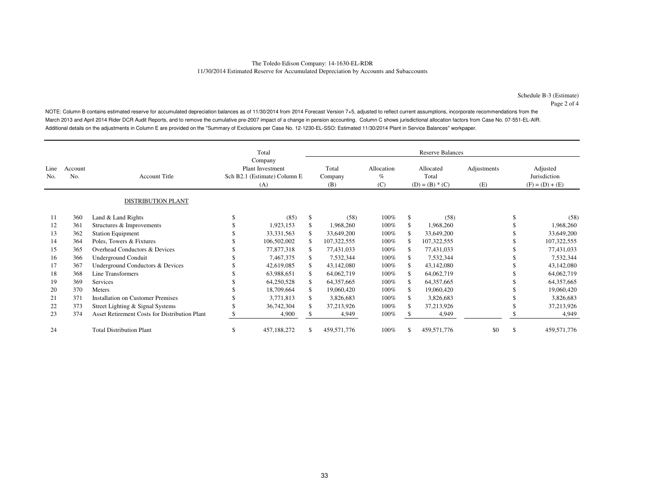NOTE: Column B contains estimated reserve for accumulated depreciation balances as of 11/30/2014 from 2014 Forecast Version 7+5, adjusted to reflect current assumptions, incorporate recommendations from the March 2013 and April 2014 Rider DCR Audit Reports, and to remove the cumulative pre-2007 impact of a change in pension accounting. Column C shows jurisdictional allocation factors from Case No. 07-551-EL-AIR. Additional details on the adjustments in Column E are provided on the "Summary of Exclusions per Case No. 12-1230-EL-SSO: Estimated 11/30/2014 Plant in Service Balances" workpaper.

|             |                |                                                      |                                                                | Total<br>Company |     |                         |                           |                                         | <b>Reserve Balances</b> |                    |                                               |              |
|-------------|----------------|------------------------------------------------------|----------------------------------------------------------------|------------------|-----|-------------------------|---------------------------|-----------------------------------------|-------------------------|--------------------|-----------------------------------------------|--------------|
| Line<br>No. | Account<br>No. | <b>Account Title</b>                                 | <b>Plant Investment</b><br>Sch B2.1 (Estimate) Column E<br>(A) |                  |     | Total<br>Company<br>(B) | Allocation<br>$\%$<br>(C) | Allocated<br>Total<br>$(D) = (B) * (C)$ |                         | Adjustments<br>(E) | Adjusted<br>Jurisdiction<br>$(F) = (D) + (E)$ |              |
|             |                | <b>DISTRIBUTION PLANT</b>                            |                                                                |                  |     |                         |                           |                                         |                         |                    |                                               |              |
| 11          | 360            | Land & Land Rights                                   |                                                                | (85)             | \$  | (58)                    | $100\%$                   | \$                                      | (58)                    |                    | \$                                            | (58)         |
| 12          | 361            | Structures & Improvements                            |                                                                | 1,923,153        | \$. | 1,968,260               | $100\%$                   |                                         | 1,968,260               |                    |                                               | 1,968,260    |
| 13          | 362            | <b>Station Equipment</b>                             |                                                                | 33, 331, 563     |     | 33,649,200              | 100%                      |                                         | 33,649,200              |                    |                                               | 33,649,200   |
| 14          | 364            | Poles, Towers & Fixtures                             |                                                                | 106,502,002      |     | 107,322,555             | $100\%$                   |                                         | 107,322,555             |                    |                                               | 107,322,555  |
| 15          | 365            | Overhead Conductors & Devices                        |                                                                | 77,877,318       |     | 77,431,033              | 100%                      |                                         | 77,431,033              |                    |                                               | 77,431,033   |
| 16          | 366            | <b>Underground Conduit</b>                           |                                                                | 7,467,375        |     | 7,532,344               | 100%                      |                                         | 7,532,344               |                    |                                               | 7,532,344    |
| 17          | 367            | Underground Conductors & Devices                     |                                                                | 42,619,085       |     | 43,142,080              | 100%                      |                                         | 43,142,080              |                    |                                               | 43,142,080   |
| 18          | 368            | Line Transformers                                    |                                                                | 63,988,651       |     | 64,062,719              | $100\%$                   |                                         | 64,062,719              |                    |                                               | 64,062,719   |
| 19          | 369            | <b>Services</b>                                      |                                                                | 64,250,528       |     | 64, 357, 665            | 100%                      |                                         | 64, 357, 665            |                    |                                               | 64, 357, 665 |
| 20          | 370            | <b>Meters</b>                                        |                                                                | 18,709,664       |     | 19,060,420              | 100%                      |                                         | 19,060,420              |                    |                                               | 19,060,420   |
| 21          | 371            | <b>Installation on Customer Premises</b>             |                                                                | 3,771,813        |     | 3,826,683               | $100\%$                   |                                         | 3,826,683               |                    |                                               | 3,826,683    |
| 22          | 373            | Street Lighting & Signal Systems                     |                                                                | 36,742,304       |     | 37,213,926              | 100%                      |                                         | 37,213,926              |                    |                                               | 37,213,926   |
| 23          | 374            | <b>Asset Retirement Costs for Distribution Plant</b> |                                                                | 4,900            |     | 4,949                   | 100%                      |                                         | 4,949                   |                    |                                               | 4,949        |
| 24          |                | <b>Total Distribution Plant</b>                      | \$                                                             | 457,188,272      | \$  | 459,571,776             | 100%                      |                                         | 459,571,776             | \$0                | \$                                            | 459,571,776  |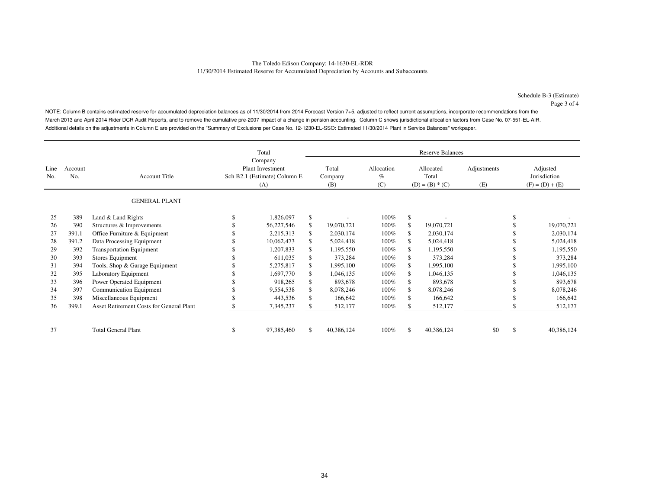NOTE: Column B contains estimated reserve for accumulated depreciation balances as of 11/30/2014 from 2014 Forecast Version 7+5, adjusted to reflect current assumptions, incorporate recommendations from the March 2013 and April 2014 Rider DCR Audit Reports, and to remove the cumulative pre-2007 impact of a change in pension accounting. Column C shows jurisdictional allocation factors from Case No. 07-551-EL-AIR. Additional details on the adjustments in Column E are provided on the "Summary of Exclusions per Case No. 12-1230-EL-SSO: Estimated 11/30/2014 Plant in Service Balances" workpaper.

|             |                |                                          | Total<br>Company                                               |            |    | <b>Reserve Balances</b> |                           |                                         |            |                    |                                               |            |  |  |
|-------------|----------------|------------------------------------------|----------------------------------------------------------------|------------|----|-------------------------|---------------------------|-----------------------------------------|------------|--------------------|-----------------------------------------------|------------|--|--|
| Line<br>No. | Account<br>No. | <b>Account Title</b>                     | <b>Plant Investment</b><br>Sch B2.1 (Estimate) Column E<br>(A) |            |    | Total<br>Company<br>(B) | Allocation<br>$\%$<br>(C) | Allocated<br>Total<br>$(D) = (B) * (C)$ |            | Adjustments<br>(E) | Adjusted<br>Jurisdiction<br>$(F) = (D) + (E)$ |            |  |  |
|             |                | <b>GENERAL PLANT</b>                     |                                                                |            |    |                         |                           |                                         |            |                    |                                               |            |  |  |
| 25          | 389            | Land & Land Rights                       | ъ                                                              | 1,826,097  | \$ |                         | $100\%$                   | \$                                      |            |                    |                                               |            |  |  |
| 26          | 390            | Structures & Improvements                |                                                                | 56,227,546 | \$ | 19,070,721              | $100\%$                   |                                         | 19.070.721 |                    |                                               | 19,070,721 |  |  |
| 27          | 391.1          | Office Furniture & Equipment             |                                                                | 2,215,313  |    | 2,030,174               | 100%                      |                                         | 2,030,174  |                    |                                               | 2,030,174  |  |  |
| 28          | 391.2          | Data Processing Equipment                |                                                                | 10,062,473 |    | 5,024,418               | $100\%$                   |                                         | 5,024,418  |                    |                                               | 5,024,418  |  |  |
| 29          | 392            | <b>Transportation Equipment</b>          |                                                                | 1,207,833  |    | 1,195,550               | $100\%$                   |                                         | 1,195,550  |                    |                                               | 1,195,550  |  |  |
| 30          | 393            | Stores Equipment                         |                                                                | 611,035    |    | 373,284                 | 100%                      |                                         | 373,284    |                    |                                               | 373,284    |  |  |
| 31          | 394            | Tools, Shop & Garage Equipment           |                                                                | 5,275,817  |    | 1,995,100               | 100%                      |                                         | 1,995,100  |                    |                                               | 1,995,100  |  |  |
| 32          | 395            | Laboratory Equipment                     |                                                                | 1,697,770  | S  | 1,046,135               | 100%                      |                                         | 1,046,135  |                    |                                               | 1,046,135  |  |  |
| 33          | 396            | Power Operated Equipment                 |                                                                | 918,265    | S. | 893,678                 | 100%                      |                                         | 893,678    |                    |                                               | 893,678    |  |  |
| 34          | 397            | Communication Equipment                  |                                                                | 9,554,538  |    | 8,078,246               | 100%                      |                                         | 8,078,246  |                    |                                               | 8,078,246  |  |  |
| 35          | 398            | Miscellaneous Equipment                  |                                                                | 443,536    |    | 166,642                 | 100%                      |                                         | 166,642    |                    |                                               | 166,642    |  |  |
| 36          | 399.1          | Asset Retirement Costs for General Plant |                                                                | 7,345,237  |    | 512,177                 | 100%                      |                                         | 512,177    |                    |                                               | 512,177    |  |  |
| 37          |                | <b>Total General Plant</b>               | \$                                                             | 97,385,460 | \$ | 40,386,124              | 100%                      |                                         | 40,386,124 | \$0                | \$                                            | 40,386,124 |  |  |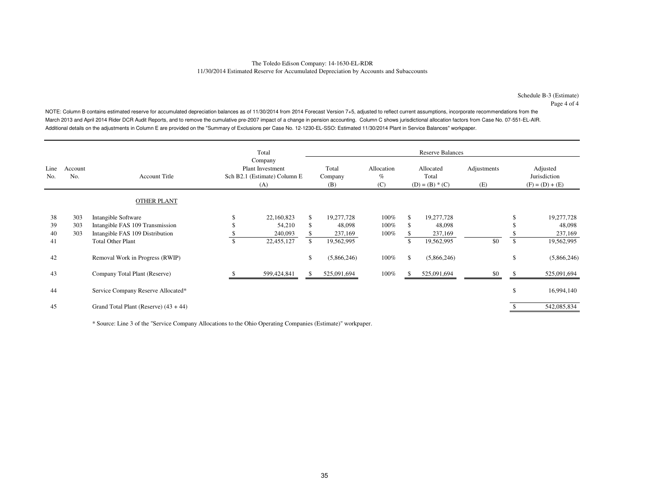#### The Toledo Edison Company: 14-1630-EL-RDR11/30/2014 Estimated Reserve for Accumulated Depreciation by Accounts and Subaccounts

Schedule B-3 (Estimate)Page 4 of 4

NOTE: Column B contains estimated reserve for accumulated depreciation balances as of 11/30/2014 from 2014 Forecast Version 7+5, adjusted to reflect current assumptions, incorporate recommendations from the March 2013 and April 2014 Rider DCR Audit Reports, and to remove the cumulative pre-2007 impact of a change in pension accounting. Column C shows jurisdictional allocation factors from Case No. 07-551-EL-AIR. Additional details on the adjustments in Column E are provided on the "Summary of Exclusions per Case No. 12-1230-EL-SSO: Estimated 11/30/2014 Plant in Service Balances" workpaper.

|             |                |                                         |    | Total                                                              |    |                         |                           |                                         | <b>Reserve Balances</b> |                    |                                               |  |
|-------------|----------------|-----------------------------------------|----|--------------------------------------------------------------------|----|-------------------------|---------------------------|-----------------------------------------|-------------------------|--------------------|-----------------------------------------------|--|
| Line<br>No. | Account<br>No. | <b>Account Title</b>                    |    | Company<br>Plant Investment<br>Sch B2.1 (Estimate) Column E<br>(A) |    | Total<br>Company<br>(B) | Allocation<br>$\%$<br>(C) | Allocated<br>Total<br>$(D) = (B) * (C)$ |                         | Adjustments<br>(E) | Adjusted<br>Jurisdiction<br>$(F) = (D) + (E)$ |  |
|             |                | <b>OTHER PLANT</b>                      |    |                                                                    |    |                         |                           |                                         |                         |                    |                                               |  |
| 38          | 303            | Intangible Software                     |    | 22,160,823                                                         | S. | 19,277,728              | 100%                      |                                         | 19,277,728              |                    | 19,277,728                                    |  |
| 39          | 303            | Intangible FAS 109 Transmission         |    | 54,210                                                             |    | 48,098                  | 100%                      |                                         | 48,098                  |                    | 48,098                                        |  |
| 40          | 303            | Intangible FAS 109 Distribution         |    | 240,093                                                            |    | 237,169                 | 100%                      |                                         | 237,169                 |                    | 237,169                                       |  |
| 41          |                | <b>Total Other Plant</b>                | \$ | 22,455,127                                                         |    | 19,562,995              |                           |                                         | 19,562,995              | \$0                | \$<br>19,562,995                              |  |
| 42          |                | Removal Work in Progress (RWIP)         |    |                                                                    | \$ | (5,866,246)             | 100%                      | \$.                                     | (5,866,246)             |                    | \$<br>(5,866,246)                             |  |
| 43          |                | Company Total Plant (Reserve)           |    | 599,424,841                                                        |    | 525,091,694             | $100\%$                   |                                         | 525,091,694             | \$0                | 525,091,694                                   |  |
| 44          |                | Service Company Reserve Allocated*      |    |                                                                    |    |                         |                           |                                         |                         |                    | \$<br>16,994,140                              |  |
| 45          |                | Grand Total Plant (Reserve) $(43 + 44)$ |    |                                                                    |    |                         |                           |                                         |                         |                    | 542,085,834                                   |  |

\* Source: Line 3 of the "Service Company Allocations to the Ohio Operating Companies (Estimate)" workpaper.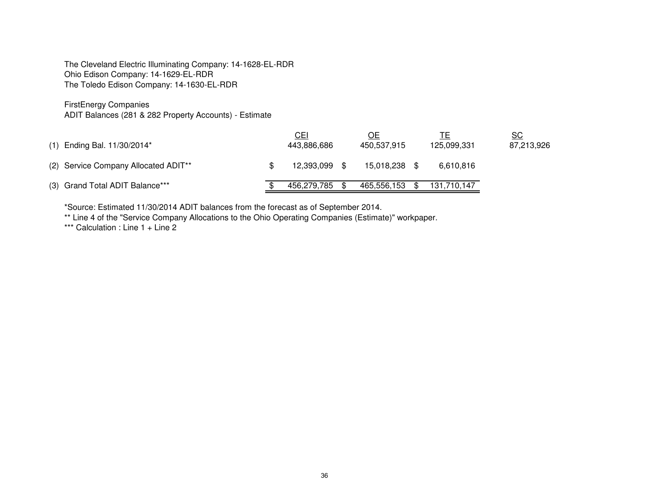FirstEnergy Companies

ADIT Balances (281 & 282 Property Accounts) - Estimate

| (1) Ending Bal. 11/30/2014*                      | <u>CEI</u><br>443,886,686 |      | ОE<br>450.537.915 | 125,099,331 | $\underline{\mathsf{SC}}$<br>87,213,926 |
|--------------------------------------------------|---------------------------|------|-------------------|-------------|-----------------------------------------|
| (2) Service Company Allocated ADIT <sup>**</sup> | 12.393.099                | - \$ | 15.018.238        | 6.610.816   |                                         |
| (3) Grand Total ADIT Balance***                  | 456.279.785               |      | 465.556.153       | 131.710.147 |                                         |

\*Source: Estimated 11/30/2014 ADIT balances from the forecast as of September 2014.

\*\* Line 4 of the "Service Company Allocations to the Ohio Operating Companies (Estimate)" workpaper.

\*\*\* Calculation : Line 1 + Line 2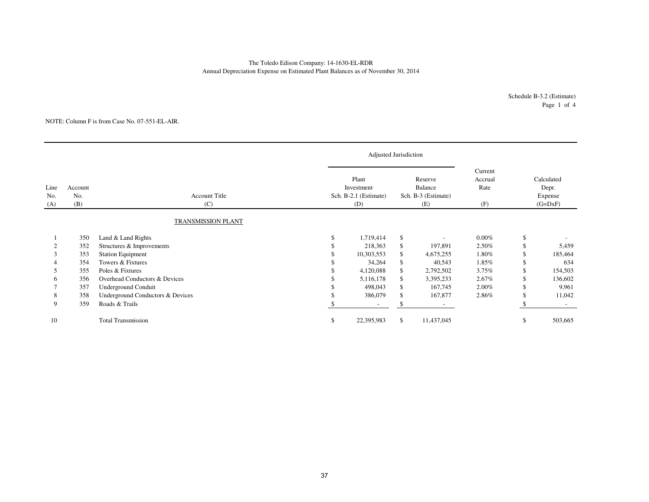### The Toledo Edison Company: 14-1630-EL-RDRAnnual Depreciation Expense on Estimated Plant Balances as of November 30, 2014

Schedule B-3.2 (Estimate)Page 1 of 4

#### NOTE: Column F is from Case No. 07-551-EL-AIR.

|                    |                       |                                  |     | Adjusted Jurisdiction                               |    |                                                  |                                   |                                             |         |
|--------------------|-----------------------|----------------------------------|-----|-----------------------------------------------------|----|--------------------------------------------------|-----------------------------------|---------------------------------------------|---------|
| Line<br>No.<br>(A) | Account<br>No.<br>(B) | <b>Account Title</b><br>(C)      |     | Plant<br>Investment<br>Sch. B-2.1 (Estimate)<br>(D) |    | Reserve<br>Balance<br>Sch. B-3 (Estimate)<br>(E) | Current<br>Accrual<br>Rate<br>(F) | Calculated<br>Depr.<br>Expense<br>$(G=DXF)$ |         |
|                    |                       | TRANSMISSION PLANT               |     |                                                     |    |                                                  |                                   |                                             |         |
|                    | 350                   | Land & Land Rights               | \$. | 1,719,414                                           | \$ |                                                  | $0.00\%$                          | \$                                          |         |
|                    | 352                   | Structures & Improvements        |     | 218,363                                             | \$ | 197,891                                          | 2.50%                             |                                             | 5,459   |
|                    | 353                   | <b>Station Equipment</b>         |     | 10,303,553                                          | \$ | 4,675,255                                        | 1.80%                             | \$                                          | 185,464 |
|                    | 354                   | Towers & Fixtures                |     | 34,264                                              | \$ | 40,543                                           | 1.85%                             | \$.                                         | 634     |
|                    | 355                   | Poles & Fixtures                 |     | 4,120,088                                           | \$ | 2,792,502                                        | 3.75%                             | \$.                                         | 154,503 |
| 6                  | 356                   | Overhead Conductors & Devices    |     | 5,116,178                                           | \$ | 3,395,233                                        | 2.67%                             |                                             | 136,602 |
|                    | 357                   | Underground Conduit              |     | 498,043                                             | \$ | 167,745                                          | 2.00%                             |                                             | 9,961   |
| 8                  | 358                   | Underground Conductors & Devices |     | 386,079                                             | \$ | 167,877                                          | 2.86%                             | \$.                                         | 11,042  |
| 9                  | 359                   | Roads & Trails                   |     | $\overline{\phantom{a}}$                            | \$ |                                                  |                                   |                                             |         |
| 10                 |                       | <b>Total Transmission</b>        | \$  | 22,395,983                                          | \$ | 11,437,045                                       |                                   | \$                                          | 503,665 |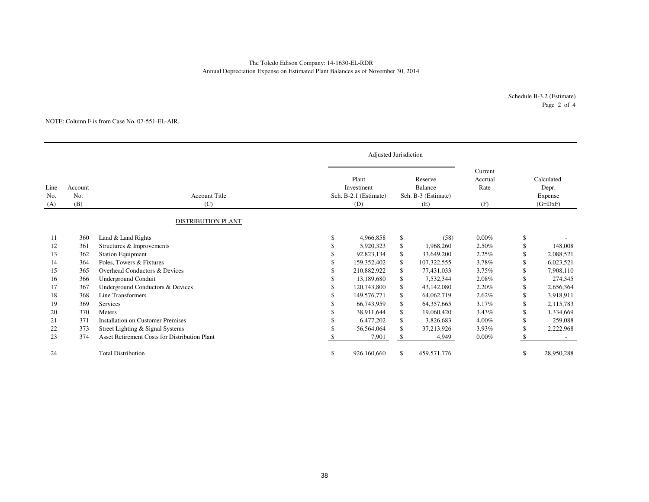### The Toledo Edison Company: 14-1630-EL-RDRAnnual Depreciation Expense on Estimated Plant Balances as of November 30, 2014

Schedule B-3.2 (Estimate)Page 2 of 4

#### NOTE: Column F is from Case No. 07-551-EL-AIR.

|                    |                       |                                                      |    | Adjusted Jurisdiction                               |                                                         |                                   |     |                                             |
|--------------------|-----------------------|------------------------------------------------------|----|-----------------------------------------------------|---------------------------------------------------------|-----------------------------------|-----|---------------------------------------------|
| Line<br>No.<br>(A) | Account<br>No.<br>(B) | <b>Account Title</b><br>(C)                          |    | Plant<br>Investment<br>Sch. B-2.1 (Estimate)<br>(D) | Reserve<br><b>Balance</b><br>Sch. B-3 (Estimate)<br>(E) | Current<br>Accrual<br>Rate<br>(F) |     | Calculated<br>Depr.<br>Expense<br>$(G=DXF)$ |
|                    |                       | <b>DISTRIBUTION PLANT</b>                            |    |                                                     |                                                         |                                   |     |                                             |
| 11                 | 360                   | Land & Land Rights                                   | \$ | 4,966,858                                           | \$<br>(58)                                              | $0.00\%$                          | \$  |                                             |
| 12                 | 361                   | Structures & Improvements                            | S  | 5,920,323                                           | \$<br>1,968,260                                         | 2.50%                             | \$  | 148,008                                     |
| 13                 | 362                   | <b>Station Equipment</b>                             |    | 92,823,134                                          | \$<br>33,649,200                                        | 2.25%                             | S   | 2,088,521                                   |
| 14                 | 364                   | Poles, Towers & Fixtures                             |    | 159,352,402                                         | \$<br>107,322,555                                       | 3.78%                             | S   | 6,023,521                                   |
| 15                 | 365                   | Overhead Conductors & Devices                        |    | 210,882,922                                         | \$<br>77,431,033                                        | 3.75%                             |     | 7,908,110                                   |
| 16                 | 366                   | <b>Underground Conduit</b>                           |    | 13.189.680                                          | \$<br>7,532,344                                         | 2.08%                             |     | 274,345                                     |
| 17                 | 367                   | Underground Conductors & Devices                     |    | 120,743,800                                         | \$<br>43,142,080                                        | 2.20%                             |     | 2,656,364                                   |
| 18                 | 368                   | Line Transformers                                    |    | 149,576,771                                         | \$<br>64,062,719                                        | 2.62%                             |     | 3,918,911                                   |
| 19                 | 369                   | Services                                             |    | 66,743,959                                          | \$<br>64, 357, 665                                      | 3.17%                             | S   | 2,115,783                                   |
| 20                 | 370                   | Meters                                               |    | 38.911.644                                          | \$<br>19,060,420                                        | 3.43%                             | S   | 1,334,669                                   |
| 21                 | 371                   | <b>Installation on Customer Premises</b>             |    | 6,477,202                                           | \$<br>3,826,683                                         | 4.00%                             | \$. | 259,088                                     |
| 22                 | 373                   | Street Lighting & Signal Systems                     |    | 56,564,064                                          | \$<br>37,213,926                                        | 3.93%                             | \$. | 2,222,968                                   |
| 23                 | 374                   | <b>Asset Retirement Costs for Distribution Plant</b> |    | 7,901                                               | \$<br>4,949                                             | 0.00%                             |     |                                             |
| 24                 |                       | <b>Total Distribution</b>                            | \$ | 926,160,660                                         | \$<br>459,571,776                                       |                                   | S   | 28,950,288                                  |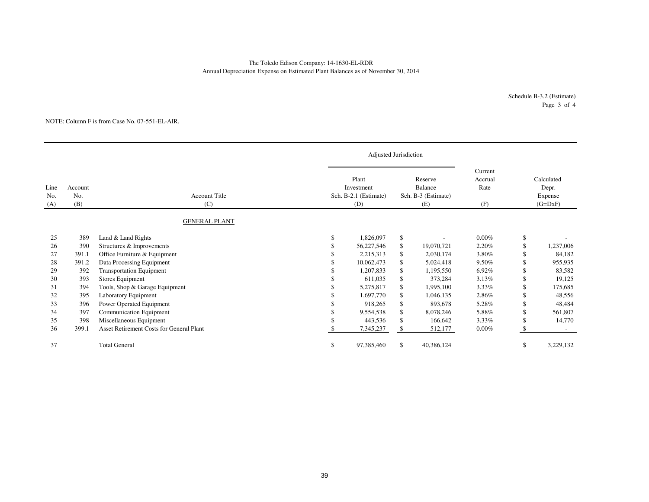### Annual Depreciation Expense on Estimated Plant Balances as of November 30, 2014 The Toledo Edison Company: 14-1630-EL-RDR

Schedule B-3.2 (Estimate)Page 3 of 4

#### NOTE: Column F is from Case No. 07-551-EL-AIR.

|                    |                       |                                                              | Adjusted Jurisdiction                               |          |                                                  |                                   |          |                                             |
|--------------------|-----------------------|--------------------------------------------------------------|-----------------------------------------------------|----------|--------------------------------------------------|-----------------------------------|----------|---------------------------------------------|
| Line<br>No.<br>(A) | Account<br>No.<br>(B) | <b>Account Title</b><br>(C)                                  | Plant<br>Investment<br>Sch. B-2.1 (Estimate)<br>(D) |          | Reserve<br>Balance<br>Sch. B-3 (Estimate)<br>(E) | Current<br>Accrual<br>Rate<br>(F) |          | Calculated<br>Depr.<br>Expense<br>$(G=DxF)$ |
|                    |                       | <b>GENERAL PLANT</b>                                         |                                                     |          |                                                  |                                   |          |                                             |
| 25<br>26           | 389<br>390            | Land & Land Rights<br>Structures & Improvements              | \$<br>1,826,097<br>56,227,546                       | \$<br>\$ | 19,070,721                                       | $0.00\%$<br>2.20%                 | \$<br>\$ | 1,237,006                                   |
| 27                 | 391.1                 | Office Furniture & Equipment                                 | 2,215,313                                           | \$       | 2,030,174                                        | 3.80%                             |          | 84,182                                      |
| 28<br>29           | 391.2<br>392          | Data Processing Equipment<br><b>Transportation Equipment</b> | 10,062,473<br>1,207,833                             | \$<br>\$ | 5,024,418<br>1,195,550                           | 9.50%<br>6.92%                    |          | 955,935<br>83,582                           |
| 30                 | 393                   | Stores Equipment                                             | 611,035                                             | \$       | 373,284                                          | 3.13%                             | \$       | 19,125                                      |
| 31                 | 394                   | Tools, Shop & Garage Equipment                               | 5,275,817                                           | \$       | 1,995,100                                        | 3.33%                             |          | 175,685                                     |
| 32                 | 395                   | Laboratory Equipment                                         | 1,697,770                                           | \$       | 1,046,135                                        | 2.86%                             |          | 48,556                                      |
| 33                 | 396                   | Power Operated Equipment                                     | 918,265                                             | \$       | 893,678                                          | 5.28%                             |          | 48,484                                      |
| 34                 | 397                   | <b>Communication Equipment</b>                               | 9,554,538                                           | \$       | 8,078,246                                        | 5.88%                             |          | 561,807                                     |
| 35                 | 398                   | Miscellaneous Equipment                                      | 443,536                                             | \$       | 166,642                                          | 3.33%                             |          | 14,770                                      |
| 36                 | 399.1                 | <b>Asset Retirement Costs for General Plant</b>              | 7,345,237                                           | \$       | 512,177                                          | $0.00\%$                          |          |                                             |
| 37                 |                       | <b>Total General</b>                                         | \$<br>97,385,460                                    | \$       | 40,386,124                                       |                                   | \$       | 3,229,132                                   |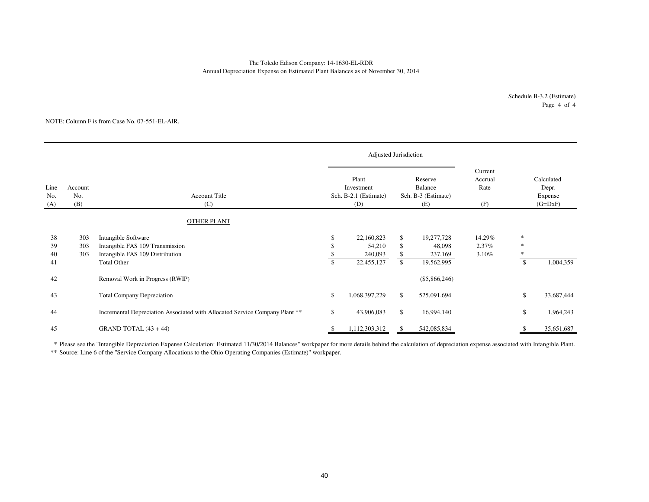#### The Toledo Edison Company: 14-1630-EL-RDRAnnual Depreciation Expense on Estimated Plant Balances as of November 30, 2014

Schedule B-3.2 (Estimate)Page 4 of 4

#### NOTE: Column F is from Case No. 07-551-EL-AIR.

|                    |                       |                                                                                           |    | Adjusted Jurisdiction                               |                |                                                  |                                   |                                             |            |
|--------------------|-----------------------|-------------------------------------------------------------------------------------------|----|-----------------------------------------------------|----------------|--------------------------------------------------|-----------------------------------|---------------------------------------------|------------|
| Line<br>No.<br>(A) | Account<br>No.<br>(B) | <b>Account Title</b><br>(C)                                                               |    | Plant<br>Investment<br>Sch. B-2.1 (Estimate)<br>(D) |                | Reserve<br>Balance<br>Sch. B-3 (Estimate)<br>(E) | Current<br>Accrual<br>Rate<br>(F) | Calculated<br>Depr.<br>Expense<br>$(G=DxF)$ |            |
|                    |                       | <b>OTHER PLANT</b>                                                                        |    |                                                     |                |                                                  |                                   |                                             |            |
| 38<br>39<br>40     | 303<br>303<br>303     | Intangible Software<br>Intangible FAS 109 Transmission<br>Intangible FAS 109 Distribution | S  | 22,160,823<br>54,210<br>240,093                     | \$<br>\$<br>\$ | 19,277,728<br>48,098<br>237,169                  | 14.29%<br>2.37%<br>3.10%          | *<br>*                                      |            |
| 41                 |                       | <b>Total Other</b>                                                                        |    | 22,455,127                                          | $\mathbb{S}$   | 19,562,995                                       |                                   | \$                                          | 1,004,359  |
| 42                 |                       | Removal Work in Progress (RWIP)                                                           |    |                                                     |                | $(\$5,866,246)$                                  |                                   |                                             |            |
| 43                 |                       | <b>Total Company Depreciation</b>                                                         | \$ | 1,068,397,229                                       | \$             | 525,091,694                                      |                                   | \$                                          | 33,687,444 |
| 44                 |                       | Incremental Depreciation Associated with Allocated Service Company Plant **               | \$ | 43,906,083                                          | \$             | 16,994,140                                       |                                   | \$                                          | 1,964,243  |
| 45                 |                       | GRAND TOTAL $(43 + 44)$                                                                   | Ъ  | 1,112,303,312                                       | \$             | 542,085,834                                      |                                   |                                             | 35,651,687 |

\* Please see the "Intangible Depreciation Expense Calculation: Estimated 11/30/2014 Balances" workpaper for more details behind the calculation of depreciation expense associated with Intangible Plant.

\*\* Source: Line 6 of the "Service Company Allocations to the Ohio Operating Companies (Estimate)" workpaper.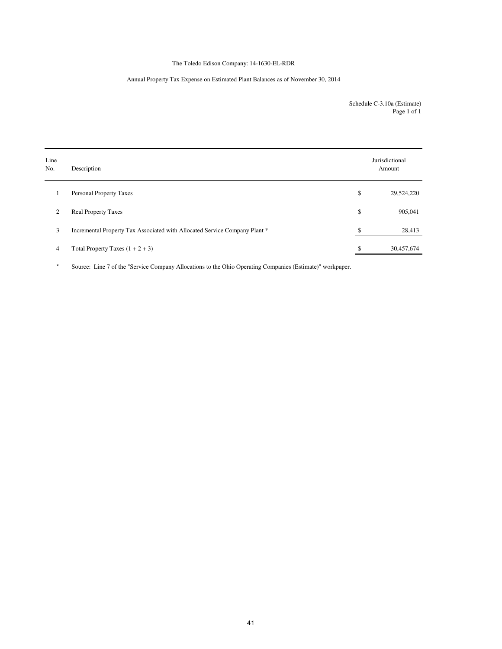### The Toledo Edison Company: 14-1630-EL-RDR

### Annual Property Tax Expense on Estimated Plant Balances as of November 30, 2014

Schedule C-3.10a (Estimate) Page 1 of 1

| Line<br>No.    | Description                                                                | Jurisdictional<br>Amount |
|----------------|----------------------------------------------------------------------------|--------------------------|
| 1              | <b>Personal Property Taxes</b>                                             | \$<br>29,524,220         |
| 2              | <b>Real Property Taxes</b>                                                 | \$<br>905,041            |
| 3              | Incremental Property Tax Associated with Allocated Service Company Plant * | \$<br>28,413             |
| $\overline{4}$ | Total Property Taxes $(1 + 2 + 3)$                                         | \$<br>30,457,674         |

\* Source: Line 7 of the "Service Company Allocations to the Ohio Operating Companies (Estimate)" workpaper.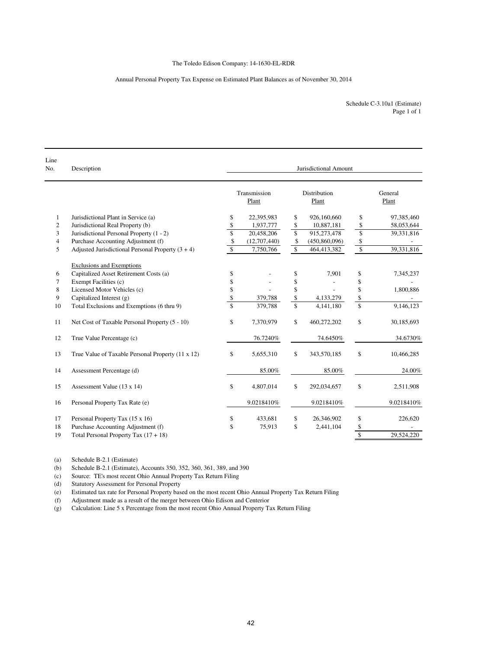### The Toledo Edison Company: 14-1630-EL-RDR

#### Annual Personal Property Tax Expense on Estimated Plant Balances as of November 30, 2014

Schedule C-3.10a1 (Estimate) Page 1 of 1

| Line<br>No.      | Description                                         |                         |                       |                    | Jurisdictional Amount        |                    |                  |
|------------------|-----------------------------------------------------|-------------------------|-----------------------|--------------------|------------------------------|--------------------|------------------|
|                  |                                                     |                         | Transmission<br>Plant |                    | <b>Distribution</b><br>Plant |                    | General<br>Plant |
| 1                | Jurisdictional Plant in Service (a)                 | \$                      | 22,395,983            | \$                 | 926,160,660                  | \$                 | 97,385,460       |
| $\boldsymbol{2}$ | Jurisdictional Real Property (b)                    | \$                      | 1,937,777             | \$                 | 10,887,181                   | \$                 | 58,053,644       |
| 3                | Jurisdictional Personal Property (1 - 2)            | $\overline{\mathbb{S}}$ | 20,458,206            | \$                 | 915,273,478                  | \$                 | 39,331,816       |
| $\overline{4}$   | Purchase Accounting Adjustment (f)                  | \$                      | (12,707,440)          | \$                 | (450,860,096)                | \$                 |                  |
| 5                | Adjusted Jurisdictional Personal Property $(3 + 4)$ | $\mathbf S$             | 7,750,766             | $\mathbb{S}$       | 464,413,382                  | $\mathbb{S}$       | 39,331,816       |
|                  | <b>Exclusions and Exemptions</b>                    |                         |                       |                    |                              |                    |                  |
| 6                | Capitalized Asset Retirement Costs (a)              | \$                      |                       | \$                 | 7,901                        | \$                 | 7,345,237        |
| 7                | Exempt Facilities (c)                               | \$                      |                       | \$                 |                              | \$                 |                  |
| 8                | Licensed Motor Vehicles (c)                         | \$                      |                       | \$                 |                              | \$                 | 1,800,886        |
| 9                | Capitalized Interest (g)                            | \$                      | 379,788               | \$                 | 4,133,279                    | \$                 |                  |
| 10               | Total Exclusions and Exemptions (6 thru 9)          | $\mathcal{S}$           | 379,788               | $\mathbf{\hat{S}}$ | 4,141,180                    | $\mathbf{\hat{S}}$ | 9,146,123        |
| 11               | Net Cost of Taxable Personal Property (5 - 10)      | \$                      | 7,370,979             | \$                 | 460,272,202                  | \$                 | 30,185,693       |
| 12               | True Value Percentage (c)                           |                         | 76.7240%              |                    | 74.6450%                     |                    | 34.6730%         |
| 13               | True Value of Taxable Personal Property (11 x 12)   | \$                      | 5,655,310             | $\mathbb{S}$       | 343,570,185                  | \$                 | 10,466,285       |
| 14               | Assessment Percentage (d)                           |                         | 85.00%                |                    | 85.00%                       |                    | 24.00%           |
| 15               | Assessment Value (13 x 14)                          | \$                      | 4,807,014             | \$                 | 292,034,657                  | \$                 | 2,511,908        |
| 16               | Personal Property Tax Rate (e)                      |                         | 9.0218410%            |                    | 9.0218410%                   |                    | 9.0218410%       |
| 17               | Personal Property Tax (15 x 16)                     | \$                      | 433,681               | \$                 | 26,346,902                   | \$                 | 226,620          |
| 18               | Purchase Accounting Adjustment (f)                  | \$                      | 75,913                | $\mathbf S$        | 2,441,104                    |                    |                  |
| 19               | Total Personal Property Tax $(17 + 18)$             |                         |                       |                    |                              | $\frac{\$}{\$}$    | 29.524.220       |

(a) Schedule B-2.1 (Estimate)<br>(b) Schedule B-2.1 (Estimate),

Schedule B-2.1 (Estimate), Accounts 350, 352, 360, 361, 389, and 390

(c) Source: TE's most recent Ohio Annual Property Tax Return Filing

(d) Statutory Assessment for Personal Property

(e) Estimated tax rate for Personal Property based on the most recent Ohio Annual Property Tax Return Filing

Adjustment made as a result of the merger between Ohio Edison and Centerior

(g) Calculation: Line 5 x Percentage from the most recent Ohio Annual Property Tax Return Filing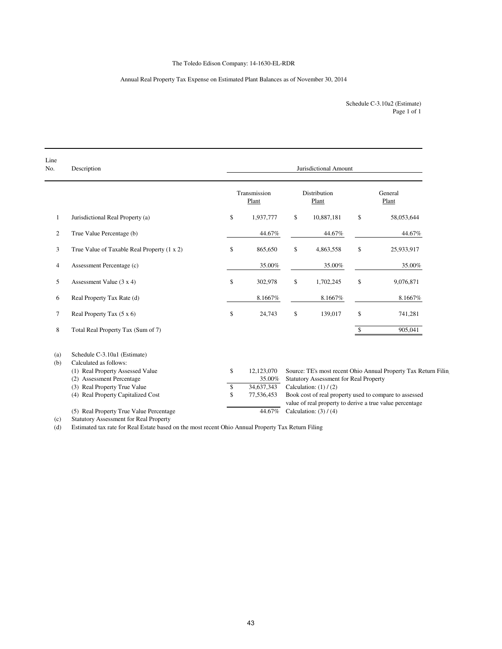### The Toledo Edison Company: 14-1630-EL-RDR

### Annual Real Property Tax Expense on Estimated Plant Balances as of November 30, 2014

Page 1 of 1 Schedule C-3.10a2 (Estimate)

| Line<br>No.    | Description                                   | Jurisdictional Amount |                       |    |                                        |              |                                                                |  |  |  |
|----------------|-----------------------------------------------|-----------------------|-----------------------|----|----------------------------------------|--------------|----------------------------------------------------------------|--|--|--|
|                |                                               |                       | Transmission<br>Plant |    | Distribution<br>Plant                  |              | General<br>Plant                                               |  |  |  |
| $\mathbf{1}$   | Jurisdictional Real Property (a)              | \$                    | 1,937,777             | \$ | 10,887,181                             | \$           | 58,053,644                                                     |  |  |  |
| $\overline{c}$ | True Value Percentage (b)                     |                       | 44.67%                |    | 44.67%                                 |              | 44.67%                                                         |  |  |  |
| 3              | True Value of Taxable Real Property (1 x 2)   | \$                    | 865,650               | \$ | 4,863,558                              | \$           | 25,933,917                                                     |  |  |  |
| 4              | Assessment Percentage (c)                     |                       | 35.00%                |    | 35.00%                                 |              | 35.00%                                                         |  |  |  |
| 5              | Assessment Value $(3 x 4)$                    | \$                    | 302,978               | \$ | 1,702,245                              | \$           | 9,076,871                                                      |  |  |  |
| 6              | Real Property Tax Rate (d)                    |                       | 8.1667%               |    | 8.1667%                                |              | 8.1667%                                                        |  |  |  |
| $\overline{7}$ | Real Property Tax $(5 \times 6)$              | \$                    | 24,743                | \$ | 139,017                                | \$           | 741,281                                                        |  |  |  |
| 8              | Total Real Property Tax (Sum of 7)            |                       |                       |    |                                        | $\mathbb{S}$ | 905,041                                                        |  |  |  |
| (a)            | Schedule C-3.10a1 (Estimate)                  |                       |                       |    |                                        |              |                                                                |  |  |  |
| (b)            | Calculated as follows:                        |                       |                       |    |                                        |              |                                                                |  |  |  |
|                | (1) Real Property Assessed Value              | \$                    | 12,123,070            |    |                                        |              | Source: TE's most recent Ohio Annual Property Tax Return Filin |  |  |  |
|                | (2) Assessment Percentage                     |                       | 35.00%                |    | Statutory Assessment for Real Property |              |                                                                |  |  |  |
|                | (3) Real Property True Value                  | \$                    | 34,637,343            |    | Calculation: $(1) / (2)$               |              |                                                                |  |  |  |
|                | (4) Real Property Capitalized Cost            | \$                    | 77,536,453            |    |                                        |              | Book cost of real property used to compare to assessed         |  |  |  |
|                |                                               |                       |                       |    |                                        |              | value of real property to derive a true value percentage       |  |  |  |
|                | (5) Real Property True Value Percentage       |                       | 44.67%                |    | Calculation: $(3) / (4)$               |              |                                                                |  |  |  |
| (c)            | <b>Statutory Assessment for Real Property</b> |                       |                       |    |                                        |              |                                                                |  |  |  |

(d) Estimated tax rate for Real Estate based on the most recent Ohio Annual Property Tax Return Filing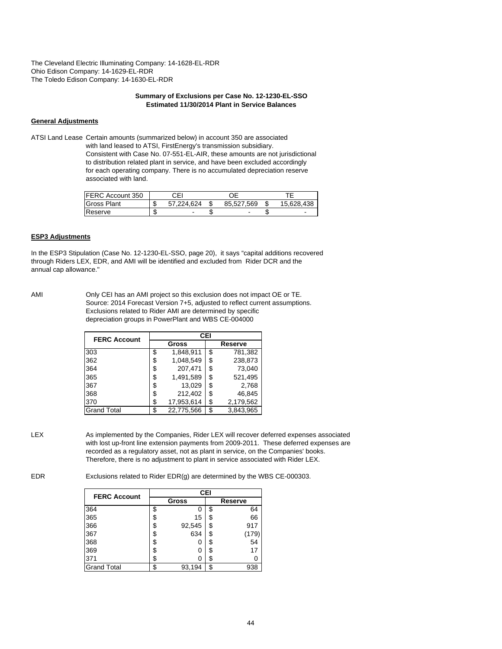### **Summary of Exclusions per Case No. 12-1230-EL-SSO Estimated 11/30/2014 Plant in Service Balances**

### **General Adjustments**

ATSI Land Lease Certain amounts (summarized below) in account 350 are associated with land leased to ATSI, FirstEnergy's transmission subsidiary. Consistent with Case No. 07-551-EL-AIR, these amounts are not jurisdictional to distribution related plant in service, and have been excluded accordingly for each operating company. There is no accumulated depreciation reserve associated with land.

| FERC Account 350   | CEI        |            |            |
|--------------------|------------|------------|------------|
| <b>Gross Plant</b> | 57.224.624 | 85.527.569 | 15.628.438 |
| Reserve            |            |            |            |

#### **ESP3 Adjustments**

In the ESP3 Stipulation (Case No. 12-1230-EL-SSO, page 20), it says "capital additions recovered through Riders LEX, EDR, and AMI will be identified and excluded from Rider DCR and the annual cap allowance."

AMI Only CEI has an AMI project so this exclusion does not impact OE or TE. Source: 2014 Forecast Version 7+5, adjusted to reflect current assumptions. Exclusions related to Rider AMI are determined by specific depreciation groups in PowerPlant and WBS CE-004000

| <b>FERC Account</b> |    | CEI        |    |           |  |  |  |  |  |  |
|---------------------|----|------------|----|-----------|--|--|--|--|--|--|
|                     |    | Gross      |    | Reserve   |  |  |  |  |  |  |
| 303                 | \$ | 1,848,911  | \$ | 781,382   |  |  |  |  |  |  |
| 362                 | \$ | 1.048.549  | \$ | 238,873   |  |  |  |  |  |  |
| 364                 | \$ | 207,471    | \$ | 73.040    |  |  |  |  |  |  |
| 365                 | \$ | 1,491,589  | \$ | 521,495   |  |  |  |  |  |  |
| 367                 | S  | 13,029     | S  | 2,768     |  |  |  |  |  |  |
| 368                 | \$ | 212,402    | \$ | 46.845    |  |  |  |  |  |  |
| 370                 | \$ | 17,953,614 | \$ | 2,179,562 |  |  |  |  |  |  |
| <b>Grand Total</b>  | \$ | 22,775,566 | \$ | 3,843,965 |  |  |  |  |  |  |

LEX As implemented by the Companies, Rider LEX will recover deferred expenses associated with lost up-front line extension payments from 2009-2011. These deferred expenses are recorded as a regulatory asset, not as plant in service, on the Companies' books. Therefore, there is no adjustment to plant in service associated with Rider LEX.

EDR Exclusions related to Rider EDR(g) are determined by the WBS CE-000303.

| <b>FERC Account</b> |    | <b>CEI</b>   |    |         |  |  |  |  |  |  |
|---------------------|----|--------------|----|---------|--|--|--|--|--|--|
|                     |    | <b>Gross</b> |    | Reserve |  |  |  |  |  |  |
| 364                 | \$ | 0            | \$ | 64      |  |  |  |  |  |  |
| 365                 | \$ | 15           | \$ | 66      |  |  |  |  |  |  |
| 366                 | \$ | 92,545       | \$ | 917     |  |  |  |  |  |  |
| 367                 | \$ | 634          | S  | (179)   |  |  |  |  |  |  |
| 368                 | S  | 0            | \$ | 54      |  |  |  |  |  |  |
| 369                 | \$ | 0            | S  | 17      |  |  |  |  |  |  |
| 371                 | S  | 0            | S  | O       |  |  |  |  |  |  |
| <b>Grand Total</b>  | \$ | 93,194       | \$ | 938     |  |  |  |  |  |  |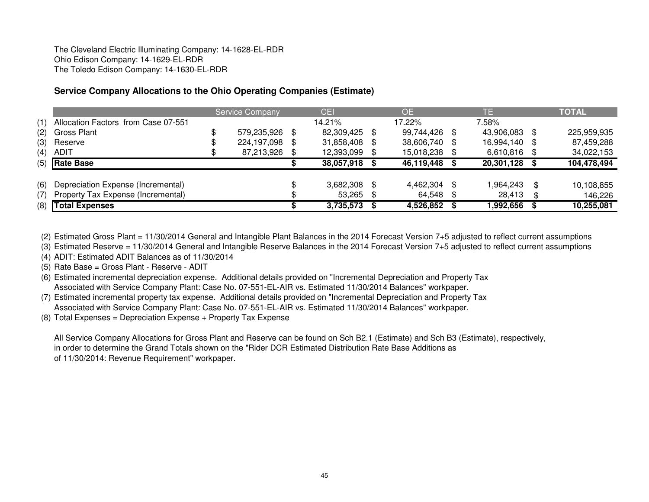# **Service Company Allocations to the Ohio Operating Companies (Estimate)**

|     |                                     | <b>Service Company</b> |     | <b>CEI</b> |      | <b>OE</b>     | TE         |   | <b>TOTAL</b> |
|-----|-------------------------------------|------------------------|-----|------------|------|---------------|------------|---|--------------|
| (1) | Allocation Factors from Case 07-551 |                        |     | 14.21%     |      | 17.22%        | 7.58%      |   |              |
| (2) | Gross Plant                         | 579,235,926            | \$. | 82,309,425 | - \$ | 99,744,426 \$ | 43,906,083 |   | 225,959,935  |
| (3) | Reserve                             | 224,197,098            | \$. | 31,858,408 | -SS  | 38,606,740 \$ | 16,994,140 | S | 87,459,288   |
| (4) | <b>ADIT</b>                         | 87,213,926             |     | 12,393,099 |      | 15,018,238 \$ | 6,610,816  |   | 34,022,153   |
|     | $(5)$ Rate Base                     |                        |     | 38,057,918 |      | 46,119,448    | 20,301,128 |   | 104,478,494  |
|     |                                     |                        |     |            |      |               |            |   |              |
| (6) | Depreciation Expense (Incremental)  |                        |     | 3,682,308  | - \$ | 4,462,304 \$  | 964,243. ا | S | 10,108,855   |
| (7) | Property Tax Expense (Incremental)  |                        |     | 53,265     | - \$ | 64,548 \$     | 28,413     |   | 146,226      |
|     | (8) Total Expenses                  |                        |     | 3,735,573  | - \$ | 4,526,852 \$  | 1,992,656  |   | 10,255,081   |

(2) Estimated Gross Plant = 11/30/2014 General and Intangible Plant Balances in the 2014 Forecast Version 7+5 adjusted to reflect current assumptions

(3) Estimated Reserve = 11/30/2014 General and Intangible Reserve Balances in the 2014 Forecast Version 7+5 adjusted to reflect current assumptions

(4) ADIT: Estimated ADIT Balances as of 11/30/2014

(5) Rate Base = Gross Plant - Reserve - ADIT

 (6) Estimated incremental depreciation expense. Additional details provided on "Incremental Depreciation and Property Tax Associated with Service Company Plant: Case No. 07-551-EL-AIR vs. Estimated 11/30/2014 Balances" workpaper.

 (7) Estimated incremental property tax expense. Additional details provided on "Incremental Depreciation and Property TaxAssociated with Service Company Plant: Case No. 07-551-EL-AIR vs. Estimated 11/30/2014 Balances" workpaper.

(8) Total Expenses = Depreciation Expense + Property Tax Expense

All Service Company Allocations for Gross Plant and Reserve can be found on Sch B2.1 (Estimate) and Sch B3 (Estimate), respectively,in order to determine the Grand Totals shown on the "Rider DCR Estimated Distribution Rate Base Additions as of 11/30/2014: Revenue Requirement" workpaper.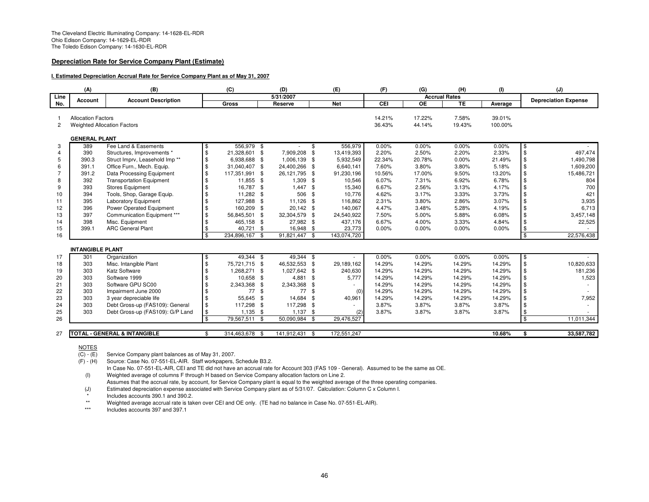#### **Depreciation Rate for Service Company Plant (Estimate)**

#### **I. Estimated Depreciation Accrual Rate for Service Company Plant as of May 31, 2007**

|                | (A)                                | (B)                                                        |               | (C)            |      | (D)           |          | (E)                  | (F)    | (G)                  | (H)             | (1)     |                         | (J)                         |
|----------------|------------------------------------|------------------------------------------------------------|---------------|----------------|------|---------------|----------|----------------------|--------|----------------------|-----------------|---------|-------------------------|-----------------------------|
| Line           | Account                            | <b>Account Description</b>                                 |               |                |      | 5/31/2007     |          |                      |        | <b>Accrual Rates</b> |                 |         |                         | <b>Depreciation Expense</b> |
| No.            |                                    |                                                            |               | <b>Gross</b>   |      | Reserve       |          | <b>Net</b>           | CEI    | $\overline{OE}$      | TE              | Average |                         |                             |
|                |                                    |                                                            |               |                |      |               |          |                      |        |                      |                 |         |                         |                             |
|                | <b>Allocation Factors</b>          |                                                            |               |                |      |               |          |                      | 14.21% | 17.22%               | 7.58%           | 39.01%  |                         |                             |
| $\overline{c}$ | <b>Weighted Allocation Factors</b> |                                                            |               |                |      |               |          |                      | 36.43% | 44.14%               | 19.43%          | 100.00% |                         |                             |
|                | <b>GENERAL PLANT</b>               |                                                            |               |                |      |               |          |                      |        |                      |                 |         |                         |                             |
| 3              | 389                                | Fee Land & Easements                                       | \$            | 556,979 \$     |      |               | \$       | 556,979              | 0.00%  | 0.00%                | 0.00%           | 0.00%   | \$                      |                             |
| $\overline{4}$ | 390                                | Structures, Improvements *                                 | \$            | 21,328,601     | \$   | 7,909,208     | -\$      | 13,419,393           | 2.20%  | 2.50%                | 2.20%           | 2.33%   | \$                      | 497,474                     |
| 5              | 390.3                              | Struct Imprv, Leasehold Imp**                              | \$            | 6,938,688 \$   |      | 1,006,139     | - \$     | 5,932,549            | 22.34% | 20.78%               | 0.00%           | 21.49%  | \$                      | 1,490,798                   |
| 6              | 391.1                              | Office Furn., Mech. Equip.                                 | \$            | 31,040,407     | \$   | 24,400,266    | - \$     | 6,640,141            | 7.60%  | 3.80%                | 3.80%           | 5.18%   | \$                      | 1,609,200                   |
| $\overline{7}$ | 391.2                              | Data Processing Equipment                                  | \$            | 117,351,991    | \$   | 26,121,795    | - \$     | 91,230,196           | 10.56% | 17.00%               | 9.50%           | 13.20%  | \$                      | 15,486,721                  |
| 8              | 392                                | <b>Transportation Equipment</b>                            | \$            | 11,855 \$      |      | 1,309         | - \$     | 10,546               | 6.07%  | 7.31%                | 6.92%           | 6.78%   | \$                      | 804                         |
| 9              | 393                                | <b>Stores Equipment</b>                                    | \$            | 16,787         | - \$ | 1,447         | - \$     | 15,340               | 6.67%  | 2.56%                | 3.13%           | 4.17%   | \$                      | 700                         |
| 10             | 394                                | Tools, Shop, Garage Equip.                                 | \$            | 11,282 \$      |      | 506           | - \$     | 10,776               | 4.62%  | 3.17%                | 3.33%           | 3.73%   | \$                      | 421                         |
| 11             | 395                                | <b>Laboratory Equipment</b>                                | \$            | 127,988 \$     |      | 11,126        | - \$     | 116,862              | 2.31%  | 3.80%                | 2.86%           | 3.07%   | \$                      | 3,935                       |
| 12             | 396                                | Power Operated Equipment                                   | \$            | 160,209        | - \$ | 20,142 \$     |          | 140,067              | 4.47%  | 3.48%                | 5.28%           | 4.19%   | \$                      | 6,713                       |
| 13             | 397                                | Communication Equipment ***                                | \$            | 56,845,501     | - \$ | 32,304,579    | - \$     | 24,540,922           | 7.50%  | 5.00%                | 5.88%           | 6.08%   | \$                      | 3,457,148                   |
| 14             | 398                                | Misc. Equipment                                            | \$            | 465,158 \$     |      | 27,982 \$     |          | 437,176              | 6.67%  | 4.00%                | 3.33%           | 4.84%   | \$                      | 22,525                      |
| 15             | 399.1                              | <b>ARC General Plant</b>                                   |               | 40,721         | - \$ | 16,948 \$     |          | 23,773               | 0.00%  | 0.00%                | 0.00%           | 0.00%   | \$                      |                             |
| 16             |                                    |                                                            | \$            | 234,896,167 \$ |      | 91,821,447 \$ |          | 143,074,720          |        |                      |                 |         | $\overline{\mathbf{3}}$ | 22,576,438                  |
|                | <b>INTANGIBLE PLANT</b>            |                                                            |               |                |      |               |          |                      |        |                      |                 |         |                         |                             |
|                |                                    |                                                            |               | 49,344 \$      |      | 49.344 \$     |          |                      | 0.00%  | 0.00%                | 0.00%           | 0.00%   |                         |                             |
| 17<br>18       | 301<br>303                         | Organization<br>Misc. Intangible Plant                     | \$<br>\$      | 75.721.715 \$  |      | 46.532.553    | - \$     | $\sim$<br>29,189,162 | 14.29% | 14.29%               | 14.29%          | 14.29%  | l\$<br>$\frac{3}{2}$    | 10,820,633                  |
| 19             | 303                                | Katz Software                                              |               | 1,268,271      | \$   | 1,027,642 \$  |          | 240,630              | 14.29% | 14.29%               | 14.29%          | 14.29%  | \$                      | 181,236                     |
|                | 303                                | Software 1999                                              |               | 10,658 \$      |      | 4,881         | - \$     | 5,777                | 14.29% | 14.29%               | 14.29%          | 14.29%  | \$                      | 1,523                       |
| 20<br>21       | 303                                | Software GPU SC00                                          |               | 2,343,368 \$   |      | 2,343,368     | - \$     | $\sim$               | 14.29% | 14.29%               | 14.29%          | 14.29%  | \$                      |                             |
|                | 303                                | Impairment June 2000                                       |               | 77             | - \$ | 77            | -\$      |                      | 14.29% | 14.29%               | 14.29%          | 14.29%  | \$                      |                             |
| 22<br>23       | 303                                |                                                            | \$            | 55,645         | - \$ | 14,684        | - \$     | (0)                  | 14.29% | 14.29%               |                 | 14.29%  | \$                      |                             |
| 24             | 303                                | 3 year depreciable life<br>Debt Gross-up (FAS109): General | \$            | 117,298 \$     |      | 117,298       |          | 40,961               | 3.87%  | 3.87%                | 14.29%<br>3.87% | 3.87%   | \$                      | 7,952                       |
|                | 303                                |                                                            | \$            |                |      | $1,137$ \$    | - \$     |                      | 3.87%  |                      | 3.87%           | 3.87%   |                         |                             |
| 25<br>26       |                                    | Debt Gross-up (FAS109): G/P Land                           | $\mathbf{\$}$ | $1,135$ \$     |      |               |          | (2)<br>29,476,527    |        | 3.87%                |                 |         | \$<br>$\mathbf{\$}$     |                             |
|                |                                    |                                                            |               | 79,567,511     | - \$ | 50,090,984 \$ |          |                      |        |                      |                 |         |                         | 11,011,344                  |
| 27             |                                    | <b>TOTAL - GENERAL &amp; INTANGIBLE</b>                    | \$            | 314,463,678 \$ |      | 141,912,431   | <b>S</b> | 172,551,247          |        |                      |                 | 10.68%  | \$                      | 33,587,782                  |

NOTES

 $(C) - (E)$ 

 $\overline{(C)}$  - (E) Service Company plant balances as of May 31, 2007.<br>(F) - (H) Source: Case No. 07-551-EL-AIR. Staff workpapers, § Source: Case No. 07-551-EL-AIR. Staff workpapers, Schedule B3.2.

In Case No. 07-551-EL-AIR, CEI and TE did not have an accrual rate for Account 303 (FAS 109 - General). Assumed to be the same as OE.(I) Weighted average of columns F through H based on Service Company allocation factors on Line 2.

Assumes that the accrual rate, by account, for Service Company plant is equal to the weighted average of the three operating companies.

(J) Estimated depreciation expense associated with Service Company plant as of 5/31/07. Calculation: Column C x Column I.

Includes accounts 390.1 and 390.2.

\*\*Weighted average accrual rate is taken over CEI and OE only. (TE had no balance in Case No. 07-551-EL-AIR).

\*\*\*Includes accounts 397 and 397.1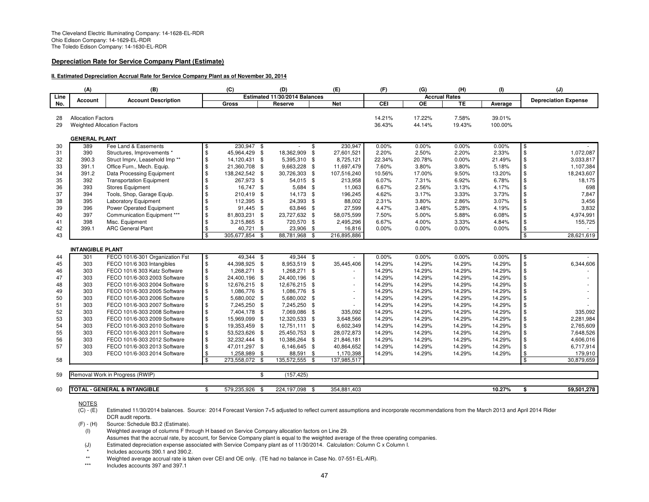#### **Depreciation Rate for Service Company Plant (Estimate)**

#### **II. Estimated Depreciation Accrual Rate for Service Company Plant as of November 30, 2014**

|          | (A)                                | (B)                                     |                     | (C)            |          | (D)                           |      | (E)         | (F)              | (G)                  | (H)              | (1)               | (J)                         |
|----------|------------------------------------|-----------------------------------------|---------------------|----------------|----------|-------------------------------|------|-------------|------------------|----------------------|------------------|-------------------|-----------------------------|
| Line     | <b>Account</b>                     | <b>Account Description</b>              |                     |                |          | Estimated 11/30/2014 Balances |      |             |                  | <b>Accrual Rates</b> |                  |                   | <b>Depreciation Expense</b> |
| No.      |                                    |                                         |                     | Gross          |          | Reserve                       |      | <b>Net</b>  | CEI              | ОE                   | TE               | Average           |                             |
|          |                                    |                                         |                     |                |          |                               |      |             |                  |                      |                  |                   |                             |
| 28       | <b>Allocation Factors</b>          |                                         |                     |                |          |                               |      |             | 14.21%<br>36.43% | 17.22%<br>44.14%     | 7.58%<br>19.43%  | 39.01%<br>100.00% |                             |
| 29       | <b>Weighted Allocation Factors</b> |                                         |                     |                |          |                               |      |             |                  |                      |                  |                   |                             |
|          | <b>GENERAL PLANT</b>               |                                         |                     |                |          |                               |      |             |                  |                      |                  |                   |                             |
| 30       | 389                                | Fee Land & Easements                    | \$                  | 230.947 \$     |          |                               | \$   | 230,947     | 0.00%            | 0.00%                | 0.00%            | 0.00%             | \$                          |
| 31       | 390                                | Structures, Improvements *              | $\frac{1}{2}$       | 45,964,429 \$  |          | 18,362,909                    | \$   | 27,601,521  | 2.20%            | 2.50%                | 2.20%            | 2.33%             | $\mathbb{S}$<br>1,072,087   |
| 32       | 390.3                              | Struct Imprv, Leasehold Imp**           | \$                  | 14,120,431 \$  |          | 5,395,310 \$                  |      | 8,725,121   | 22.34%           | 20.78%               | 0.00%            | 21.49%            | \$<br>3,033,817             |
| 33       | 391.1                              | Office Furn., Mech. Equip.              | \$                  | 21,360,708 \$  |          | 9,663,228 \$                  |      | 11,697,479  | 7.60%            | 3.80%                | 3.80%            | 5.18%             | \$<br>1,107,384             |
| 34       | 391.2                              | Data Processing Equipment               | \$                  | 138,242,542 \$ |          | 30,726,303 \$                 |      | 107,516,240 | 10.56%           | 17.00%               | 9.50%            | 13.20%            | \$<br>18,243,607            |
| 35       | 392                                | <b>Transportation Equipment</b>         | \$                  | 267,973 \$     |          | 54,015 \$                     |      | 213,958     | 6.07%            | 7.31%                | 6.92%            | 6.78%             | \$<br>18,175                |
| 36       | 393                                | <b>Stores Equipment</b>                 | \$                  | 16,747 \$      |          | 5,684 \$                      |      | 11,063      | 6.67%            | 2.56%                | 3.13%            | 4.17%             | \$<br>698                   |
| 37       | 394                                | Tools, Shop, Garage Equip.              | \$                  | 210,419 \$     |          | 14,173 \$                     |      | 196,245     | 4.62%            | 3.17%                | 3.33%            | 3.73%             | \$<br>7,847                 |
| 38       | 395                                | <b>Laboratory Equipment</b>             | \$                  | 112,395        | <b>S</b> | 24,393 \$                     |      | 88,002      | 2.31%            | 3.80%                | 2.86%            | 3.07%             | \$<br>3,456                 |
| 39       | 396                                | Power Operated Equipment                | \$                  | 91,445 \$      |          | 63,846 \$                     |      | 27,599      | 4.47%            | 3.48%                | 5.28%            | 4.19%             | \$<br>3,832                 |
| 40       | 397                                | Communication Equipment ***             | \$                  | 81,803,231 \$  |          | 23,727,632 \$                 |      | 58,075,599  | 7.50%            | 5.00%                | 5.88%            | 6.08%             | $\mathfrak{L}$<br>4,974,991 |
| 41       | 398                                | Misc. Equipment                         | \$                  | 3,215,865 \$   |          | 720,570 \$                    |      | 2,495,296   | 6.67%            | 4.00%                | 3.33%            | 4.84%             | \$<br>155,725               |
| 42       | 399.1                              | <b>ARC General Plant</b>                | \$                  | 40,721 \$      |          | 23,906 \$                     |      | 16,816      | 0.00%            | $0.00\%$             | 0.00%            | 0.00%             | \$                          |
| 43       |                                    |                                         | \$                  | 305,677,854    | - \$     | 88,781,968                    | -\$  | 216,895,886 |                  |                      |                  |                   | \$<br>28,621,619            |
|          |                                    |                                         |                     |                |          |                               |      |             |                  |                      |                  |                   |                             |
|          | <b>INTANGIBLE PLANT</b><br>301     | FECO 101/6-301 Organization Fst         |                     | 49,344 \$      |          | 49,344 \$                     |      |             | 0.00%            | 0.00%                | 0.00%            | 0.00%             |                             |
| 44<br>45 | 303                                | FECO 101/6 303 Intangibles              | \$<br>\$            | 44,398,925 \$  |          | 8,953,519 \$                  |      | 35,445,406  | 14.29%           | 14.29%               | 14.29%           | 14.29%            | \$<br>\$<br>6,344,606       |
| 46       | 303                                | FECO 101/6 303 Katz Software            | \$                  | 1,268,271 \$   |          | 1,268,271                     | \$   |             | 14.29%           | 14.29%               | 14.29%           | 14.29%            | \$                          |
| 47       | 303                                | FECO 101/6-303 2003 Software            |                     | 24,400,196 \$  |          | 24,400,196                    | - \$ | ÷,          | 14.29%           | 14.29%               | 14.29%           | 14.29%            | \$                          |
| 48       | 303                                | FECO 101/6-303 2004 Software            | \$<br>\$            | 12,676,215 \$  |          | 12,676,215 \$                 |      |             | 14.29%           | 14.29%               | 14.29%           | 14.29%            | \$                          |
|          | 303                                | FECO 101/6-303 2005 Software            |                     | 1,086,776 \$   |          | 1,086,776 \$                  |      |             | 14.29%           | 14.29%               | 14.29%           | 14.29%            |                             |
| 49<br>50 | 303                                | FECO 101/6-303 2006 Software            | \$<br>\$            | 5,680,002 \$   |          | 5,680,002 \$                  |      | ÷           | 14.29%           | 14.29%               | 14.29%           | 14.29%            | \$<br>\$                    |
| 51       | 303                                | FECO 101/6-303 2007 Software            | \$                  | 7,245,250 \$   |          | 7,245,250 \$                  |      |             | 14.29%           | 14.29%               | 14.29%           | 14.29%            | \$                          |
| 52       | 303                                | FECO 101/6-303 2008 Software            |                     | 7,404,178 \$   |          | 7,069,086 \$                  |      | 335,092     | 14.29%           | 14.29%               | 14.29%           | 14.29%            | \$<br>335,092               |
| 53       | 303                                | FECO 101/6-303 2009 Software            | \$<br>\$            | 15,969,099 \$  |          | 12,320,533 \$                 |      | 3,648,566   | 14.29%           | 14.29%               | 14.29%           | 14.29%            | $\mathfrak{L}$<br>2,281,984 |
| 54       | 303                                | FECO 101/6-303 2010 Software            |                     | 19,353,459 \$  |          | 12,751,111 \$                 |      | 6,602,349   | 14.29%           | 14.29%               | 14.29%           | 14.29%            | \$<br>2,765,609             |
| 55       | 303                                | FECO 101/6-303 2011 Software            | $\,$<br>$\,$        | 53,523,626 \$  |          | 25,450,753 \$                 |      | 28,072,873  | 14.29%           | 14.29%               | 14.29%           | 14.29%            | \$<br>7,648,526             |
| 56       | 303                                |                                         | \$                  | 32,232,444 \$  |          | 10,386,264 \$                 |      |             | 14.29%           | 14.29%               |                  | 14.29%            | $\mathfrak{L}$<br>4,606,016 |
|          |                                    | FECO 101/6-303 2012 Software            |                     |                |          |                               |      | 21,846,181  |                  |                      | 14.29%           |                   |                             |
| 57       | 303<br>303                         | FECO 101/6-303 2013 Software            | \$<br>$\frac{1}{2}$ | 47,011,297 \$  |          | 6,146,645 \$                  |      | 40,864,652  | 14.29%<br>14.29% | 14.29%               | 14.29%<br>14.29% | 14.29%            | \$<br>6,717,914<br>179,910  |
|          |                                    | FECO 101/6-303 2014 Software            | \$                  | 1,258,989 \$   |          | 88,591                        | \$   | 1,170,398   |                  | 14.29%               |                  | 14.29%            | \$<br>\$                    |
| 58       |                                    |                                         |                     | 273,558,072 \$ |          | 135,572,555                   | -\$  | 137,985,517 |                  |                      |                  |                   | 30,879,659                  |
| 59       |                                    | Removal Work in Progress (RWIP)         |                     |                | \$       | (157, 425)                    |      |             |                  |                      |                  |                   |                             |
|          |                                    |                                         |                     |                |          |                               |      |             |                  |                      |                  |                   |                             |
| 60       |                                    | <b>TOTAL - GENERAL &amp; INTANGIBLE</b> | \$                  | 579,235,926    | - \$     | 224,197,098                   | - \$ | 354,881,403 |                  |                      |                  | 10.27%            | 59.501.278<br>\$            |

NOTES

(F) - (H) Source: Schedule B3.2 (Estimate).

- Assumes that the accrual rate, by account, for Service Company plant is equal to the weighted average of the three operating companies.
- (J) Estimated depreciation expense associated with Service Company plant as of 11/30/2014. Calculation: Column C x Column I.

Includes accounts 390.1 and 390.2.

\*\*Weighted average accrual rate is taken over CEI and OE only. (TE had no balance in Case No. 07-551-EL-AIR).

\*\*\*Includes accounts 397 and 397.1

 $\overline{(C) - (E)}$ Estimated 11/30/2014 balances. Source: 2014 Forecast Version 7+5 adjusted to reflect current assumptions and incorporate recommendations from the March 2013 and April 2014 Rider DCR audit reports.

 $\hat{I}(I)$  Weighted average of columns F through H based on Service Company allocation factors on Line 29.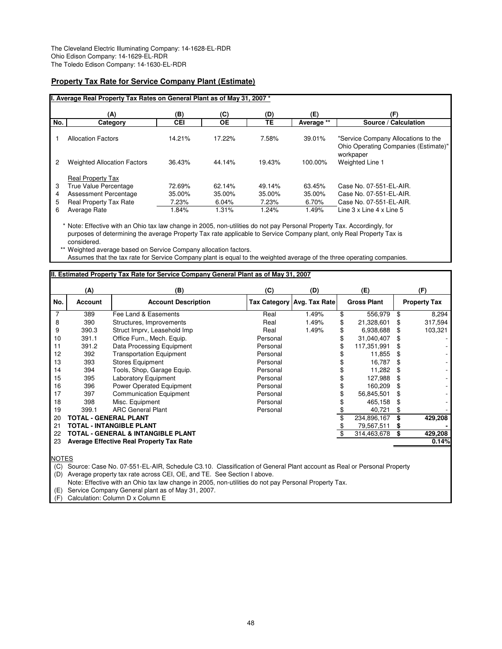### **Property Tax Rate for Service Company Plant (Estimate)**

|     | I. Average Real Property Tax Rates on General Plant as of May 31, 2007 * |            |           |        |            |                                                                                          |
|-----|--------------------------------------------------------------------------|------------|-----------|--------|------------|------------------------------------------------------------------------------------------|
|     | (A)                                                                      | (B)        | (C)       | (D)    | (E)        | (F)                                                                                      |
| No. | Category                                                                 | <b>CEI</b> | <b>OE</b> | TE     | Average ** | Source / Calculation                                                                     |
|     | <b>Allocation Factors</b>                                                | 14.21%     | 17.22%    | 7.58%  | 39.01%     | "Service Company Allocations to the<br>Ohio Operating Companies (Estimate)"<br>workpaper |
| 2   | <b>Weighted Allocation Factors</b>                                       | 36.43%     | 44.14%    | 19.43% | 100.00%    | Weighted Line 1                                                                          |
|     | <b>Real Property Tax</b>                                                 |            |           |        |            |                                                                                          |
| 3   | <b>True Value Percentage</b>                                             | 72.69%     | 62.14%    | 49.14% | 63.45%     | Case No. 07-551-EL-AIR.                                                                  |
| 4   | <b>Assessment Percentage</b>                                             | 35.00%     | 35.00%    | 35.00% | 35.00%     | Case No. 07-551-EL-AIR.                                                                  |
| 5   | <b>Real Property Tax Rate</b>                                            | 7.23%      | 6.04%     | 7.23%  | 6.70%      | Case No. 07-551-EL-AIR.                                                                  |
| 6   | Average Rate                                                             | 1.84%      | 1.31%     | 1.24%  | 1.49%      | Line $3 \times$ Line $4 \times$ Line $5$                                                 |

\* Note: Effective with an Ohio tax law change in 2005, non-utilities do not pay Personal Property Tax. Accordingly, for purposes of determining the average Property Tax rate applicable to Service Company plant, only Real Property Tax is considered.

\*\* Weighted average based on Service Company allocation factors.

Assumes that the tax rate for Service Company plant is equal to the weighted average of the three operating companies.

### **II. Estimated Property Tax Rate for Service Company General Plant as of May 31, 2007**

|     | (A)            | (B)                                             | (C)      | (D)                        | (E)                |     | (F)                 |
|-----|----------------|-------------------------------------------------|----------|----------------------------|--------------------|-----|---------------------|
| No. | <b>Account</b> | <b>Account Description</b>                      |          | Tax Category Avg. Tax Rate | <b>Gross Plant</b> |     | <b>Property Tax</b> |
|     | 389            | Fee Land & Easements                            | Real     | 1.49%                      | \$<br>556,979      | \$  | 8,294               |
| 8   | 390            | Structures, Improvements                        | Real     | 1.49%                      | \$<br>21,328,601   |     | 317,594             |
| 9   | 390.3          | Struct Imprv, Leasehold Imp                     | Real     | 1.49%                      | \$<br>6.938,688    |     | 103,321             |
| 10  | 391.1          | Office Furn., Mech. Equip.                      | Personal |                            | \$<br>31,040,407   |     |                     |
| 11  | 391.2          | Data Processing Equipment                       | Personal |                            | \$<br>117,351,991  |     |                     |
| 12  | 392            | <b>Transportation Equipment</b>                 | Personal |                            | 11,855             | \$. |                     |
| 13  | 393            | <b>Stores Equipment</b>                         | Personal |                            | 16,787             | \$  |                     |
| 14  | 394            | Tools, Shop, Garage Equip.                      | Personal |                            | 11,282             |     |                     |
| 15  | 395            | <b>Laboratory Equipment</b>                     | Personal |                            | 127,988            |     |                     |
| 16  | 396            | <b>Power Operated Equipment</b>                 | Personal |                            | \$<br>160,209      |     |                     |
| 17  | 397            | <b>Communication Equipment</b>                  | Personal |                            | 56,845,501         |     |                     |
| 18  | 398            | Misc. Equipment                                 | Personal |                            | 465,158            |     |                     |
| 19  | 399.1          | <b>ARC General Plant</b>                        | Personal |                            | 40,721             |     |                     |
| 20  |                | TOTAL - GENERAL PLANT                           |          |                            | 234,896,167        |     | 429,208             |
| 21  |                | TOTAL - INTANGIBLE PLANT                        |          |                            | 79,567,511         |     |                     |
| 22  |                | TOTAL - GENERAL & INTANGIBLE PLANT              |          |                            | 314,463,678        |     | 429,208             |
| 23  |                | <b>Average Effective Real Property Tax Rate</b> |          |                            |                    |     | 0.14%               |
|     |                |                                                 |          |                            |                    |     |                     |

NOTES

(C) Source: Case No. 07-551-EL-AIR, Schedule C3.10. Classification of General Plant account as Real or Personal Property (D) Average property tax rate across CEI, OE, and TE. See Section I above.

Note: Effective with an Ohio tax law change in 2005, non-utilities do not pay Personal Property Tax.

(E) Service Company General plant as of May 31, 2007.

(F) Calculation: Column D x Column E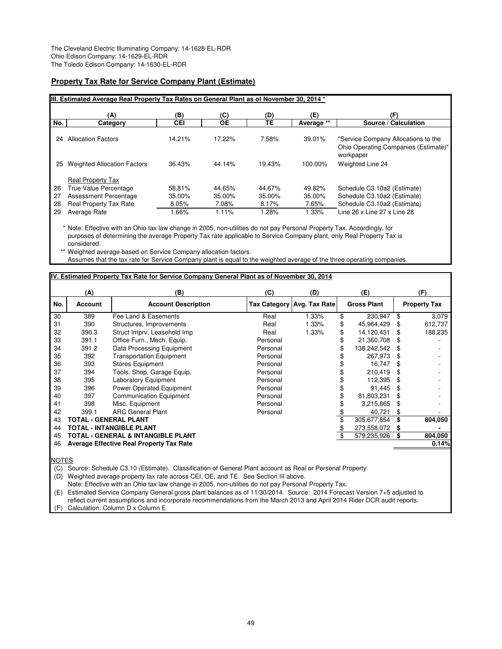### **Property Tax Rate for Service Company Plant (Estimate)**

|          | IIII. Estimated Average Real Property Tax Rates on General Plant as of November 30, 2014 * |                  |                  |                  |                  |                                                                                          |  |  |  |  |  |
|----------|--------------------------------------------------------------------------------------------|------------------|------------------|------------------|------------------|------------------------------------------------------------------------------------------|--|--|--|--|--|
|          | (A)                                                                                        | (B)              | (C)              | (D)              | (E)              | (F)                                                                                      |  |  |  |  |  |
| No.      | Category                                                                                   | CEI              | <b>OE</b>        | TE               | Average **       | Source / Calculation                                                                     |  |  |  |  |  |
| 24       | <b>Allocation Factors</b>                                                                  | 14.21%           | 17.22%           | 7.58%            | 39.01%           | "Service Company Allocations to the<br>Ohio Operating Companies (Estimate)"<br>workpaper |  |  |  |  |  |
| 25       | <b>Weighted Allocation Factors</b>                                                         | 36.43%           | 44.14%           | 19.43%           | 100.00%          | Weighted Line 24                                                                         |  |  |  |  |  |
| 26<br>27 | <b>Real Property Tax</b><br>True Value Percentage<br>Assessment Percentage                 | 58.81%<br>35.00% | 44.65%<br>35.00% | 44.67%<br>35.00% | 49.82%<br>35.00% | Schedule C3.10a2 (Estimate)<br>Schedule C3.10a2 (Estimate)                               |  |  |  |  |  |
| 28       | <b>Real Property Tax Rate</b>                                                              | 8.05%            | 7.08%            | 8.17%            | 7.65%            | Schedule C3.10a2 (Estimate)                                                              |  |  |  |  |  |
| 29       | Average Rate                                                                               | 1.66%            | 1.11%            | 1.28%            | 1.33%            | Line 26 x Line 27 x Line 28                                                              |  |  |  |  |  |

\* Note: Effective with an Ohio tax law change in 2005, non-utilities do not pay Personal Property Tax. Accordingly, for purposes of determining the average Property Tax rate applicable to Service Company plant, only Real Property Tax is considered.

Weighted average based on Service Company allocation factors.

Assumes that the tax rate for Service Company plant is equal to the weighted average of the three operating companies.

#### **IV. Estimated Property Tax Rate for Service Company General Plant as of November 30, 2014**

|     | (A)            | (B)                                             | (C)      | (D)                        | (E)                |     | (F)                 |
|-----|----------------|-------------------------------------------------|----------|----------------------------|--------------------|-----|---------------------|
| No. | <b>Account</b> | <b>Account Description</b>                      |          | Tax Category Avg. Tax Rate | <b>Gross Plant</b> |     | <b>Property Tax</b> |
| 30  | 389            | Fee Land & Easements                            | Real     | 1.33%                      | \$<br>230,947      | \$  | 3,079               |
| 31  | 390            | Structures, Improvements                        | Real     | 1.33%                      | \$<br>45,964,429   |     | 612,737             |
| 32  | 390.3          | Struct Imprv, Leasehold Imp                     | Real     | 1.33%                      | \$<br>14,120,431   |     | 188,235             |
| 33  | 391.1          | Office Furn., Mech. Equip.                      | Personal |                            | \$<br>21,360,708   |     |                     |
| 34  | 391.2          | Data Processing Equipment                       | Personal |                            | 138,242,542        |     |                     |
| 35  | 392            | <b>Transportation Equipment</b>                 | Personal |                            | 267,973            | \$  |                     |
| 36  | 393            | <b>Stores Equipment</b>                         | Personal |                            | 16,747             |     |                     |
| 37  | 394            | Tools, Shop, Garage Equip.                      | Personal |                            | 210.419            |     |                     |
| 38  | 395            | <b>Laboratory Equipment</b>                     | Personal |                            | \$<br>112,395      |     |                     |
| 39  | 396            | Power Operated Equipment                        | Personal |                            | \$<br>91.445       | \$. |                     |
| 40  | 397            | <b>Communication Equipment</b>                  | Personal |                            | \$<br>81,803,231   |     |                     |
| 41  | 398            | Misc. Equipment                                 | Personal |                            | 3,215,865          |     |                     |
| 42  | 399.1          | <b>ARC General Plant</b>                        | Personal |                            | 40,721             |     |                     |
| 43  |                | TOTAL - GENERAL PLANT                           |          |                            | 305,677,854        | \$  | 804,050             |
| 44  |                | TOTAL - INTANGIBLE PLANT                        |          |                            | 273,558,072        | S   |                     |
| 45  |                | <b>TOTAL - GENERAL &amp; INTANGIBLE PLANT</b>   |          |                            | \$<br>579,235,926  |     | 804,050             |
| 46  |                | <b>Average Effective Real Property Tax Rate</b> |          |                            |                    |     | 0.14%               |
|     |                |                                                 |          |                            |                    |     |                     |

**NOTES** 

(C) Source: Schedule C3.10 (Estimate). Classification of General Plant account as Real or Personal Property

(D) Weighted average property tax rate across CEI, OE, and TE. See Section III above.

Note: Effective with an Ohio tax law change in 2005, non-utilities do not pay Personal Property Tax.

(E) Estimated Service Company General gross plant balances as of 11/30/2014. Source: 2014 Forecast Version 7+5 adjusted to reflect current assumptions and incorporate recommendations from the March 2013 and April 2014 Rider DCR audit reports. (F) Calculation: Column D x Column E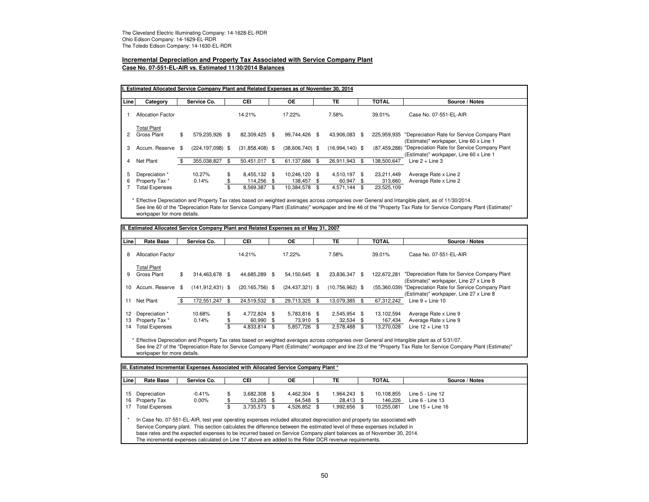# **Incremental Depreciation and Property Tax Associated with Service Company Plant**

**Case No. 07-551-EL-AIR vs. Estimated 11/30/2014 Balances**

| Line | Category                 |    | Service Co.          |     | CEI               | <b>OE</b>         | TE                 | <b>TOTAL</b>   | Source / Notes                                                                          |
|------|--------------------------|----|----------------------|-----|-------------------|-------------------|--------------------|----------------|-----------------------------------------------------------------------------------------|
|      | <b>Allocation Factor</b> |    |                      |     | 14.21%            | 17.22%            | 7.58%              | 39.01%         | Case No. 07-551-EL-AIR                                                                  |
|      | <b>Total Plant</b>       |    |                      |     |                   |                   |                    |                |                                                                                         |
|      | Gross Plant              | \$ | 579.235.926          | -\$ | 82.309.425 \$     | 99.744.426 \$     | 43.906.083 \$      | 225,959,935    | "Depreciation Rate for Service Company Plant<br>(Estimate)" workpaper, Line 60 x Line 1 |
| 3    | Accum, Reserve           | \$ | $(224, 197, 098)$ \$ |     | $(31,858,408)$ \$ | $(38,606,740)$ \$ | $(16,994,140)$ \$  | (87, 459, 288) | "Depreciation Rate for Service Company Plant<br>(Estimate)" workpaper, Line 60 x Line 1 |
| 4    | Net Plant                | £. | 355.038.827          |     | 50.451.017        | \$<br>61.137.686  | \$<br>26.911.943   | 138.500.647    | Line $2 +$ Line 3                                                                       |
| 5    | Depreciation *           |    | 10.27%               | \$  | 8,455,132 \$      | 10,246,120 \$     | 4,510,197 \$       | 23,211,449     | Average Rate x Line 2                                                                   |
| 6    | Property Tax *           |    | 0.14%                | \$  | 114,256 \$        | 138,457 \$        | 60,947 \$          | 313,660        | Average Rate x Line 2                                                                   |
|      | <b>Total Expenses</b>    |    |                      | \$  | 8,569,387         | \$<br>10,384,578  | \$<br>4,571,144 \$ | 23,525,109     |                                                                                         |

\* Effective Depreciation and Property Tax rates based on weighted averages across companies over General and Intangible plant, as of 11/30/2014. See line 60 of the "Depreciation Rate for Service Company Plant (Estimate)" workpaper and line 46 of the "Property Tax Rate for Service Company Plant (Estimate)" workpaper for more details.

| Line | <b>Rate Base</b>         |     | Service Co.          |     | <b>CEI</b>          |      | <b>OE</b>           | <b>TE</b>           | <b>TOTAL</b> | Source / Notes                                                                          |
|------|--------------------------|-----|----------------------|-----|---------------------|------|---------------------|---------------------|--------------|-----------------------------------------------------------------------------------------|
| 8    | <b>Allocation Factor</b> |     |                      |     | 14.21%              |      | 17.22%              | 7.58%               | 39.01%       | Case No. 07-551-EL-AIR                                                                  |
|      | <b>Total Plant</b>       |     |                      |     |                     |      |                     |                     |              |                                                                                         |
| 9    | Gross Plant              | \$  | 314.463.678          | -\$ | 44.685.289 \$       |      | 54.150.645 \$       | 23.836.347 \$       | 122.672.281  | "Depreciation Rate for Service Company Plant<br>(Estimate)" workpaper, Line 27 x Line 8 |
| 10   | Accum. Reserve \$        |     | $(141, 912, 431)$ \$ |     | $(20, 165, 756)$ \$ |      | $(24, 437, 321)$ \$ | $(10,756,962)$ \$   | (55,360,039) | "Depreciation Rate for Service Company Plant<br>(Estimate)" workpaper, Line 27 x Line 8 |
| 11   | Net Plant                | SS. | 172.551.247          | \$  | 24.519.532          | \$   | 29.713.325          | \$<br>13.079.385 \$ | 67.312.242   | Line $9 +$ Line 10                                                                      |
| 12   | Depreciation *           |     | 10.68%               | \$  | 4.772.824 \$        |      | 5,783,816 \$        | 2,545,954 \$        | 13,102,594   | Average Rate x Line 9                                                                   |
| 13   | Property Tax *           |     | 0.14%                | \$  | 60,990              | - \$ | 73.910 \$           | $32.534$ \$         | 167.434      | Average Rate x Line 9                                                                   |
| 14   | <b>Total Expenses</b>    |     |                      | \$  | 4,833,814           | \$   | 5,857,726 \$        | 2,578,488 \$        | 13.270.028   | Line $12 +$ Line 13                                                                     |

\* Effective Depreciation and Property Tax rates based on weighted averages across companies over General and Intangible plant as of 5/31/07. See line 27 of the "Depreciation Rate for Service Company Plant (Estimate)" workpaper and line 23 of the "Property Tax Rate for Service Company Plant (Estimate)" workpaper for more details.

| <b>Line</b> | <b>Rate Base</b>      | Service Co. | <b>CEI</b>           | OЕ           | TE           | <b>TOTAL</b> | Source / Notes      |
|-------------|-----------------------|-------------|----------------------|--------------|--------------|--------------|---------------------|
| 15          | Depreciation          | $-0.41%$    | \$<br>3,682,308 \$   | 4,462,304 \$ | 1,964,243 \$ | 10,108,855   | Line $5 -$ Line 12  |
| 16          | Property Tax          | $0.00\%$    | 53,265 \$            | 64.548 \$    | 28,413 \$    | 146,226      | Line $6 -$ Line 13  |
| 17          | <b>Total Expenses</b> |             | \$<br>$3.735.573$ \$ | 4.526.852 \$ | 8 992,656.   | 10.255.081   | Line $15 +$ Line 16 |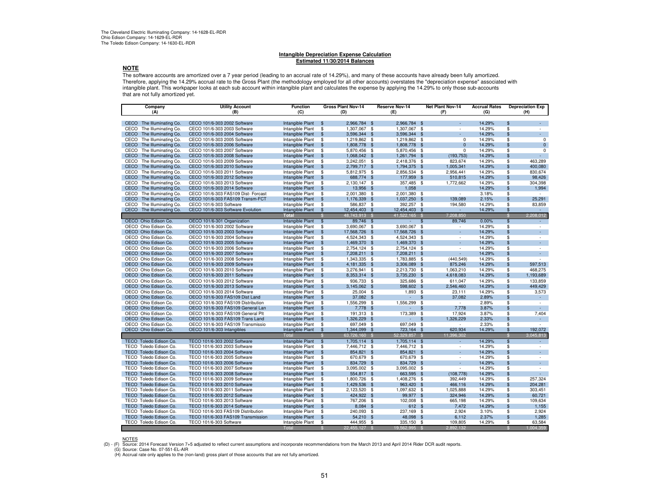#### **Intangible Depreciation Expense CalculationEstimated 11/30/2014 Balances**

#### **NOTE**

 The software accounts are amortized over a 7 year period (leading to an accrual rate of 14.29%), and many of these accounts have already been fully amortized. Therefore, applying the 14.29% accrual rate to the Gross Plant (the methodology employed for all other accounts) overstates the "depreciation expense" associated with intangible plant. This workpaper looks at each sub account within intangible plant and calculates the expense by applying the 14.29% to only those sub-accounts that are not fully amortized yet.

| Company                      | <b>Utility Account</b>                                      | <b>Function</b>  |                          | Gross Plant Nov-14           |      | <b>Reserve Nov-14</b> | Net Plant Nov-14                 | <b>Accrual Rates</b> |                          | <b>Depreciation Exp</b> |
|------------------------------|-------------------------------------------------------------|------------------|--------------------------|------------------------------|------|-----------------------|----------------------------------|----------------------|--------------------------|-------------------------|
| (A)                          | (B)                                                         | (C)              |                          | (D)                          |      | (E)                   | (F)                              | (G)                  |                          | (H)                     |
|                              |                                                             |                  |                          |                              |      |                       |                                  |                      |                          |                         |
| CECO The Illuminating Co.    | CECO 101/6-303 2002 Software                                | Intangible Plant | \$                       | 2,966,784 \$                 |      | 2,966,784 \$          |                                  | 14.29%               | \$                       | ÷.                      |
| The Illuminating Co.<br>CECO | CECO 101/6-303 2003 Software                                | Intangible Plant | \$                       | 1,307,067 \$                 |      | 1,307,067             | - \$                             | 14.29%               | \$                       |                         |
| CECO<br>The Illuminating Co. | CECO 101/6-303 2004 Software                                | Intangible Plant | \$                       | 3,596,344 \$                 |      | 3,596,344 \$          |                                  | 14.29%               | \$                       | ×.                      |
| The Illuminating Co.<br>CECO | CECO 101/6-303 2005 Software                                | Intangible Plant | \$                       | 1,219,862 \$                 |      | 1,219,862             | - \$<br>$\Omega$                 | 14.29%               | \$                       | 0                       |
| The Illuminating Co.<br>CECO | CECO 101/6-303 2006 Software                                | Intangible Plant | \$                       | 1,808,778 \$                 |      | 1,808,778 \$          | $\Omega$                         | 14.29%               | \$                       | $\mathbf 0$             |
| The Illuminating Co.<br>CECO | CECO 101/6-303 2007 Software                                | Intangible Plant | \$                       | 5,870,456 \$                 |      | 5,870,456             | - \$<br>$\Omega$                 | 14.29%               | \$                       | 0                       |
| CECO<br>The Illuminating Co. | CECO 101/6-303 2008 Software                                | Intangible Plant | \$                       | 1,068,042 \$                 |      | 1,261,794 \$          | (193, 753)                       | 14.29%               | \$                       |                         |
| The Illuminating Co.<br>CECO | CECO 101/6-303 2009 Software                                | Intangible Plant | \$                       | 3,242,051 \$                 |      | 2,418,376             | 823,674<br>- \$                  | 14.29%               | \$                       | 463,289                 |
| The Illuminating Co.<br>CECO | CECO 101/6-303 2010 Software                                | Intangible Plant | \$                       | 2,799,717 \$                 |      | 1,794,375 \$          | 1,005,341                        | 14.29%               | \$                       | 400,080                 |
| The Illuminating Co.<br>CECO | CECO 101/6-303 2011 Software                                | Intangible Plant | \$                       | 5,812,975 \$                 |      | 2,856,534             | 2.956.441<br>- \$                | 14.29%               | \$                       | 830.674                 |
| The Illuminating Co.<br>CECO | CECO 101/6-303 2012 Software                                | Intangible Plant | \$                       | 688.774                      | \$   | 177,959               | 510,815<br>\$                    | 14.29%               | $\mathfrak{L}$           | 98.426                  |
| CECO<br>The Illuminating Co. | CECO 101/6-303 2013 Software                                | Intangible Plant | \$                       | 2,130,147 \$                 |      | 357,485               | - \$<br>1,772,662                | 14.29%               | \$                       | 304,398                 |
| The Illuminating Co.<br>CECO | CECO 101/6-303 2014 Software                                | Intangible Plant | $\mathfrak{L}$           | 13,956                       | - \$ | 1,058                 |                                  | 14.29%               | $\mathfrak{L}$           | 1,994                   |
| CECO<br>The Illuminating Co. | CECO 101/6-303 FAS109 Dist- Forcast                         | Intangible Plant | \$                       | 2,001,380                    | \$   | 2,001,380             | \$<br>$\sim$                     | 3.18%                | \$                       | $\sim$                  |
| CECO<br>The Illuminating Co. | CECO 101/6-303 FAS109 Transm-FCT                            | Intangible Plant | \$                       | 1,176,339 \$                 |      | 1,037,250             | 139,089<br>\$                    | 2.15%                | \$                       | 25,291                  |
| The Illuminating Co.<br>CECO | CECO 101/6-303 Software                                     | Intangible Plant | \$                       | 586,837 \$                   |      | 392,257               | - \$<br>194,580                  | 14.29%               | \$                       | 83,859                  |
| CECO<br>The Illuminating Co. | CECO 101/6-303 Software Evolution                           | Intangible Plant | \$                       | 12,454,403 \$                |      | 12,454,403 \$         |                                  | 14.29%               | \$                       | ×.                      |
|                              |                                                             | Total            | S.                       | 48,743,913 \$                |      | 41.522.165            | 7,208,850<br>- \$                |                      | S                        | 2,208,012               |
| OECO Ohio Edison Co.         |                                                             |                  |                          | 89,746 \$                    |      |                       | 89,746                           | 0.00%                | $\overline{\mathcal{S}}$ |                         |
| OECO Ohio Edison Co.         | OECO 101/6-301 Organization<br>OECO 101/6-303 2002 Software | Intangible Plant | \$                       |                              |      |                       | $\frac{1}{2}$<br>$\sim$          |                      |                          |                         |
|                              |                                                             | Intangible Plant | \$                       | 3,690,067 \$                 |      | 3,690,067             | \$<br>÷.                         | 14.29%               | \$<br>\$                 | ×.                      |
| OECO Ohio Edison Co.         | OECO 101/6-303 2003 Software                                | Intangible Plant | \$                       | 17,568,726 \$                |      | 17,568,726            | $\frac{3}{2}$                    | 14.29%               |                          |                         |
| OECO Ohio Edison Co.         | OECO 101/6-303 2004 Software                                | Intangible Plant | \$                       | 4,524,343 \$                 |      | 4,524,343             | \$<br>$\sim$                     | 14.29%               | \$                       | ÷                       |
| OECO Ohio Edison Co.         | OECO 101/6-303 2005 Software                                | Intangible Plant | \$                       | 1.469.370 \$                 |      | 1,469,370             | \$                               | 14.29%               | $\mathfrak{L}$           | ÷.                      |
| OECO Ohio Edison Co.         | OECO 101/6-303 2006 Software                                | Intangible Plant | \$                       | 2,754,124 \$                 |      | 2,754,124             | - \$<br>$\overline{\phantom{a}}$ | 14.29%               | \$                       | ÷                       |
| OECO Ohio Edison Co.         | OECO 101/6-303 2007 Software                                | Intangible Plant | $\mathfrak{L}$           | 7,208,211 \$                 |      | 7,208,211             | ×.<br>\$                         | 14.29%               | $\mathfrak{L}$           | A.                      |
| OECO Ohio Edison Co.         | OECO 101/6-303 2008 Software                                | Intangible Plant | \$                       | 1,343,335 \$                 |      | 1,783,885 \$          | (440, 549)                       | 14.29%               | \$                       | $\sim$                  |
| OECO Ohio Edison Co.         | OECO 101/6-303 2009 Software                                | Intangible Plant | \$                       | 4, 181, 335 \$               |      | 3,306,089             | 875,246<br>\$                    | 14.29%               | \$                       | 597,513                 |
| OECO Ohio Edison Co.         | OECO 101/6-303 2010 Software                                | Intangible Plant | \$                       | 3,276,941 \$                 |      | 2,213,730             | \$<br>1,063,210                  | 14.29%               | \$                       | 468,275                 |
| OECO Ohio Edison Co.         | OECO 101/6-303 2011 Software                                | Intangible Plant | \$                       | 8,353,314 \$                 |      | 3,735,230 \$          | 4,618,083                        | 14.29%               | \$                       | 1,193,689               |
| OECO Ohio Edison Co.         | OECO 101/6-303 2012 Software                                | Intangible Plant | \$                       | 936,733 \$                   |      | 325,686 \$            | 611.047                          | 14.29%               | \$                       | 133,859                 |
| OECO Ohio Edison Co.         | OECO 101/6-303 2013 Software                                | Intangible Plant | \$                       | 3,145,062 \$                 |      | 598,602               | 2,546,460<br>\$                  | 14.29%               | \$                       | 449,429                 |
| OECO Ohio Edison Co.         | OECO 101/6-303 2014 Software                                | Intangible Plant | \$                       | 25,004 \$                    |      | 1,893                 | -\$<br>23,111                    | 14.29%               | \$                       | 3,573                   |
| OECO Ohio Edison Co.         | OECO 101/6-303 FAS109 Dist Land                             | Intangible Plant | \$                       | 37,082 \$                    |      |                       | 37,082<br>\$                     | 2.89%                | $\mathfrak{L}$           | $\sim$                  |
| OECO Ohio Edison Co.         | OECO 101/6-303 FAS109 Distribution                          | Intangible Plant | \$                       | 1,556,299 \$                 |      | 1,556,299             | \$<br>$\sim$                     | 2.89%                | \$                       | ж.                      |
| OECO Ohio Edison Co.         | OECO 101/6-303 FAS109 General Lan                           | Intangible Plant | \$                       | 7,778 \$                     |      |                       | 7,778<br>\$                      | 3.87%                | \$                       | $\sim$                  |
| OECO Ohio Edison Co.         | OECO 101/6-303 FAS109 General Plt                           | Intangible Plant | \$                       | 191,313 \$                   |      | 173,389               | 17,924<br>\$                     | 3.87%                | \$                       | 7,404                   |
| OECO Ohio Edison Co.         | OECO 101/6-303 FAS109 Trans Land                            | Intangible Plant | \$                       | 1.326.229 \$                 |      |                       | 1.326.229<br>\$                  | 2.33%                | $\mathfrak{L}$           | $\sim$                  |
| OECO Ohio Edison Co.         | OECO 101/6-303 FAS109 Transmissio                           | Intangible Plant | \$                       | 697.049 \$                   |      | 697.049               | \$<br>$\overline{\phantom{a}}$   | 2.33%                | \$                       | ÷                       |
| OECO Ohio Edison Co.         | OECO 101/6-303 Intangibles                                  | Intangible Plant | $\frac{1}{2}$            | 1,344,099 \$                 |      | 723,164               | \$<br>620,934                    | 14.29%               | $\mathfrak{s}$           | 192,072                 |
|                              |                                                             | Total            | \$                       | 63,726,160                   |      | 52,329,857            | 11,396,302                       |                      | S                        | 3,045,813               |
| TECO Toledo Edison Co.       | TECO 101/6-303 2002 Software                                | Intangible Plant | $\overline{\mathcal{S}}$ | 1,705,114 \$                 |      | 1,705,114             | -\$                              | 14.29%               | \$                       | ×.                      |
| TECO Toledo Edison Co.       | TECO 101/6-303 2003 Software                                | Intangible Plant | \$                       | 7,446,712 \$                 |      | 7,446,712 \$          | $\sim$                           | 14.29%               | \$                       | $\sim$                  |
| TECO Toledo Edison Co.       | TECO 101/6-303 2004 Software                                | Intangible Plant | \$                       | 854,821 \$                   |      | 854,821               | -\$                              | 14.29%               | \$.                      | ×.                      |
| TECO Toledo Edison Co.       | TECO 101/6-303 2005 Software                                | Intangible Plant | \$                       | 670,679 \$                   |      | 670,679               | - \$<br>$\sim$                   | 14.29%               | \$                       | ٠                       |
| TECO Toledo Edison Co.       | TECO 101/6-303 2006 Software                                | Intangible Plant | \$                       | 834,729 \$                   |      | 834,729               | \$                               | 14.29%               | $\mathfrak{L}$           | ×.                      |
| TECO Toledo Edison Co.       | TECO 101/6-303 2007 Software                                | Intangible Plant | \$                       | 3,095,002 \$                 |      | 3,095,002 \$          | $\sim$                           | 14.29%               | \$                       |                         |
| TECO Toledo Edison Co.       | TECO 101/6-303 2008 Software                                | Intangible Plant | \$                       | 554,817 \$                   |      | 663,595               | - \$<br>(108, 778)               | 14.29%               | $\mathfrak{L}$           |                         |
| TECO Toledo Edison Co.       | TECO 101/6-303 2009 Software                                |                  | \$                       |                              |      | 1,408,276             | 392,449                          | 14.29%               | \$                       | 257,324                 |
| TECO Toledo Edison Co.       | TECO 101/6-303 2010 Software                                | Intangible Plant | \$                       | 1,800,726 \$<br>1.429.536 \$ |      | 963,420 \$            | \$<br>466.116                    | 14.29%               | \$                       | 204,281                 |
|                              |                                                             | Intangible Plant |                          |                              |      |                       |                                  |                      |                          |                         |
| TECO Toledo Edison Co.       | TECO 101/6-303 2011 Software                                | Intangible Plant | \$                       | 2,123,520 \$                 |      | 1,097,632             | 1.025.888<br>- \$                | 14.29%               | \$                       | 303.451                 |
| TECO Toledo Edison Co.       | TECO 101/6-303 2012 Software                                | Intangible Plant | \$                       | 424,922 \$                   |      | 99,977 \$             | 324,946                          | 14.29%               | \$                       | 60,721                  |
| TECO Toledo Edison Co.       | TECO 101/6-303 2013 Software                                | Intangible Plant | \$                       | 767,206 \$                   |      | 102,008               | -\$<br>665,198                   | 14.29%               | \$                       | 109,634                 |
| TECO Toledo Edison Co.       | TECO 101/6-303 2014 Software                                | Intangible Plant | \$                       | 8,084 \$                     |      | 612 \$                | 7,472                            | 14.29%               | \$                       | 1,155                   |
| TECO Toledo Edison Co.       | TECO 101/6-303 FAS109 Distribution                          | Intangible Plant | \$                       | 240,093 \$                   |      | 237,169               | 2,924<br>- \$                    | 3.10%                | \$                       | 2,924                   |
| TECO Toledo Edison Co.       | TECO 101/6-303 FAS109 Transmission                          | Intangible Plant | \$                       | 54,210 \$                    |      | 48,098                | \$<br>6,112                      | 2.37%                | \$                       | 1,285                   |
| TECO Toledo Edison Co.       | TECO 101/6-303 Software                                     | Intangible Plant | \$                       | 444,955                      | - \$ | 335,150               | -\$<br>109,805                   | 14.29%               | \$                       | 63,584                  |
|                              |                                                             | <b>Total</b>     | $\mathbb{S}$             | 22,455,127 \$                |      | 19,562,995            | 2,892,132<br>- \$                |                      | £.                       | 1,004,359               |

#### NOTES

(D) - (F) Source: 2014 Forecast Version 7+5 adjusted to reflect current assumptions and incorporate recommendations from the March 2013 and April 2014 Rider DCR audit reports.

(G) Source: Case No. 07-551-EL-AIR(H) Accrual rate only applies to the (non-land) gross plant of those accounts that are not fully amortized.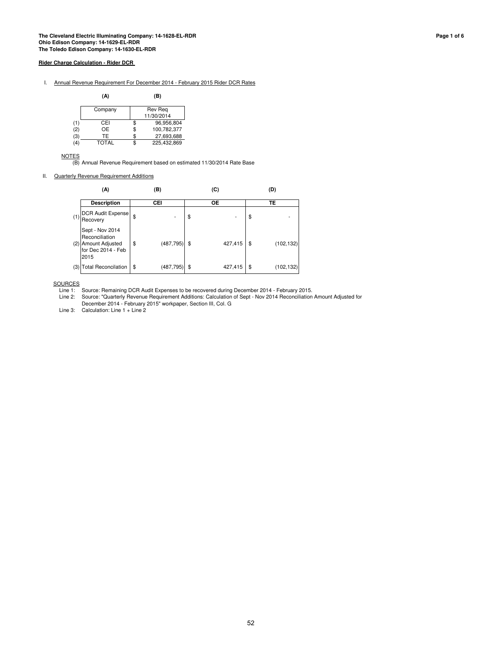I. Annual Revenue Requirement For December 2014 - February 2015 Rider DCR Rates

|     | (A)     | (B)               |
|-----|---------|-------------------|
|     | Company | Rev Reg           |
|     |         | 11/30/2014        |
| (1) | CEI     | 96.956,804        |
| (2) | OE      | \$<br>100,782,377 |
| (3) | TF      | 27,693,688        |
| '4) | TOTAL   | 225.432.869       |

**NOTES** 

(B) Annual Revenue Requirement based on estimated 11/30/2014 Rate Base

II. Quarterly Revenue Requirement Additions

|     | (A)                                                                                    | (B)              | (C)           | (D |            |  |  |
|-----|----------------------------------------------------------------------------------------|------------------|---------------|----|------------|--|--|
|     | <b>Description</b>                                                                     | СEІ              | <b>OE</b>     |    | TE         |  |  |
| (1) | <b>DCR Audit Expense</b><br>Recovery                                                   | \$               | \$            | \$ |            |  |  |
|     | Sept - Nov 2014<br>Reconciliation<br>(2) Amount Adjusted<br>for Dec 2014 - Feb<br>2015 | \$<br>(487, 795) | \$<br>427,415 | \$ | (102, 132) |  |  |
| (3) | <b>Total Reconcilation</b>                                                             | \$<br>(487, 795) | \$<br>427,415 | \$ | (102, 132) |  |  |

**SOURCES** 

Line 2: Source: "Quarterly Revenue Requirement Additions: Calculation of Sept - Nov 2014 Reconciliation Amount Adjusted for December 2014 - February 2015" workpaper, Section III, Col. G

Line 3: Calculation: Line 1 + Line 2

Line 1: Source: Remaining DCR Audit Expenses to be recovered during December 2014 - February 2015.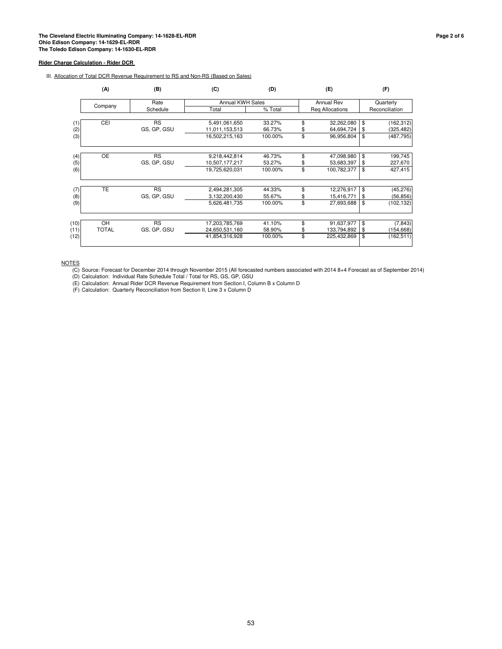III. Allocation of Total DCR Revenue Requirement to RS and Non-RS (Based on Sales)

|      | (A)          | (B)         | (C)                     | (D)     | (E)               | (F)              |
|------|--------------|-------------|-------------------------|---------|-------------------|------------------|
|      |              | Rate        | <b>Annual KWH Sales</b> |         | <b>Annual Rev</b> | Quarterly        |
|      | Company      | Schedule    | Total                   | % Total | Reg Allocations   | Reconciliation   |
|      |              |             |                         |         |                   |                  |
| (1)  | CEI          | <b>RS</b>   | 5,491,061,650           | 33.27%  | \$<br>32,262,080  | \$<br>(162, 312) |
| (2)  |              | GS, GP, GSU | 11,011,153,513          | 66.73%  | 64,694,724        | \$<br>(325, 482) |
| (3)  |              |             | 16,502,215,163          | 100.00% | \$<br>96,956,804  | \$<br>(487, 795) |
|      |              |             |                         |         |                   |                  |
| (4)  | <b>OE</b>    | <b>RS</b>   | 9,218,442,814           | 46.73%  | \$<br>47,098,980  | \$<br>199,745    |
| (5)  |              | GS, GP, GSU | 10,507,177,217          | 53.27%  | 53,683,397        | \$<br>227,670    |
| (6)  |              |             | 19,725,620,031          | 100.00% | \$<br>100,782,377 | \$<br>427,415    |
| (7)  | TE           | RS          | 2,494,281,305           | 44.33%  | \$<br>12,276,917  | \$<br>(45, 276)  |
| (8)  |              | GS, GP, GSU | 3,132,200,430           | 55.67%  | \$<br>15,416,771  | \$<br>(56, 856)  |
| (9)  |              |             | 5,626,481,735           | 100.00% | \$<br>27,693,688  | \$<br>(102, 132) |
|      | OH           | <b>RS</b>   |                         |         | \$                | \$               |
| (10) |              |             | 17,203,785,769          | 41.10%  | 91,637,977        | (7, 843)         |
| (11) | <b>TOTAL</b> | GS, GP, GSU | 24,650,531,160          | 58.90%  | \$<br>133,794,892 | \$<br>(154, 668) |
| (12) |              |             | 41,854,316,928          | 100.00% | \$<br>225,432,869 | \$<br>(162, 511) |

**NOTES** 

(C) Source: Forecast for December 2014 through November 2015 (All forecasted numbers associated with 2014 8+4 Forecast as of September 2014)

(D) Calculation: Individual Rate Schedule Total / Total for RS, GS, GP, GSU

(E) Calculation: Annual Rider DCR Revenue Requirement from Section I, Column B x Column D

(F) Calculation: Quarterly Reconciliation from Section II, Line 3 x Column D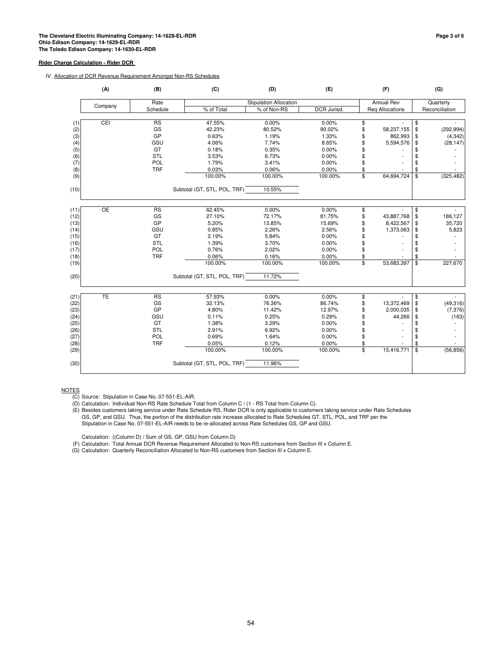### IV. Allocation of DCR Revenue Requirement Amongst Non-RS Schedules

|                | (A)<br>(B) |            | (C)                          | (D)                           | (E)         |                          | (F)                    |                         | (G)            |
|----------------|------------|------------|------------------------------|-------------------------------|-------------|--------------------------|------------------------|-------------------------|----------------|
|                |            | Rate       |                              | <b>Stipulation Allocation</b> |             |                          | <b>Annual Rev</b>      | Quarterly               |                |
|                | Company    | Schedule   | % of Total                   | % of Non-RS                   | DCR Jurisd. |                          | <b>Reg Allocations</b> |                         | Reconciliation |
|                |            |            |                              |                               |             |                          |                        |                         |                |
| (1)            | CEI        | <b>RS</b>  | 47.55%                       | 0.00%                         | 0.00%       | \$                       |                        | \$                      |                |
| $(2)$<br>$(3)$ |            | GS         | 42.23%                       | 80.52%                        | 90.02%      | \$                       | 58,237,155             | \$                      | (292, 994)     |
|                |            | GP         | 0.63%                        | 1.19%                         | 1.33%       | \$                       | 862,993                | \$                      | (4, 342)       |
| (4)            |            | GSU        | 4.06%                        | 7.74%                         | 8.65%       | \$                       | 5,594,576              | \$                      | (28, 147)      |
| (5)            |            | GT         | 0.18%                        | 0.35%                         | 0.00%       | \$                       |                        |                         |                |
| (6)            |            | <b>STL</b> | 3.53%                        | 6.73%                         | 0.00%       | \$                       |                        | \$                      |                |
| (7)            |            | POL        | 1.79%                        | 3.41%                         | 0.00%       | \$                       |                        | \$                      |                |
| (8)            |            | <b>TRF</b> | 0.03%                        | 0.06%                         | 0.00%       | \$                       |                        | \$                      |                |
| (9)            |            |            | 100.00%                      | 100.00%                       | 100.00%     | \$                       | 64,694,724             | \$                      | (325, 482)     |
| (10)           |            |            | Subtotal (GT, STL, POL, TRF) | 10.55%                        |             |                          |                        |                         |                |
|                |            |            |                              |                               |             |                          |                        |                         |                |
| (11)           | OE         | RS         | 62.45%                       | 0.00%                         | 0.00%       | \$                       |                        | \$                      |                |
| (12)           |            | GS         | 27.10%                       | 72.17%                        | 81.75%      | \$                       | 43,887,768             | \$                      | 186,127        |
| (13)           |            | GP         | 5.20%                        | 13.85%                        | 15.69%      | \$                       | 8,422,567              | \$                      | 35,720         |
| (14)           |            | GSU        | 0.85%                        | 2.26%                         | 2.56%       | \$                       | 1,373,063              | \$                      | 5,823          |
| (15)           |            | GT         | 2.19%                        | 5.84%                         | 0.00%       |                          |                        | \$                      |                |
| (16)           |            | STL        | 1.39%                        | 3.70%                         | 0.00%       | \$                       |                        | \$                      |                |
| (17)           |            | POL        | 0.76%                        | 2.02%                         | 0.00%       | \$                       |                        | \$                      |                |
| (18)           |            | <b>TRF</b> | 0.06%                        | 0.16%                         | 0.00%       | \$                       |                        | \$                      |                |
| (19)           |            |            | 100.00%                      | 100.00%                       | 100.00%     | \$                       | 53,683,397             | $\overline{\mathbf{s}}$ | 227,670        |
| (20)           |            |            | Subtotal (GT, STL, POL, TRF) | 11.72%                        |             |                          |                        |                         |                |
| (21)           | <b>TE</b>  | <b>RS</b>  | 57.93%                       | 0.00%                         | 0.00%       | \$                       |                        | \$                      |                |
| (22)           |            | GS         | 32.13%                       | 76.36%                        | 86.74%      | \$                       | 13,372,469             | \$                      | (49, 316)      |
| (23)           |            | GP         | 4.80%                        | 11.42%                        | 12.97%      | \$                       | 2,000,035              | \$                      | (7, 376)       |
| (24)           |            | GSU        | 0.11%                        | 0.25%                         | 0.29%       | \$                       | 44,266                 | \$                      | (163)          |
| (25)           |            | GT         | 1.38%                        | 3.29%                         | 0.00%       | \$                       |                        | \$                      |                |
| (26)           |            | STL        | 2.91%                        | 6.92%                         | 0.00%       | \$                       |                        | \$                      |                |
| (27)           |            | POL        | 0.69%                        | 1.64%                         | 0.00%       | \$                       |                        | \$                      |                |
| (28)           |            | <b>TRF</b> | 0.05%                        | 0.12%                         | 0.00%       | \$                       |                        | \$                      |                |
| (29)           |            |            | 100.00%                      | 100.00%                       | 100.00%     | $\overline{\mathcal{S}}$ | 15,416,771             | \$                      | (56, 856)      |
| (30)           |            |            | Subtotal (GT, STL, POL, TRF) | 11.96%                        |             |                          |                        |                         |                |

NOTES

(E) Besides customers taking service under Rate Schedule RS, Rider DCR is only applicable to customers taking service under Rate Schedules GS, GP, and GSU. Thus, the portion of the distribution rate increase allocated to Rate Schedules GT, STL, POL, and TRF per the Stipulation in Case No. 07-551-EL-AIR needs to be re-allocated across Rate Schedules GS, GP and GSU.

Calculation: ((Column D) / Sum of GS, GP, GSU from Column D)

(F) Calculation: Total Annual DCR Revenue Requirement Allocated to Non-RS customers from Section III x Column E.

(G) Calculation: Quarterly Reconciliation Allocated to Non-RS customers from Section III x Column E.

<sup>(</sup>C) Source: Stipulation in Case No. 07-551-EL-AIR.

<sup>(</sup>D) Calculation: Individual Non-RS Rate Schedule Total from Column C / (1 - RS Total from Column C).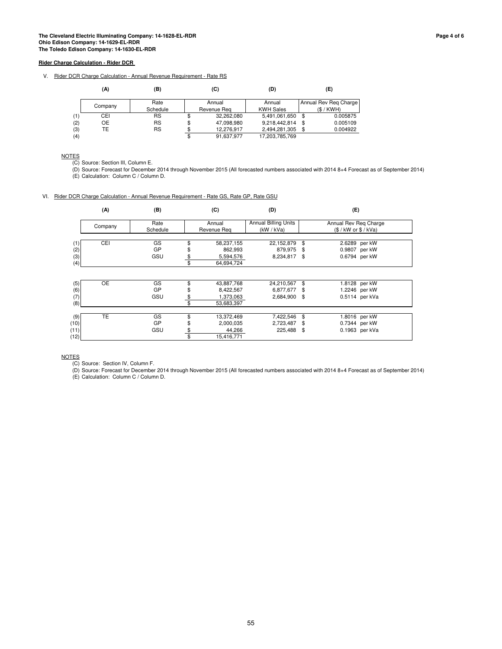V. Rider DCR Charge Calculation - Annual Revenue Requirement - Rate RS

|     | (A)       | (B)       | (C)              | (D)              | (E)                   |
|-----|-----------|-----------|------------------|------------------|-----------------------|
|     | Company   | Rate      | Annual           | Annual           | Annual Rev Reg Charge |
|     |           | Schedule  | Revenue Rea      | <b>KWH Sales</b> | (S/KWH)               |
| (1) | CEI       | <b>RS</b> | \$<br>32.262.080 | 5,491,061,650    | \$<br>0.005875        |
| (2) | <b>OE</b> | <b>RS</b> | \$<br>47,098,980 | 9,218,442,814    | \$<br>0.005109        |
| (3) | TE        | <b>RS</b> | \$<br>12.276.917 | 2,494,281,305    | 0.004922              |
| (4) |           |           | \$<br>91,637,977 | 17,203,785,769   |                       |

**NOTES** 

(C) Source: Section III, Column E.

(D) Source: Forecast for December 2014 through November 2015 (All forecasted numbers associated with 2014 8+4 Forecast as of September 2014) (E) Calculation: Column C / Column D.

#### VI. Rider DCR Charge Calculation - Annual Revenue Requirement - Rate GS, Rate GP, Rate GSU

|      | (A)       | (B)      |    | (C)         | (D)                         |     | (E)                    |  |
|------|-----------|----------|----|-------------|-----------------------------|-----|------------------------|--|
|      |           | Rate     |    | Annual      | <b>Annual Billing Units</b> |     | Annual Rev Reg Charge  |  |
|      | Company   | Schedule |    | Revenue Rea | (kW / kVa)                  |     | $(S / kW$ or $S / kVa$ |  |
|      |           |          |    |             |                             |     |                        |  |
| (1)  | CEI       | GS       | \$ | 58,237,155  | 22,152,879                  | \$  | 2.6289 per kW          |  |
| (2)  |           | GP       |    | 862,993     | 879,975                     | -\$ | 0.9807 per kW          |  |
| (3)  |           | GSU      | \$ | 5,594,576   | 8,234,817                   | \$  | 0.6794 per kW          |  |
| (4)  |           |          | \$ | 64,694,724  |                             |     |                        |  |
|      |           |          |    |             |                             |     |                        |  |
| (5)  | <b>OE</b> | GS       |    | 43,887,768  | 24,210,567                  | \$  | 1.8128 per kW          |  |
| (6)  |           | GP       | \$ | 8,422,567   | 6,877,677                   | \$  | 1.2246 per kW          |  |
| (7)  |           | GSU      | \$ | 1,373,063   | 2,684,900 \$                |     | 0.5114 per kVa         |  |
| (8)  |           |          | \$ | 53,683,397  |                             |     |                        |  |
|      |           |          |    |             |                             |     |                        |  |
| (9)  | <b>TE</b> | GS       |    | 13,372,469  | 7,422,546                   | \$  | 1.8016 per kW          |  |
| (10) |           | GP       | S  | 2,000,035   | 2,723,487                   | \$  | 0.7344 per kW          |  |
| (11) |           | GSU      |    | 44,266      | 225,488                     | \$  | 0.1963 per kVa         |  |
| (12) |           |          | \$ | 15,416,771  |                             |     |                        |  |

NOTES

(C) Source: Section IV, Column F.

(D) Source: Forecast for December 2014 through November 2015 (All forecasted numbers associated with 2014 8+4 Forecast as of September 2014) (E) Calculation: Column C / Column D.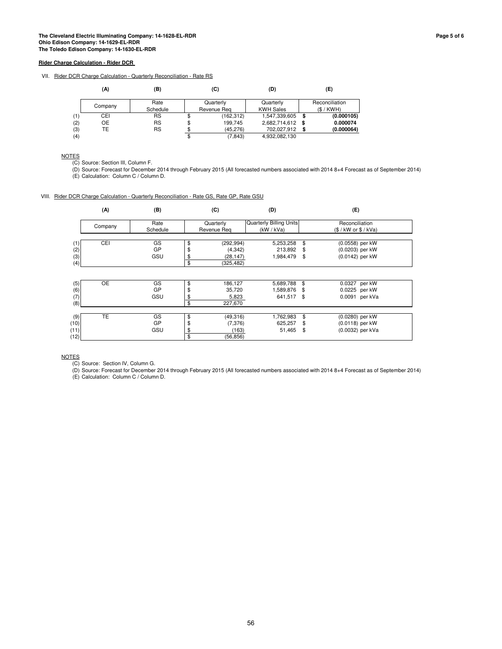VII. Rider DCR Charge Calculation - Quarterly Reconciliation - Rate RS

|     | (A)     | (B)       | (C)              | (D)              |      | (E)            |
|-----|---------|-----------|------------------|------------------|------|----------------|
|     |         | Rate      | Quarterly        | Quarterly        |      | Reconciliation |
|     | Company | Schedule  | Revenue Rea      | <b>KWH Sales</b> |      | (S/KWH)        |
| (1) | CEI     | RS        | \$<br>(162, 312) | 1,547,339,605    | \$   | (0.000105)     |
| (2) | OE      | <b>RS</b> | \$<br>199.745    | 2,682,714,612    | - \$ | 0.000074       |
| (3) | TE      | <b>RS</b> | \$<br>(45.276)   | 702.027.912      |      | (0.000064)     |
| (4) |         |           | \$<br>(7, 843)   | 4,932,082,130    |      |                |

**NOTES** 

(C) Source: Section III, Column F.

(D) Source: Forecast for December 2014 through February 2015 (All forecasted numbers associated with 2014 8+4 Forecast as of September 2014) (E) Calculation: Column C / Column D.

#### VIII. Rider DCR Charge Calculation - Quarterly Reconciliation - Rate GS, Rate GP, Rate GSU

|      | (A)       | (B)      |    | (C)         | (D)                     | (E)  |                      |  |
|------|-----------|----------|----|-------------|-------------------------|------|----------------------|--|
|      | Company   | Rate     |    | Quarterly   | Quarterly Billing Units |      | Reconciliation       |  |
|      |           | Schedule |    | Revenue Rea | (kW / kVa)              |      | (S / kW or \$ / KVa) |  |
|      |           |          |    |             |                         |      |                      |  |
| (1)  | CEI       | GS       | \$ | (292, 994)  | 5,253,258               | \$   | (0.0558) per kW      |  |
| (2)  |           | GP       | \$ | (4, 342)    | 213,892                 | \$   | (0.0203) per kW      |  |
| (3)  |           | GSU      | \$ | (28, 147)   | 1,984,479               | - \$ | (0.0142) per kW      |  |
| (4)  |           |          | \$ | (325,482)   |                         |      |                      |  |
|      |           |          |    |             |                         |      |                      |  |
| (5)  | <b>OE</b> | GS       | \$ | 186,127     | 5,689,788               | \$   | 0.0327 per kW        |  |
| (6)  |           | GP       | \$ | 35,720      | 1,589,876 \$            |      | 0.0225 per kW        |  |
| (7)  |           | GSU      | \$ | 5,823       | 641,517 \$              |      | 0.0091 per kVa       |  |
| (8)  |           |          | \$ | 227,670     |                         |      |                      |  |
|      |           |          |    |             |                         |      |                      |  |
| (9)  | <b>TE</b> | GS       | \$ | (49,316)    | 1,762,983               | \$   | (0.0280) per kW      |  |
| (10) |           | GP       | \$ | (7, 376)    | 625,257                 | \$   | (0.0118) per kW      |  |
| (11) |           | GSU      | \$ | (163)       | 51,465                  | \$   | (0.0032) per kVa     |  |
| (12) |           |          | \$ | (56, 856)   |                         |      |                      |  |

NOTES

(C) Source: Section IV, Column G.

(D) Source: Forecast for December 2014 through February 2015 (All forecasted numbers associated with 2014 8+4 Forecast as of September 2014) (E) Calculation: Column C / Column D.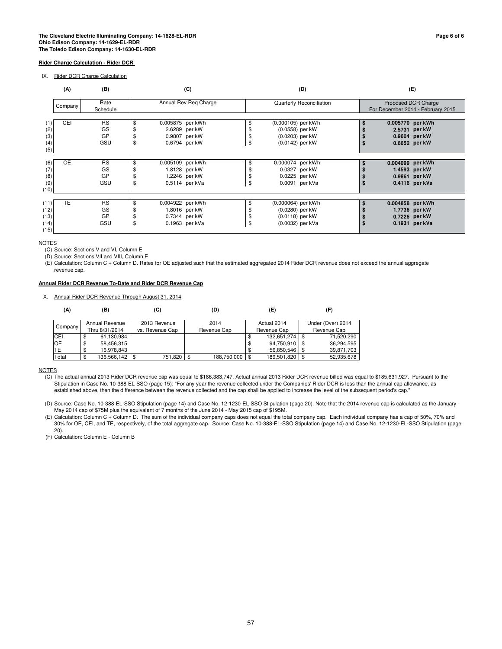IX. Rider DCR Charge Calculation

|                                      | (A)<br>(B)<br>(C) |                                           |          |                                                                      |                | (D)                                                                          | (E)                                                                  |  |  |  |  |
|--------------------------------------|-------------------|-------------------------------------------|----------|----------------------------------------------------------------------|----------------|------------------------------------------------------------------------------|----------------------------------------------------------------------|--|--|--|--|
|                                      | Company           | Annual Rev Reg Charge<br>Rate<br>Schedule |          |                                                                      |                | Quarterly Reconciliation                                                     | Proposed DCR Charge<br>For December 2014 - February 2015             |  |  |  |  |
| (2)<br>(3)<br>(4)<br>(5)             | <b>CEI</b>        | <b>RS</b><br>GS<br>GP<br>GSU              | £.<br>\$ | 0.005875 per kWh<br>2.6289 per kW<br>0.9807 per kW<br>0.6794 per kW  | \$<br>\$<br>\$ | (0.000105) per kWh<br>(0.0558) per kW<br>(0.0203) per kW<br>(0.0142) per kW  | 0.005770 per kWh<br>2.5731 per kW<br>0.9604 per kW<br>0.6652 per kW  |  |  |  |  |
| (6)<br>(7)<br>(8)<br>(9)<br>(10)     | <b>OE</b>         | <b>RS</b><br>GS<br>GP<br>GSU              | \$       | 0.005109 per kWh<br>1.8128 per kW<br>1.2246 per kW<br>0.5114 per kVa | \$<br>\$<br>\$ | 0.000074 per kWh<br>0.0327 per kW<br>0.0225 per kW<br>0.0091 per kVa         | 0.004099 per kWh<br>1.4593 per kW<br>0.9861 per kW<br>0.4116 per kVa |  |  |  |  |
| (11)<br>(12)<br>(13)<br>(14)<br>(15) | <b>TE</b>         | <b>RS</b><br>GS<br>GP<br>GSU              | \$       | 0.004922 per kWh<br>1.8016 per kW<br>0.7344 per kW<br>0.1963 per kVa | \$<br>\$<br>\$ | (0.000064) per kWh<br>(0.0280) per kW<br>(0.0118) per kW<br>(0.0032) per kVa | 0.004858 per kWh<br>1.7736 per kW<br>0.7226 per kW<br>0.1931 per kVa |  |  |  |  |

**NOTES** 

(C) Source: Sections V and VI, Column E

(D) Source: Sections VII and VIII, Column E

(E) Calculation: Column C + Column D. Rates for OE adjusted such that the estimated aggregated 2014 Rider DCR revenue does not exceed the annual aggregate revenue cap.

#### **Annual Rider DCR Revenue To-Date and Rider DCR Revenue Cap**

X. Annual Rider DCR Revenue Through August 31, 2014

| (A)       | (B)                              | (C)                             | (D)                 | (E)                        | (F)                              |
|-----------|----------------------------------|---------------------------------|---------------------|----------------------------|----------------------------------|
| Company   | Annual Revenue<br>Thru 8/31/2014 | 2013 Revenue<br>vs. Revenue Cap | 2014<br>Revenue Cap | Actual 2014<br>Revenue Cap | Under (Over) 2014<br>Revenue Cap |
| CEI       | 61,130,984<br>\$                 |                                 |                     | 132,651,274<br>\$          | 71,520,290                       |
| <b>OE</b> | 58,456,315<br>\$                 |                                 |                     | 94,750,910<br>\$           | 36.294.595                       |
| <b>TE</b> | 16.978.843<br>S                  |                                 |                     | 56,850,546<br>\$           | 39,871,703                       |
| Total     | 136,566,142                      | 751,820<br>\$                   | 188,750,000<br>l \$ | \$<br>189,501,820          | 52,935,678                       |

**NOTES** 

(C) The actual annual 2013 Rider DCR revenue cap was equal to \$186,383,747. Actual annual 2013 Rider DCR revenue billed was equal to \$185,631,927. Pursuant to the Stipulation in Case No. 10-388-EL-SSO (page 15): "For any year the revenue collected under the Companies' Rider DCR is less than the annual cap allowance, as established above, then the difference between the revenue collected and the cap shall be applied to increase the level of the subsequent period's cap."

(D) Source: Case No. 10-388-EL-SSO Stipulation (page 14) and Case No. 12-1230-EL-SSO Stipulation (page 20). Note that the 2014 revenue cap is calculated as the January - May 2014 cap of \$75M plus the equivalent of 7 months of the June 2014 - May 2015 cap of \$195M.

(E) Calculation: Column C + Column D. The sum of the individual company caps does not equal the total company cap. Each individual company has a cap of 50%, 70% and 30% for OE, CEI, and TE, respectively, of the total aggregate cap. Source: Case No. 10-388-EL-SSO Stipulation (page 14) and Case No. 12-1230-EL-SSO Stipulation (page 20).

(F) Calculation: Column E - Column B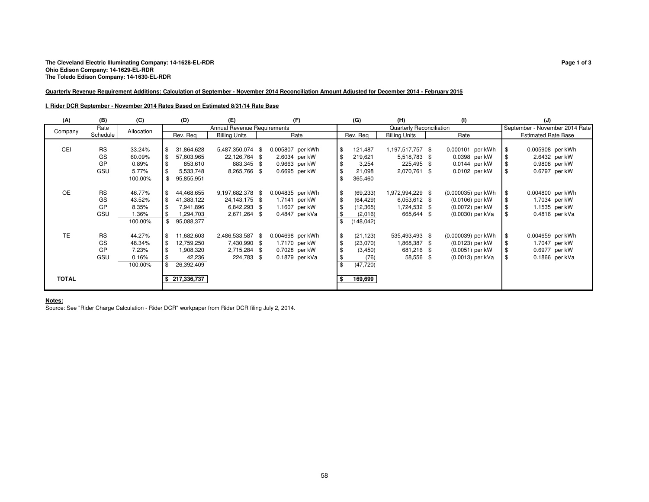#### **Quarterly Revenue Requirement Additions: Calculation of September - November 2014 Reconciliation Amount Adjusted for December 2014 - February 2015**

#### **I. Rider DCR September - November 2014 Rates Based on Estimated 8/31/14 Rate Base**

| (A)          | (B)       | (C)        | (D)               | (E)                         | (F)              |               | (G)       | (H)                      | (1)                |           | (J)                            |  |
|--------------|-----------|------------|-------------------|-----------------------------|------------------|---------------|-----------|--------------------------|--------------------|-----------|--------------------------------|--|
| Company      | Rate      | Allocation |                   | Annual Revenue Requirements |                  |               |           | Quarterly Reconciliation |                    |           | September - November 2014 Rate |  |
|              | Schedule  |            | Rev. Reg          | <b>Billing Units</b>        | Rate             |               | Rev. Rea  | <b>Billing Units</b>     | Rate               |           | <b>Estimated Rate Base</b>     |  |
|              |           |            |                   |                             |                  |               |           |                          |                    |           |                                |  |
| <b>CEI</b>   | <b>RS</b> | 33.24%     | 31,864,628<br>\$  | 5,487,350,074 \$            | 0.005807 per kWh | l\$           | 121,487   | 1,197,517,757 \$         | 0.000101 per kWh   | <b>\$</b> | 0.005908 per kWh               |  |
|              | GS        | 60.09%     | \$<br>57,603,965  | 22,126,764<br>- \$          | 2.6034 per kW    | l\$           | 219,621   | 5,518,783 \$             | 0.0398 per kW      |           | 2.6432 per kW                  |  |
|              | GP        | 0.89%      | 853,610           | 883,345 \$                  | 0.9663 per kW    | \$            | 3,254     | 225,495 \$               | 0.0144 per kW      |           | 0.9808 per kW                  |  |
|              | GSU       | 5.77%      | 5,533,748         | 8,265,766 \$                | 0.6695 per kW    | l \$          | 21,098    | 2,070,761 \$             | 0.0102 per kW      |           | 0.6797 per kW                  |  |
|              |           | 100.00%    | \$<br>95,855,951  |                             |                  | \$            | 365,460   |                          |                    |           |                                |  |
|              |           |            |                   |                             |                  |               |           |                          |                    |           |                                |  |
| <b>OE</b>    | <b>RS</b> | 46.77%     | 44,468,655<br>\$  | 9,197,682,378 \$            | 0.004835 per kWh | l\$           | (69, 233) | 1,972,994,229 \$         | (0.000035) per kWh |           | 0.004800 per kWh               |  |
|              | GS        | 43.52%     | \$<br>41,383,122  | 24, 143, 175 \$             | 1.7141 per kW    | \$            | (64, 429) | 6,053,612 \$             | (0.0106) per kW    |           | 1.7034 per kW                  |  |
|              | GP        | 8.35%      | 7,941,896         | 6,842,293 \$                | 1.1607 per kW    | \$            | (12, 365) | 1,724,532 \$             | (0.0072) per kW    |           | 1.1535 per kW                  |  |
|              | GSU       | 1.36%      | 294,703,          | 2,671,264<br>- \$           | 0.4847 per kVa   | l \$          | (2,016)   | 665,644 \$               | (0.0030) per kVa   |           | $0.4816$ per kVa               |  |
|              |           | 100.00%    | 95,088,377        |                             |                  |               | (148,042) |                          |                    |           |                                |  |
|              |           |            |                   |                             |                  |               |           |                          |                    |           |                                |  |
| <b>TE</b>    | <b>RS</b> | 44.27%     | 11,682,603<br>\$  | 2,486,533,587 \$            | 0.004698 per kWh | $\frac{3}{2}$ | (21, 123) | 535,493,493 \$           | (0.000039) per kWh | \$        | 0.004659 per kWh               |  |
|              | GS        | 48.34%     | 12,759,250<br>\$  | 7,430,990 \$                | 1.7170 per kW    | l \$          | (23,070)  | 1,868,387 \$             | (0.0123) per kW    |           | 1.7047 per kW                  |  |
|              | GP        | 7.23%      | 1,908,320         | 2,715,284 \$                | 0.7028 per kW    | \$            | (3, 450)  | 681,216 \$               | (0.0051) per kW    |           | 0.6977 per kW                  |  |
|              | GSU       | 0.16%      | 42,236            | 224,783 \$                  | $0.1879$ per kVa | \$            | (76)      | 58,556 \$                | (0.0013) per kVa   | \$        | 0.1866 per kVa                 |  |
|              |           | 100.00%    | 26,392,409        |                             |                  | \$            | (47, 720) |                          |                    |           |                                |  |
|              |           |            |                   |                             |                  |               |           |                          |                    |           |                                |  |
| <b>TOTAL</b> |           |            | 217,336,737<br>s. |                             |                  | ∣\$           | 169,699   |                          |                    |           |                                |  |
|              |           |            |                   |                             |                  |               |           |                          |                    |           |                                |  |

**Notes:** Source: See "Rider Charge Calculation - Rider DCR" workpaper from Rider DCR filing July 2, 2014.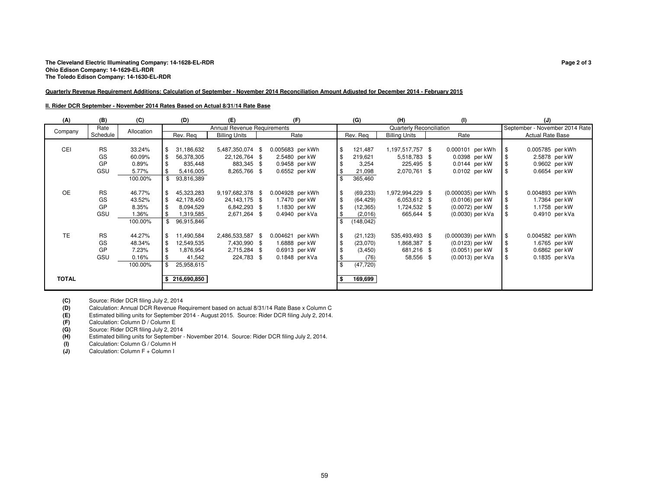#### **Quarterly Revenue Requirement Additions: Calculation of September - November 2014 Reconciliation Amount Adjusted for December 2014 - February 2015**

#### **II. Rider DCR September - November 2014 Rates Based on Actual 8/31/14 Rate Base**

| (A)          | (B)       | (C)        | (D)                | (E)                         | (F)              |               | (G)        | (H)                      | (1)                |           | (J)                            |  |
|--------------|-----------|------------|--------------------|-----------------------------|------------------|---------------|------------|--------------------------|--------------------|-----------|--------------------------------|--|
| Company      | Rate      | Allocation |                    | Annual Revenue Requirements |                  |               |            | Quarterly Reconciliation |                    |           | September - November 2014 Rate |  |
|              | Schedule  |            | Rev. Rea           | <b>Billing Units</b>        | Rate             |               | Rev. Rea   | <b>Billing Units</b>     | Rate               |           | <b>Actual Rate Base</b>        |  |
|              |           |            |                    |                             |                  |               |            |                          |                    |           |                                |  |
| CEI          | <b>RS</b> | 33.24%     | 31,186,632<br>l \$ | 5,487,350,074 \$            | 0.005683 per kWh | \$            | 121,487    | 1,197,517,757 \$         | 0.000101 per kWh   | <b>\$</b> | 0.005785 per kWh               |  |
|              | GS        | 60.09%     | l \$<br>56,378,305 | 22,126,764 \$               | 2.5480 per kW    | $\frac{3}{2}$ | 219,621    | 5,518,783 \$             | 0.0398 per kW      |           | 2.5878 per kW                  |  |
|              | GP        | 0.89%      | 835,448            | 883,345 \$                  | 0.9458 per kW    | $\frac{3}{2}$ | 3,254      | 225,495 \$               | $0.0144$ per kW    |           | 0.9602 per kW                  |  |
|              | GSU       | 5.77%      | 5,416,005          | 8,265,766 \$                | 0.6552 per kW    | \$            | 21,098     | 2,070,761 \$             | 0.0102 per kW      | \$        | 0.6654 per kW                  |  |
|              |           | 100.00%    | 93,816,389         |                             |                  | \$            | 365,460    |                          |                    |           |                                |  |
|              |           |            |                    |                             |                  |               |            |                          |                    |           |                                |  |
| <b>OE</b>    | <b>RS</b> | 46.77%     | 45,323,283<br>l \$ | 9,197,682,378 \$            | 0.004928 per kWh | \$            | (69, 233)  | 1,972,994,229 \$         | (0.000035) per kWh | <b>S</b>  | 0.004893 per kWh               |  |
|              | GS        | 43.52%     | l \$<br>42,178,450 | 24, 143, 175 \$             | 1.7470 per kW    | $\frac{3}{2}$ | (64, 429)  | 6,053,612 \$             | (0.0106) per kW    |           | 1.7364 per kW                  |  |
|              | GP        | 8.35%      | 8,094,529          | 6,842,293 \$                | 1.1830 per kW    | $\frac{3}{2}$ | (12, 365)  | 1,724,532 \$             | (0.0072) per kW    |           | 1.1758 per kW                  |  |
|              | GSU       | 1.36%      | 1,319,585          | 2,671,264 \$                | 0.4940 per kVa   | \$            | (2,016)    | 665,644 \$               | (0.0030) per kVa   | -\$       | 0.4910 per kVa                 |  |
|              |           | 100.00%    | 96,915,846         |                             |                  | \$            | (148, 042) |                          |                    |           |                                |  |
|              |           |            |                    |                             |                  |               |            |                          |                    |           |                                |  |
| <b>TE</b>    | <b>RS</b> | 44.27%     | l \$<br>11,490,584 | 2,486,533,587 \$            | 0.004621 per kWh | $\frac{3}{2}$ | (21, 123)  | 535,493,493 \$           | (0.000039) per kWh | \$        | 0.004582 per kWh               |  |
|              | GS        | 48.34%     | l \$<br>12,549,535 | 7,430,990 \$                | 1.6888 per kW    | $\frac{3}{2}$ | (23,070)   | 1,868,387 \$             | (0.0123) per kW    |           | 1.6765 per kW                  |  |
|              | GP        | 7.23%      | 1,876,954          | 2,715,284 \$                | 0.6913 per kW    | $\frac{3}{2}$ | (3, 450)   | 681,216 \$               | (0.0051) per kW    |           | 0.6862 per kW                  |  |
|              | GSU       | 0.16%      | 41,542             | 224,783 \$                  | $0.1848$ per kVa | $\frac{3}{2}$ | (76)       | 58,556 \$                | (0.0013) per kVa   | \$        | 0.1835 per kVa                 |  |
|              |           | 100.00%    | 25,958,615         |                             |                  | $\mathbf{s}$  | (47, 720)  |                          |                    |           |                                |  |
|              |           |            |                    |                             |                  |               |            |                          |                    |           |                                |  |
| <b>TOTAL</b> |           |            | 216,690,850        |                             |                  | ∣\$           | 169,699    |                          |                    |           |                                |  |
|              |           |            |                    |                             |                  |               |            |                          |                    |           |                                |  |

**(C)**

 Source: Rider DCR filing July 2, 2014 Calculation: Annual DCR Revenue Requirement based on actual 8/31/14 Rate Base x Column C**(D)**

 Estimated billing units for September 2014 - August 2015. Source: Rider DCR filing July 2, 2014. **(E)**

**(F)**Calculation: Column D / Column E

 Source: Rider DCR filing July 2, 2014**(G)**

 Estimated billing units for September - November 2014. Source: Rider DCR filing July 2, 2014. **(H)**

**(I)**Calculation: Column G / Column H

 Calculation: Column F + Column I **(J)**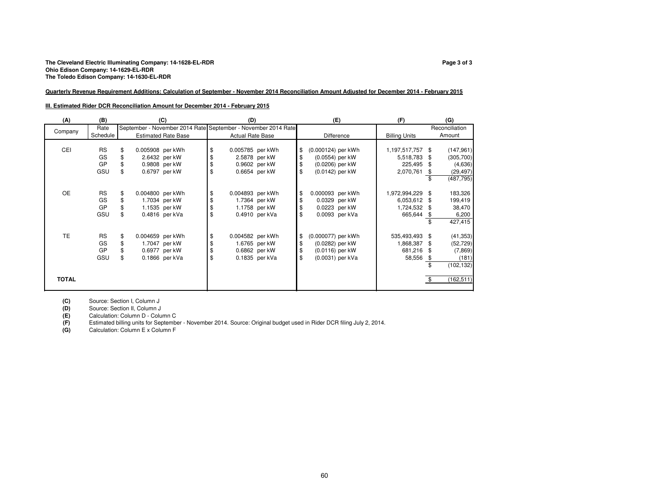### **Quarterly Revenue Requirement Additions: Calculation of September - November 2014 Reconciliation Amount Adjusted for December 2014 - February 2015**

#### **III. Estimated Rider DCR Reconciliation Amount for December 2014 - February 2015**

| (A)          | (B)       | (C)                                                           | (D)                     |                | (E)                      | (F)                  | (G)              |
|--------------|-----------|---------------------------------------------------------------|-------------------------|----------------|--------------------------|----------------------|------------------|
|              | Rate      | September - November 2014 Rate September - November 2014 Rate |                         |                |                          |                      | Reconciliation   |
| Company      | Schedule  | <b>Estimated Rate Base</b>                                    | <b>Actual Rate Base</b> |                | <b>Difference</b>        | <b>Billing Units</b> | Amount           |
|              |           |                                                               |                         |                |                          |                      |                  |
| CEI          | <b>RS</b> | 0.005908 per kWh<br>\$                                        | \$<br>0.005785 per kWh  |                | \$<br>(0.000124) per kWh | 1,197,517,757        | \$<br>(147, 961) |
|              | GS        | 2.6432 per kW                                                 | \$<br>2.5878 per kW     |                | \$<br>(0.0554) per kW    | 5,518,783            | \$<br>(305, 700) |
|              | GP        | 0.9808 per kW                                                 | \$<br>0.9602 per kW     |                | \$<br>(0.0206) per kW    | 225,495              | \$<br>(4,636)    |
|              | GSU       | \$<br>0.6797 per kW                                           | \$<br>0.6654 per kW     |                | \$<br>(0.0142) per kW    | 2,070,761            | \$<br>(29, 497)  |
|              |           |                                                               |                         |                |                          |                      | \$<br>(487, 795) |
|              |           |                                                               |                         |                |                          |                      |                  |
| OE           | <b>RS</b> | \$<br>0.004800 per kWh                                        | \$<br>0.004893 per kWh  |                | \$<br>0.000093 per kWh   | 1,972,994,229        | \$<br>183,326    |
|              | GS        | \$<br>1.7034 per kW                                           | \$                      | 1.7364 per kW  | \$<br>0.0329 per kW      | 6,053,612 \$         | 199,419          |
|              | GP        | 1.1535 per kW                                                 | \$                      | 1.1758 per kW  | 0.0223 per kW            | 1,724,532 \$         | 38,470           |
|              | GSU       | \$<br>0.4816 per kVa                                          | \$                      | 0.4910 per kVa | \$<br>0.0093 per kVa     | 665,644              | \$<br>6,200      |
|              |           |                                                               |                         |                |                          |                      | \$<br>427,415    |
|              |           |                                                               |                         |                |                          |                      |                  |
| TE           | <b>RS</b> | 0.004659 per kWh<br>\$                                        | \$<br>0.004582 per kWh  |                | \$<br>(0.000077) per kWh | 535,493,493          | \$<br>(41, 353)  |
|              | GS        | 1.7047 per kW                                                 | \$                      | 1.6765 per kW  | \$<br>(0.0282) per kW    | 1,868,387            | \$<br>(52, 729)  |
|              | GP        | 0.6977 per kW                                                 | \$<br>0.6862 per kW     |                | \$<br>(0.0116) per kW    | 681,216              | \$<br>(7,869)    |
|              | GSU       | \$<br>0.1866 per kVa                                          | \$                      | 0.1835 per kVa | \$<br>(0.0031) per kVa   | 58,556               | \$<br>(181)      |
|              |           |                                                               |                         |                |                          |                      | \$<br>(102, 132) |
|              |           |                                                               |                         |                |                          |                      |                  |
| <b>TOTAL</b> |           |                                                               |                         |                |                          |                      | \$<br>(162, 511) |
|              |           |                                                               |                         |                |                          |                      |                  |

**(C)**Source: Section I, Column J

 Source: Section II, Column J**(D)**

 Calculation: Column D - Column C**(E)**

 Estimated billing units for September - November 2014. Source: Original budget used in Rider DCR filing July 2, 2014. **(F)**

**(G)**Calculation: Column E x Column F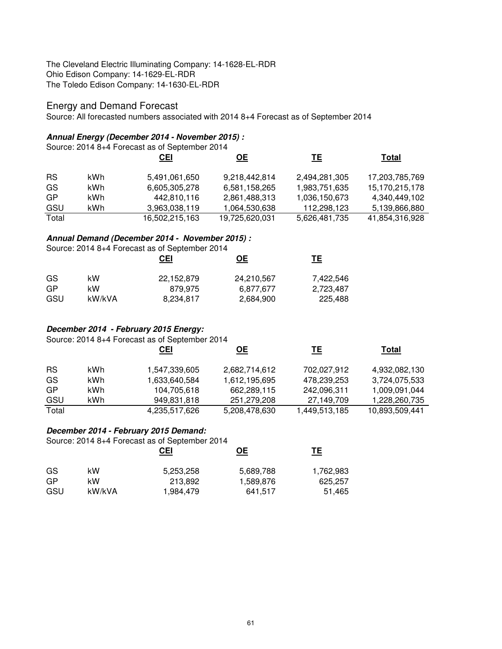# Energy and Demand Forecast

Source: All forecasted numbers associated with 2014 8+4 Forecast as of September 2014

### **Annual Energy (December 2014 - November 2015) :**

|           | Source: 2014 8+4 Forecast as of September 2014 |                |                |               |                |  |  |  |  |  |
|-----------|------------------------------------------------|----------------|----------------|---------------|----------------|--|--|--|--|--|
|           |                                                | <u>CEI</u>     | <u>OE</u>      | <u>ТЕ</u>     | Total          |  |  |  |  |  |
| <b>RS</b> | kWh                                            | 5,491,061,650  | 9,218,442,814  | 2,494,281,305 | 17,203,785,769 |  |  |  |  |  |
| GS        | kWh.                                           | 6,605,305,278  | 6,581,158,265  | 1,983,751,635 | 15,170,215,178 |  |  |  |  |  |
| GP        | kWh.                                           | 442,810,116    | 2,861,488,313  | 1,036,150,673 | 4,340,449,102  |  |  |  |  |  |
| GSU       | kWh                                            | 3,963,038,119  | 1,064,530,638  | 112,298,123   | 5,139,866,880  |  |  |  |  |  |
| Total     |                                                | 16,502,215,163 | 19,725,620,031 | 5,626,481,735 | 41,854,316,928 |  |  |  |  |  |

### **Annual Demand (December 2014 - November 2015) :**

|     |        | Source: 2014 8+4 Forecast as of September 2014 |            |           |
|-----|--------|------------------------------------------------|------------|-----------|
|     |        | <u>CEI</u>                                     | OЕ         | <u>ТЕ</u> |
| GS. | kW     | 22,152,879                                     | 24,210,567 | 7.422.546 |
| GP  | kW     | 879.975                                        | 6.877.677  | 2,723,487 |
| GSU | kW/kVA | 8,234,817                                      | 2.684.900  | 225.488   |

# **December 2014 - February 2015 Energy:**

Source: 2014 8+4 Forecast as of September 2014

|           |     | <b>CEI</b>    | <u>ОЕ</u>     | TЕ            | Total          |
|-----------|-----|---------------|---------------|---------------|----------------|
| <b>RS</b> | kWh | 1,547,339,605 | 2,682,714,612 | 702,027,912   | 4,932,082,130  |
| GS        | kWh | 1,633,640,584 | 1,612,195,695 | 478,239,253   | 3,724,075,533  |
| GP        | kWh | 104,705,618   | 662,289,115   | 242,096,311   | 1,009,091,044  |
| GSU       | kWh | 949,831,818   | 251,279,208   | 27,149,709    | 1,228,260,735  |
| Total     |     | 4,235,517,626 | 5,208,478,630 | 1,449,513,185 | 10,893,509,441 |

# **December 2014 - February 2015 Demand:**

Source: 2014 8+4 Forecast as of September 2014

|     |        | <u>CEI</u> | <u>OE</u> | TΕ        |
|-----|--------|------------|-----------|-----------|
| GS  | kW     | 5,253,258  | 5,689,788 | 1,762,983 |
| GP  | kW     | 213.892    | 1,589,876 | 625,257   |
| GSU | kW/kVA | 1,984,479  | 641.517   | 51,465    |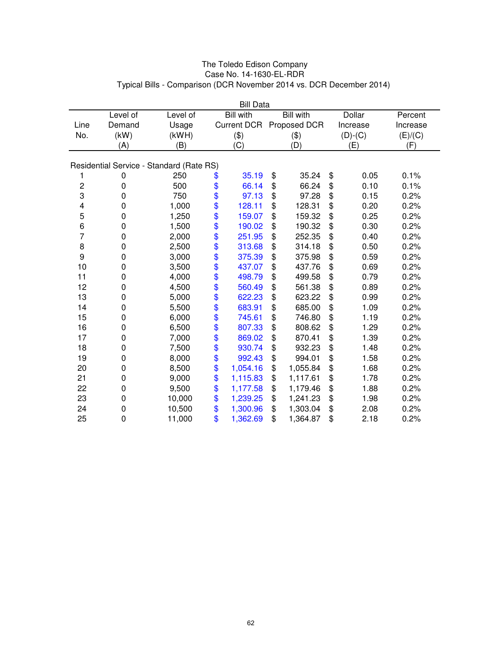| <b>Bill Data</b> |                                          |          |    |                    |    |                  |    |               |          |
|------------------|------------------------------------------|----------|----|--------------------|----|------------------|----|---------------|----------|
|                  | Level of                                 | Level of |    | <b>Bill with</b>   |    | <b>Bill</b> with |    | <b>Dollar</b> | Percent  |
| Line             | Demand                                   | Usage    |    | <b>Current DCR</b> |    | Proposed DCR     |    | Increase      | Increase |
| No.              | (kW)                                     | (kWH)    |    | (3)                |    | (3)              |    | $(D)-(C)$     | (E)/(C)  |
|                  | (A)                                      | (B)      |    | (C)                |    | (D)              |    | (E)           | (F)      |
|                  | Residential Service - Standard (Rate RS) |          |    |                    |    |                  |    |               |          |
|                  |                                          |          |    |                    |    |                  |    |               |          |
| 1                | 0                                        | 250      | \$ | 35.19              | \$ | 35.24            | \$ | 0.05          | 0.1%     |
| $\mathbf 2$      | $\mathbf 0$                              | 500      | \$ | 66.14              | \$ | 66.24            | \$ | 0.10          | 0.1%     |
| 3                | 0                                        | 750      | \$ | 97.13              | \$ | 97.28            | \$ | 0.15          | 0.2%     |
| 4                | $\mathbf 0$                              | 1,000    | \$ | 128.11             | \$ | 128.31           | \$ | 0.20          | 0.2%     |
| 5                | 0                                        | 1,250    | \$ | 159.07             | \$ | 159.32           | \$ | 0.25          | 0.2%     |
| 6                | 0                                        | 1,500    | \$ | 190.02             | \$ | 190.32           | \$ | 0.30          | 0.2%     |
| 7                | 0                                        | 2,000    | \$ | 251.95             | \$ | 252.35           | \$ | 0.40          | 0.2%     |
| 8                | 0                                        | 2,500    | \$ | 313.68             | \$ | 314.18           | \$ | 0.50          | 0.2%     |
| 9                | 0                                        | 3,000    |    | 375.39             | \$ | 375.98           | \$ | 0.59          | 0.2%     |
| 10               | 0                                        | 3,500    | \$ | 437.07             | \$ | 437.76           | \$ | 0.69          | 0.2%     |
| 11               | 0                                        | 4,000    | \$ | 498.79             | \$ | 499.58           | \$ | 0.79          | 0.2%     |
| 12               | 0                                        | 4,500    | \$ | 560.49             | \$ | 561.38           | \$ | 0.89          | 0.2%     |
| 13               | 0                                        | 5,000    | \$ | 622.23             | \$ | 623.22           | \$ | 0.99          | 0.2%     |
| 14               | 0                                        | 5,500    | \$ | 683.91             | \$ | 685.00           | \$ | 1.09          | 0.2%     |
| 15               | 0                                        | 6,000    | \$ | 745.61             | \$ | 746.80           | \$ | 1.19          | 0.2%     |
| 16               | 0                                        | 6,500    | \$ | 807.33             | \$ | 808.62           | \$ | 1.29          | 0.2%     |
| 17               | 0                                        | 7,000    | \$ | 869.02             | \$ | 870.41           | \$ | 1.39          | 0.2%     |
| 18               | 0                                        | 7,500    | \$ | 930.74             | \$ | 932.23           | \$ | 1.48          | 0.2%     |
| 19               | 0                                        | 8,000    | \$ | 992.43             | \$ | 994.01           | \$ | 1.58          | 0.2%     |
| 20               | 0                                        | 8,500    | \$ | 1,054.16           | \$ | 1,055.84         | \$ | 1.68          | 0.2%     |
| 21               | 0                                        | 9,000    | \$ | 1,115.83           | \$ | 1,117.61         | \$ | 1.78          | 0.2%     |
| 22               | 0                                        | 9,500    | \$ | 1,177.58           | \$ | 1,179.46         | \$ | 1.88          | 0.2%     |
| 23               | 0                                        | 10,000   | \$ | 1,239.25           | \$ | 1,241.23         | \$ | 1.98          | 0.2%     |
| 24               | 0                                        | 10,500   | \$ | 1,300.96           | \$ | 1,303.04         | \$ | 2.08          | 0.2%     |
| 25               | 0                                        | 11,000   | \$ | 1,362.69           | \$ | 1,364.87         | \$ | 2.18          | 0.2%     |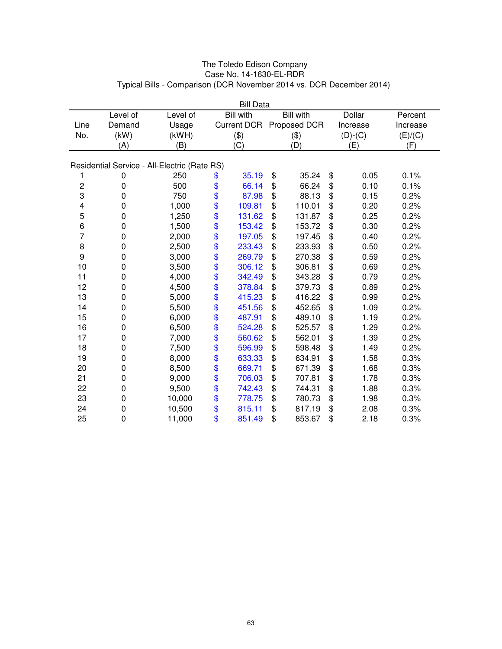| <b>Bill Data</b> |             |                                              |               |                    |    |                  |    |               |          |
|------------------|-------------|----------------------------------------------|---------------|--------------------|----|------------------|----|---------------|----------|
|                  | Level of    | Level of                                     |               | <b>Bill with</b>   |    | <b>Bill with</b> |    | <b>Dollar</b> | Percent  |
| Line             | Demand      | Usage                                        |               | <b>Current DCR</b> |    | Proposed DCR     |    | Increase      | Increase |
| No.              | (kW)        | (kWH)                                        |               | $(\$)$             |    | (3)              |    | $(D)-(C)$     | (E)/(C)  |
|                  | (A)         | (B)                                          |               | (C)                |    | (D)              |    | (E)           | (F)      |
|                  |             |                                              |               |                    |    |                  |    |               |          |
|                  |             | Residential Service - All-Electric (Rate RS) |               |                    |    |                  |    |               |          |
| 1                | 0           | 250                                          | \$            | 35.19              | \$ | 35.24            | \$ | 0.05          | 0.1%     |
| $\mathbf 2$      | 0           | 500                                          | \$            | 66.14              | \$ | 66.24            | \$ | 0.10          | 0.1%     |
| 3                | $\mathbf 0$ | 750                                          | \$            | 87.98              | \$ | 88.13            | \$ | 0.15          | 0.2%     |
| 4                | 0           | 1,000                                        | \$            | 109.81             | \$ | 110.01           | \$ | 0.20          | 0.2%     |
| 5                | 0           | 1,250                                        | \$            | 131.62             | \$ | 131.87           | \$ | 0.25          | 0.2%     |
| 6                | 0           | 1,500                                        | \$            | 153.42             | \$ | 153.72           | \$ | 0.30          | 0.2%     |
| 7                | 0           | 2,000                                        | \$            | 197.05             | \$ | 197.45           | \$ | 0.40          | 0.2%     |
| 8                | 0           | 2,500                                        | \$            | 233.43             | \$ | 233.93           | \$ | 0.50          | 0.2%     |
| 9                | 0           | 3,000                                        |               | 269.79             | \$ | 270.38           | \$ | 0.59          | 0.2%     |
| 10               | 0           | 3,500                                        | \$            | 306.12             | \$ | 306.81           | \$ | 0.69          | 0.2%     |
| 11               | 0           | 4,000                                        | \$            | 342.49             | \$ | 343.28           | \$ | 0.79          | 0.2%     |
| 12               | 0           | 4,500                                        | \$            | 378.84             | \$ | 379.73           | \$ | 0.89          | 0.2%     |
| 13               | 0           | 5,000                                        | \$            | 415.23             | \$ | 416.22           | \$ | 0.99          | 0.2%     |
| 14               | 0           | 5,500                                        | \$            | 451.56             | \$ | 452.65           | \$ | 1.09          | 0.2%     |
| 15               | 0           | 6,000                                        |               | 487.91             | \$ | 489.10           | \$ | 1.19          | 0.2%     |
| 16               | 0           | 6,500                                        | $\frac{6}{9}$ | 524.28             | \$ | 525.57           | \$ | 1.29          | 0.2%     |
| 17               | 0           | 7,000                                        | \$            | 560.62             | \$ | 562.01           | \$ | 1.39          | 0.2%     |
| 18               | 0           | 7,500                                        | \$            | 596.99             | \$ | 598.48           | \$ | 1.49          | 0.2%     |
| 19               | 0           | 8,000                                        | \$            | 633.33             | \$ | 634.91           | \$ | 1.58          | 0.3%     |
| 20               | 0           | 8,500                                        | \$            | 669.71             | \$ | 671.39           | \$ | 1.68          | 0.3%     |
| 21               | 0           | 9,000                                        | \$            | 706.03             | \$ | 707.81           | \$ | 1.78          | 0.3%     |
| 22               | 0           | 9,500                                        | \$            | 742.43             | \$ | 744.31           | \$ | 1.88          | 0.3%     |
| 23               | 0           | 10,000                                       | \$            | 778.75             | \$ | 780.73           | \$ | 1.98          | 0.3%     |
| 24               | 0           | 10,500                                       | \$            | 815.11             | \$ | 817.19           | \$ | 2.08          | 0.3%     |
| 25               | 0           | 11,000                                       | \$            | 851.49             | \$ | 853.67           | \$ | 2.18          | 0.3%     |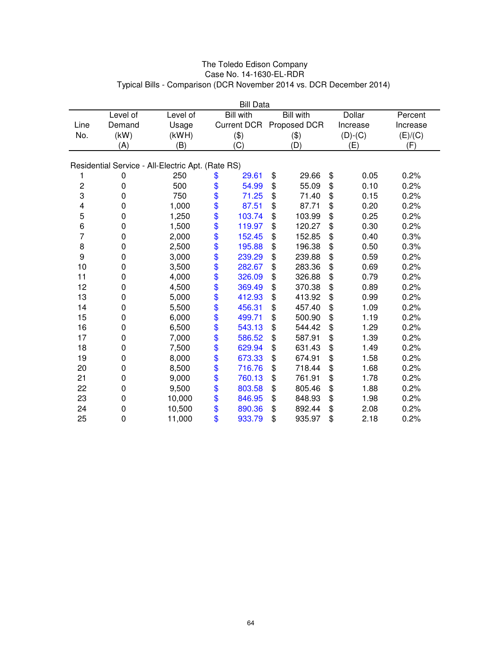|             | <b>Bill Data</b>                                  |          |    |                    |    |                  |    |               |          |
|-------------|---------------------------------------------------|----------|----|--------------------|----|------------------|----|---------------|----------|
|             | Level of                                          | Level of |    | <b>Bill with</b>   |    | <b>Bill</b> with |    | <b>Dollar</b> | Percent  |
| Line        | Demand                                            | Usage    |    | <b>Current DCR</b> |    | Proposed DCR     |    | Increase      | Increase |
| No.         | (kW)                                              | (kWH)    |    | (3)                |    | (3)              |    | $(D)-(C)$     | (E)/(C)  |
|             | (A)                                               | (B)      |    | (C)                |    | (D)              |    | (E)           | (F)      |
|             | Residential Service - All-Electric Apt. (Rate RS) |          |    |                    |    |                  |    |               |          |
|             |                                                   | 250      |    | 29.61              |    | 29.66            |    | 0.05          | 0.2%     |
| 1           | 0                                                 |          | \$ |                    | \$ |                  | \$ |               |          |
| $\mathbf 2$ | 0                                                 | 500      | \$ | 54.99              | \$ | 55.09            | \$ | 0.10          | 0.2%     |
| 3           | 0                                                 | 750      | \$ | 71.25              | \$ | 71.40            | \$ | 0.15          | 0.2%     |
| 4           | 0                                                 | 1,000    | \$ | 87.51              | \$ | 87.71            | \$ | 0.20          | 0.2%     |
| 5           | 0                                                 | 1,250    | \$ | 103.74             | \$ | 103.99           | \$ | 0.25          | 0.2%     |
| 6           | 0                                                 | 1,500    | \$ | 119.97             | \$ | 120.27           | \$ | 0.30          | 0.2%     |
| 7           | 0                                                 | 2,000    | \$ | 152.45             | \$ | 152.85           | \$ | 0.40          | 0.3%     |
| 8           | 0                                                 | 2,500    | \$ | 195.88             | \$ | 196.38           | \$ | 0.50          | 0.3%     |
| 9           | 0                                                 | 3,000    | \$ | 239.29             | \$ | 239.88           | \$ | 0.59          | 0.2%     |
| 10          | 0                                                 | 3,500    | \$ | 282.67             | \$ | 283.36           | \$ | 0.69          | 0.2%     |
| 11          | 0                                                 | 4,000    | \$ | 326.09             | \$ | 326.88           | \$ | 0.79          | 0.2%     |
| 12          | 0                                                 | 4,500    | \$ | 369.49             | \$ | 370.38           | \$ | 0.89          | 0.2%     |
| 13          | 0                                                 | 5,000    | \$ | 412.93             | \$ | 413.92           | \$ | 0.99          | 0.2%     |
| 14          | 0                                                 | 5,500    | \$ | 456.31             | \$ | 457.40           | \$ | 1.09          | 0.2%     |
| 15          | 0                                                 | 6,000    | \$ | 499.71             | \$ | 500.90           | \$ | 1.19          | 0.2%     |
| 16          | 0                                                 | 6,500    | \$ | 543.13             | \$ | 544.42           | \$ | 1.29          | 0.2%     |
| 17          | 0                                                 | 7,000    | \$ | 586.52             | \$ | 587.91           | \$ | 1.39          | 0.2%     |
| 18          | 0                                                 | 7,500    | \$ | 629.94             | \$ | 631.43           | \$ | 1.49          | 0.2%     |
| 19          | 0                                                 | 8,000    | \$ | 673.33             | \$ | 674.91           | \$ | 1.58          | 0.2%     |
| 20          | 0                                                 | 8,500    | \$ | 716.76             | \$ | 718.44           | \$ | 1.68          | 0.2%     |
| 21          | 0                                                 | 9,000    | \$ | 760.13             | \$ | 761.91           | \$ | 1.78          | 0.2%     |
| 22          | 0                                                 | 9,500    | \$ | 803.58             | \$ | 805.46           | \$ | 1.88          | 0.2%     |
| 23          | 0                                                 | 10,000   | \$ | 846.95             | \$ | 848.93           | \$ | 1.98          | 0.2%     |
| 24          | 0                                                 | 10,500   | \$ | 890.36             | \$ | 892.44           | \$ | 2.08          | 0.2%     |
| 25          | 0                                                 | 11,000   | \$ | 933.79             | \$ | 935.97           | \$ | 2.18          | 0.2%     |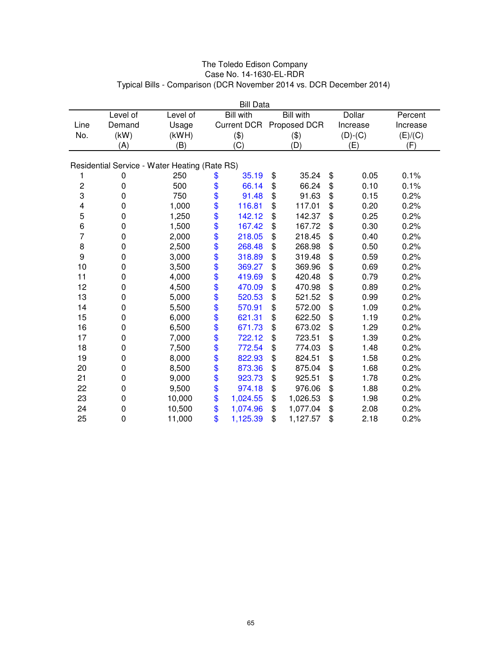|                                               | <b>Bill Data</b> |          |          |                    |    |                  |    |               |          |
|-----------------------------------------------|------------------|----------|----------|--------------------|----|------------------|----|---------------|----------|
|                                               | Level of         | Level of |          | <b>Bill with</b>   |    | <b>Bill with</b> |    | <b>Dollar</b> | Percent  |
| Line                                          | Demand           | Usage    |          | <b>Current DCR</b> |    | Proposed DCR     |    | Increase      | Increase |
| No.                                           | (kW)             | (kWH)    |          | (3)                |    | (3)              |    | $(D)-(C)$     | (E)/(C)  |
|                                               | (A)              | (B)      |          | (C)                |    | (D)              |    | (E)           | (F)      |
| Residential Service - Water Heating (Rate RS) |                  |          |          |                    |    |                  |    |               |          |
|                                               |                  |          |          |                    |    |                  |    |               |          |
| 1                                             | 0                | 250      | \$       | 35.19              | \$ | 35.24            | \$ | 0.05          | 0.1%     |
| $\mathsf{2}\,$                                | 0                | 500      | \$       | 66.14              | \$ | 66.24            | \$ | 0.10          | 0.1%     |
| 3                                             | 0                | 750      | \$       | 91.48              | \$ | 91.63            | \$ | 0.15          | 0.2%     |
| 4                                             | 0                | 1,000    | \$       | 116.81             | \$ | 117.01           | \$ | 0.20          | 0.2%     |
| 5                                             | 0                | 1,250    | \$       | 142.12             | \$ | 142.37           | \$ | 0.25          | 0.2%     |
| 6                                             | 0                | 1,500    | \$       | 167.42             | \$ | 167.72           | \$ | 0.30          | 0.2%     |
| 7                                             | 0                | 2,000    | \$       | 218.05             | \$ | 218.45           | \$ | 0.40          | 0.2%     |
| 8                                             | 0                | 2,500    | \$       | 268.48             | \$ | 268.98           | \$ | 0.50          | 0.2%     |
| 9                                             | 0                | 3,000    |          | 318.89             | \$ | 319.48           | \$ | 0.59          | 0.2%     |
| 10                                            | 0                | 3,500    | \$<br>\$ | 369.27             | \$ | 369.96           | \$ | 0.69          | 0.2%     |
| 11                                            | 0                | 4,000    | \$       | 419.69             | \$ | 420.48           | \$ | 0.79          | 0.2%     |
| 12                                            | 0                | 4,500    | \$       | 470.09             | \$ | 470.98           | \$ | 0.89          | 0.2%     |
| 13                                            | 0                | 5,000    | \$       | 520.53             | \$ | 521.52           | \$ | 0.99          | 0.2%     |
| 14                                            | 0                | 5,500    | \$       | 570.91             | \$ | 572.00           | \$ | 1.09          | 0.2%     |
| 15                                            | 0                | 6,000    | \$       | 621.31             | \$ | 622.50           | \$ | 1.19          | 0.2%     |
| 16                                            | 0                | 6,500    |          | 671.73             | \$ | 673.02           | \$ | 1.29          | 0.2%     |
| 17                                            | 0                | 7,000    | \$<br>\$ | 722.12             | \$ | 723.51           | \$ | 1.39          | 0.2%     |
| 18                                            | 0                | 7,500    | \$       | 772.54             | \$ | 774.03           | \$ | 1.48          | 0.2%     |
| 19                                            | 0                | 8,000    | \$       | 822.93             | \$ | 824.51           | \$ | 1.58          | 0.2%     |
| 20                                            | 0                | 8,500    | \$       | 873.36             | \$ | 875.04           | \$ | 1.68          | 0.2%     |
| 21                                            | 0                | 9,000    | \$       | 923.73             | \$ | 925.51           | \$ | 1.78          | 0.2%     |
| 22                                            | 0                | 9,500    | \$       | 974.18             | \$ | 976.06           | \$ | 1.88          | 0.2%     |
| 23                                            | 0                | 10,000   | \$       | 1,024.55           | \$ | 1,026.53         | \$ | 1.98          | 0.2%     |
| 24                                            | 0                | 10,500   | \$       | 1,074.96           | \$ | 1,077.04         | \$ | 2.08          | 0.2%     |
| 25                                            | 0                | 11,000   | \$       | 1,125.39           | \$ | 1,127.57         | \$ | 2.18          | 0.2%     |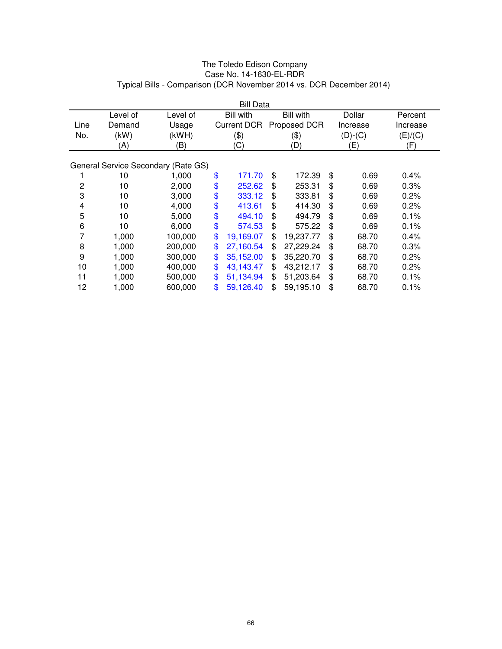|                | <b>Bill Data</b> |                                     |    |                    |    |                  |    |           |          |
|----------------|------------------|-------------------------------------|----|--------------------|----|------------------|----|-----------|----------|
|                | Level of         | Level of                            |    | <b>Bill with</b>   |    | <b>Bill with</b> |    | Dollar    | Percent  |
| Line           | Demand           | Usage                               |    | <b>Current DCR</b> |    | Proposed DCR     |    | Increase  | Increase |
| No.            | (kW)             | (kWH)                               |    | (3)                |    | (\$)             |    | $(D)-(C)$ | (E)/(C)  |
|                | (A)              | (B)                                 |    | (C)                |    | (D)              |    | (E)       | (F)      |
|                |                  |                                     |    |                    |    |                  |    |           |          |
|                |                  | General Service Secondary (Rate GS) |    |                    |    |                  |    |           |          |
|                | 10               | 1,000                               | \$ | 171.70             | \$ | 172.39           | \$ | 0.69      | 0.4%     |
| $\overline{c}$ | 10               | 2,000                               | \$ | 252.62             | \$ | 253.31           | \$ | 0.69      | 0.3%     |
| 3              | 10               | 3,000                               | \$ | 333.12             | \$ | 333.81           | \$ | 0.69      | 0.2%     |
| 4              | 10               | 4,000                               | \$ | 413.61             | \$ | 414.30           | \$ | 0.69      | 0.2%     |
| 5              | 10               | 5,000                               | \$ | 494.10             | \$ | 494.79           | \$ | 0.69      | 0.1%     |
| 6              | 10               | 6,000                               | \$ | 574.53             | \$ | 575.22           | \$ | 0.69      | 0.1%     |
| 7              | 1,000            | 100,000                             | \$ | 19,169.07          | \$ | 19,237.77        | \$ | 68.70     | 0.4%     |
| 8              | 1,000            | 200,000                             | \$ | 27,160.54          | \$ | 27,229.24        | \$ | 68.70     | 0.3%     |
| 9              | 1,000            | 300,000                             | \$ | 35,152.00          | \$ | 35,220.70        | \$ | 68.70     | 0.2%     |
| 10             | 1,000            | 400,000                             | \$ | 43,143.47          | \$ | 43,212.17        | \$ | 68.70     | 0.2%     |
| 11             | 1,000            | 500,000                             | \$ | 51,134.94          | \$ | 51,203.64        | \$ | 68.70     | 0.1%     |
| 12             | 1,000            | 600,000                             | \$ | 59,126.40          | \$ | 59,195.10        | \$ | 68.70     | 0.1%     |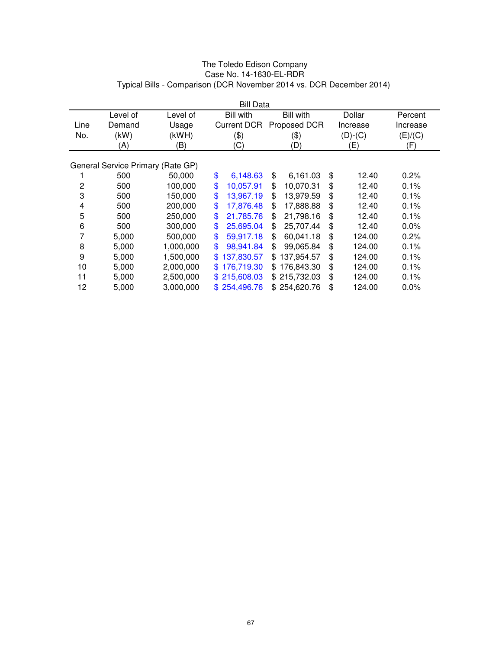|      | <b>Bill Data</b>                  |           |                    |                   |              |          |  |  |  |
|------|-----------------------------------|-----------|--------------------|-------------------|--------------|----------|--|--|--|
|      | Level of                          | Level of  | <b>Bill with</b>   | <b>Bill with</b>  | Dollar       | Percent  |  |  |  |
| Line | Demand                            | Usage     | <b>Current DCR</b> | Proposed DCR      | Increase     | Increase |  |  |  |
| No.  | (kW)                              | (kWH)     | (3)                | (\$)              | $(D)-(C)$    | (E)/(C)  |  |  |  |
|      | (A)                               | (B)       | (C)                | (D)               | (E)          | (F)      |  |  |  |
|      |                                   |           |                    |                   |              |          |  |  |  |
|      | General Service Primary (Rate GP) |           |                    |                   |              |          |  |  |  |
|      | 500                               | 50,000    | \$<br>6,148.63     | \$<br>6,161.03    | \$<br>12.40  | 0.2%     |  |  |  |
| 2    | 500                               | 100,000   | \$<br>10,057.91    | 10,070.31<br>\$   | \$<br>12.40  | 0.1%     |  |  |  |
| 3    | 500                               | 150,000   | \$<br>13,967.19    | 13,979.59<br>\$   | \$<br>12.40  | 0.1%     |  |  |  |
| 4    | 500                               | 200,000   | \$<br>17,876.48    | 17,888.88<br>\$   | \$<br>12.40  | 0.1%     |  |  |  |
| 5    | 500                               | 250,000   | \$<br>21,785.76    | 21,798.16<br>\$   | \$<br>12.40  | 0.1%     |  |  |  |
| 6    | 500                               | 300,000   | \$<br>25,695.04    | 25,707.44<br>\$   | \$<br>12.40  | 0.0%     |  |  |  |
| 7    | 5,000                             | 500,000   | \$<br>59,917.18    | 60,041.18<br>\$   | \$<br>124.00 | 0.2%     |  |  |  |
| 8    | 5,000                             | 1,000,000 | \$<br>98,941.84    | 99,065.84<br>\$   | \$<br>124.00 | 0.1%     |  |  |  |
| 9    | 5,000                             | 1,500,000 | 137,830.57<br>\$   | 137,954.57<br>\$. | \$<br>124.00 | 0.1%     |  |  |  |
| 10   | 5,000                             | 2,000,000 | 176,719.30<br>\$.  | \$176,843.30      | \$<br>124.00 | 0.1%     |  |  |  |
| 11   | 5,000                             | 2,500,000 | 215,608.03<br>\$.  | \$215,732.03      | \$<br>124.00 | 0.1%     |  |  |  |
| 12   | 5,000                             | 3,000,000 | 254,496.76<br>\$.  | \$254,620.76      | \$<br>124.00 | 0.0%     |  |  |  |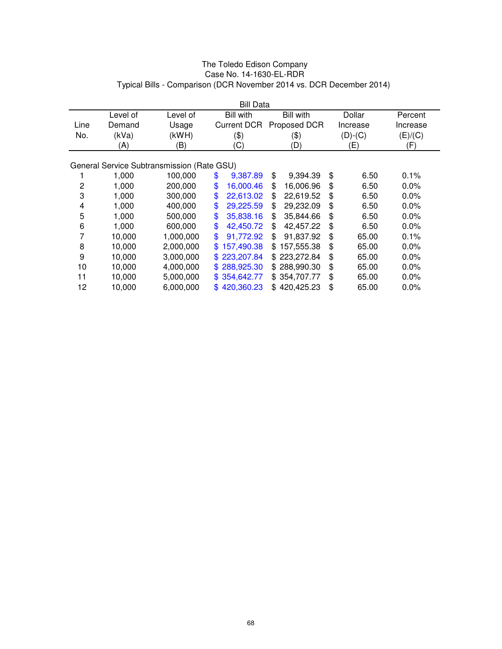|      | <b>Bill Data</b> |                                            |     |                    |     |                  |    |           |          |  |
|------|------------------|--------------------------------------------|-----|--------------------|-----|------------------|----|-----------|----------|--|
|      | Level of         | Level of                                   |     | <b>Bill with</b>   |     | <b>Bill with</b> |    | Dollar    | Percent  |  |
| Line | Demand           | Usage                                      |     | <b>Current DCR</b> |     | Proposed DCR     |    | Increase  | Increase |  |
| No.  | (kVa)            | (kWH)                                      |     | (3)                |     | $(\$)$           |    | $(D)-(C)$ | (E)/(C)  |  |
|      | (A)              | (B)                                        |     | (C)                |     | (D)              |    | (E)       | (F)      |  |
|      |                  |                                            |     |                    |     |                  |    |           |          |  |
|      |                  | General Service Subtransmission (Rate GSU) |     |                    |     |                  |    |           |          |  |
|      | 1,000            | 100,000                                    | \$  | 9,387.89           | \$  | 9,394.39         | \$ | 6.50      | $0.1\%$  |  |
| 2    | 1,000            | 200,000                                    | \$  | 16,000.46          | \$  | 16,006.96        | \$ | 6.50      | $0.0\%$  |  |
| 3    | 1,000            | 300,000                                    | \$  | 22,613.02          | \$  | 22,619.52        | \$ | 6.50      | $0.0\%$  |  |
| 4    | 1,000            | 400.000                                    | \$  | 29,225.59          | \$  | 29,232.09        | \$ | 6.50      | $0.0\%$  |  |
| 5    | 1,000            | 500,000                                    | \$  | 35,838.16          | \$  | 35,844.66        | \$ | 6.50      | $0.0\%$  |  |
| 6    | 1,000            | 600,000                                    | \$  | 42,450.72          | \$  | 42.457.22        | \$ | 6.50      | $0.0\%$  |  |
| 7    | 10,000           | 1,000,000                                  | \$  | 91,772.92          | \$  | 91,837.92        | \$ | 65.00     | 0.1%     |  |
| 8    | 10,000           | 2,000,000                                  | \$  | 157,490.38         | \$. | 157,555.38       | \$ | 65.00     | 0.0%     |  |
| 9    | 10,000           | 3,000,000                                  | \$. | 223,207.84         |     | \$223,272.84     | \$ | 65.00     | 0.0%     |  |
| 10   | 10,000           | 4,000,000                                  | \$. | 288,925.30         |     | \$288,990.30     | \$ | 65.00     | 0.0%     |  |
| 11   | 10,000           | 5,000,000                                  |     | \$354,642.77       |     | \$354,707.77     | \$ | 65.00     | $0.0\%$  |  |
| 12   | 10,000           | 6,000,000                                  |     | \$420,360.23       |     | \$420,425.23     | \$ | 65.00     | $0.0\%$  |  |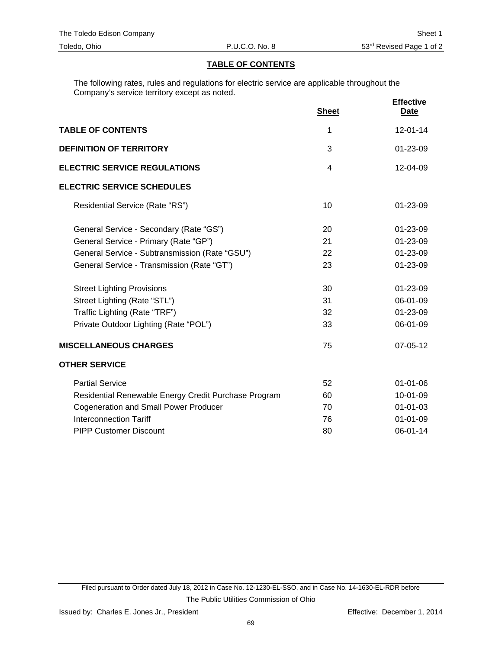# **TABLE OF CONTENTS**

The following rates, rules and regulations for electric service are applicable throughout the Company's service territory except as noted.

|                                                      | <b>Sheet</b> | <b>Effective</b><br>Date |
|------------------------------------------------------|--------------|--------------------------|
| <b>TABLE OF CONTENTS</b>                             | 1            | $12 - 01 - 14$           |
| <b>DEFINITION OF TERRITORY</b>                       | 3            | 01-23-09                 |
| <b>ELECTRIC SERVICE REGULATIONS</b>                  | 4            | 12-04-09                 |
| <b>ELECTRIC SERVICE SCHEDULES</b>                    |              |                          |
| Residential Service (Rate "RS")                      | 10           | $01 - 23 - 09$           |
| General Service - Secondary (Rate "GS")              | 20           | $01 - 23 - 09$           |
| General Service - Primary (Rate "GP")                | 21           | 01-23-09                 |
| General Service - Subtransmission (Rate "GSU")       | 22           | 01-23-09                 |
| General Service - Transmission (Rate "GT")           | 23           | 01-23-09                 |
| <b>Street Lighting Provisions</b>                    | 30           | 01-23-09                 |
| Street Lighting (Rate "STL")                         | 31           | 06-01-09                 |
| Traffic Lighting (Rate "TRF")                        | 32           | 01-23-09                 |
| Private Outdoor Lighting (Rate "POL")                | 33           | 06-01-09                 |
| <b>MISCELLANEOUS CHARGES</b>                         | 75           | 07-05-12                 |
| <b>OTHER SERVICE</b>                                 |              |                          |
| <b>Partial Service</b>                               | 52           | 01-01-06                 |
| Residential Renewable Energy Credit Purchase Program | 60           | 10-01-09                 |
| <b>Cogeneration and Small Power Producer</b>         | 70           | $01 - 01 - 03$           |
| <b>Interconnection Tariff</b>                        | 76           | $01 - 01 - 09$           |
| <b>PIPP Customer Discount</b>                        | 80           | 06-01-14                 |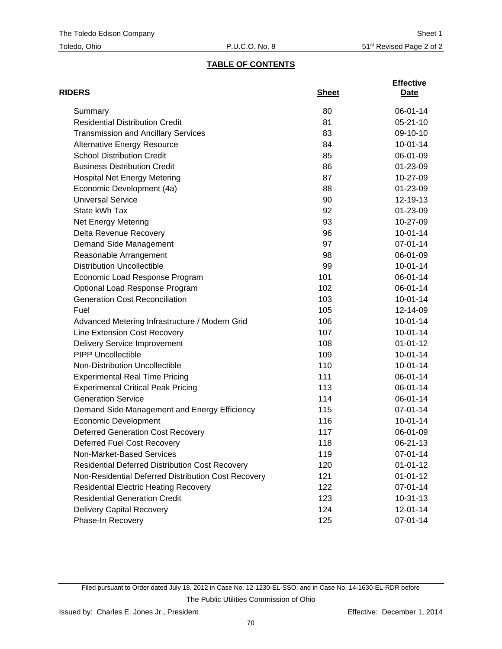# **TABLE OF CONTENTS**

| <b>RIDERS</b>                                          | <b>Sheet</b> | <b>Effective</b><br>Date |
|--------------------------------------------------------|--------------|--------------------------|
| Summary                                                | 80           | 06-01-14                 |
| <b>Residential Distribution Credit</b>                 | 81           | $05 - 21 - 10$           |
| <b>Transmission and Ancillary Services</b>             | 83           | 09-10-10                 |
| <b>Alternative Energy Resource</b>                     | 84           | $10-01-14$               |
| <b>School Distribution Credit</b>                      | 85           | 06-01-09                 |
| <b>Business Distribution Credit</b>                    | 86           | 01-23-09                 |
| <b>Hospital Net Energy Metering</b>                    | 87           | 10-27-09                 |
| Economic Development (4a)                              | 88           | 01-23-09                 |
| <b>Universal Service</b>                               | 90           | 12-19-13                 |
| State kWh Tax                                          | 92           | 01-23-09                 |
| <b>Net Energy Metering</b>                             | 93           | 10-27-09                 |
| Delta Revenue Recovery                                 | 96           | $10 - 01 - 14$           |
| Demand Side Management                                 | 97           | 07-01-14                 |
| Reasonable Arrangement                                 | 98           | 06-01-09                 |
| <b>Distribution Uncollectible</b>                      | 99           | $10 - 01 - 14$           |
| Economic Load Response Program                         | 101          | 06-01-14                 |
| Optional Load Response Program                         | 102          | 06-01-14                 |
| <b>Generation Cost Reconciliation</b>                  | 103          | $10 - 01 - 14$           |
| Fuel                                                   | 105          | 12-14-09                 |
| Advanced Metering Infrastructure / Modern Grid         | 106          | $10 - 01 - 14$           |
| Line Extension Cost Recovery                           | 107          | $10-01-14$               |
| <b>Delivery Service Improvement</b>                    | 108          | $01 - 01 - 12$           |
| <b>PIPP Uncollectible</b>                              | 109          | $10 - 01 - 14$           |
| Non-Distribution Uncollectible                         | 110          | $10-01-14$               |
| <b>Experimental Real Time Pricing</b>                  | 111          | 06-01-14                 |
| <b>Experimental Critical Peak Pricing</b>              | 113          | 06-01-14                 |
| <b>Generation Service</b>                              | 114          | 06-01-14                 |
| Demand Side Management and Energy Efficiency           | 115          | 07-01-14                 |
| <b>Economic Development</b>                            | 116          | $10 - 01 - 14$           |
| <b>Deferred Generation Cost Recovery</b>               | 117          | 06-01-09                 |
| Deferred Fuel Cost Recovery                            | 118          | 06-21-13                 |
| Non-Market-Based Services                              | 119          | 07-01-14                 |
| <b>Residential Deferred Distribution Cost Recovery</b> | 120          | $01 - 01 - 12$           |
| Non-Residential Deferred Distribution Cost Recovery    | 121          | $01 - 01 - 12$           |
| <b>Residential Electric Heating Recovery</b>           | 122          | 07-01-14                 |
| <b>Residential Generation Credit</b>                   | 123          | $10-31-13$               |
| <b>Delivery Capital Recovery</b>                       | 124          | 12-01-14                 |
| Phase-In Recovery                                      | 125          | 07-01-14                 |

Filed pursuant to Order dated July 18, 2012 in Case No. 12-1230-EL-SSO, and in Case No. 14-1630-EL-RDR before The Public Utilities Commission of Ohio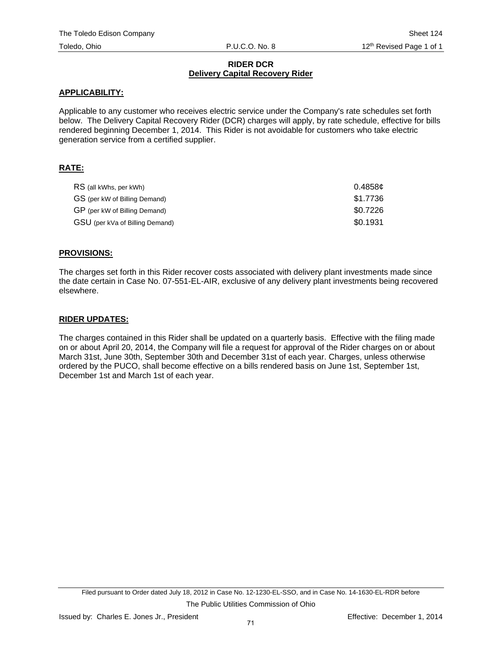#### **RIDER DCR Delivery Capital Recovery Rider**

### **APPLICABILITY:**

Applicable to any customer who receives electric service under the Company's rate schedules set forth below. The Delivery Capital Recovery Rider (DCR) charges will apply, by rate schedule, effective for bills rendered beginning December 1, 2014. This Rider is not avoidable for customers who take electric generation service from a certified supplier.

## **RATE:**

| RS (all kWhs, per kWh)          | 0.4858¢  |
|---------------------------------|----------|
| GS (per kW of Billing Demand)   | \$1.7736 |
| GP (per kW of Billing Demand)   | \$0.7226 |
| GSU (per kVa of Billing Demand) | \$0.1931 |

### **PROVISIONS:**

The charges set forth in this Rider recover costs associated with delivery plant investments made since the date certain in Case No. 07-551-EL-AIR, exclusive of any delivery plant investments being recovered elsewhere.

#### **RIDER UPDATES:**

The charges contained in this Rider shall be updated on a quarterly basis. Effective with the filing made on or about April 20, 2014, the Company will file a request for approval of the Rider charges on or about March 31st, June 30th, September 30th and December 31st of each year. Charges, unless otherwise ordered by the PUCO, shall become effective on a bills rendered basis on June 1st, September 1st, December 1st and March 1st of each year.